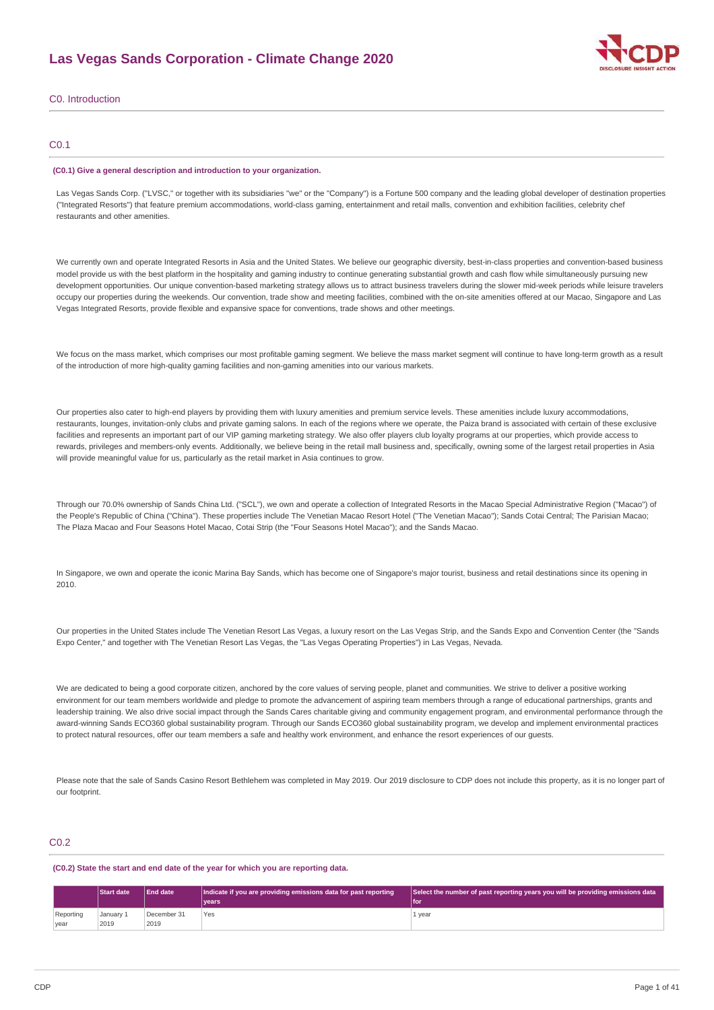

C0. Introduction

## C0.1

### **(C0.1) Give a general description and introduction to your organization.**

Las Vegas Sands Corp. ("LVSC," or together with its subsidiaries "we" or the "Company") is a Fortune 500 company and the leading global developer of destination properties ("Integrated Resorts") that feature premium accommodations, world-class gaming, entertainment and retail malls, convention and exhibition facilities, celebrity chef restaurants and other amenities.

We currently own and operate Integrated Resorts in Asia and the United States. We believe our geographic diversity, best-in-class properties and convention-based business model provide us with the best platform in the hospitality and gaming industry to continue generating substantial growth and cash flow while simultaneously pursuing new development opportunities. Our unique convention-based marketing strategy allows us to attract business travelers during the slower mid-week periods while leisure travelers occupy our properties during the weekends. Our convention, trade show and meeting facilities, combined with the on-site amenities offered at our Macao, Singapore and Las Vegas Integrated Resorts, provide flexible and expansive space for conventions, trade shows and other meetings.

We focus on the mass market, which comprises our most profitable gaming segment. We believe the mass market segment will continue to have long-term growth as a result of the introduction of more high-quality gaming facilities and non-gaming amenities into our various markets.

Our properties also cater to high-end players by providing them with luxury amenities and premium service levels. These amenities include luxury accommodations, restaurants, lounges, invitation-only clubs and private gaming salons. In each of the regions where we operate, the Paiza brand is associated with certain of these exclusive facilities and represents an important part of our VIP gaming marketing strategy. We also offer players club loyalty programs at our properties, which provide access to rewards, privileges and members-only events. Additionally, we believe being in the retail mall business and, specifically, owning some of the largest retail properties in Asia will provide meaningful value for us, particularly as the retail market in Asia continues to grow.

Through our 70.0% ownership of Sands China Ltd. ("SCL"), we own and operate a collection of Integrated Resorts in the Macao Special Administrative Region ("Macao") of the People's Republic of China ("China"). These properties include The Venetian Macao Resort Hotel ("The Venetian Macao"); Sands Cotai Central; The Parisian Macao; The Plaza Macao and Four Seasons Hotel Macao, Cotai Strip (the "Four Seasons Hotel Macao"); and the Sands Macao.

In Singapore, we own and operate the iconic Marina Bay Sands, which has become one of Singapore's major tourist, business and retail destinations since its opening in 2010.

Our properties in the United States include The Venetian Resort Las Vegas, a luxury resort on the Las Vegas Strip, and the Sands Expo and Convention Center (the "Sands Expo Center," and together with The Venetian Resort Las Vegas, the "Las Vegas Operating Properties") in Las Vegas, Nevada.

We are dedicated to being a good corporate citizen, anchored by the core values of serving people, planet and communities. We strive to deliver a positive working environment for our team members worldwide and pledge to promote the advancement of aspiring team members through a range of educational partnerships, grants and leadership training. We also drive social impact through the Sands Cares charitable giving and community engagement program, and environmental performance through the award-winning Sands ECO360 global sustainability program. Through our Sands ECO360 global sustainability program, we develop and implement environmental practices to protect natural resources, offer our team members a safe and healthy work environment, and enhance the resort experiences of our guests.

Please note that the sale of Sands Casino Resort Bethlehem was completed in May 2019. Our 2019 disclosure to CDP does not include this property, as it is no longer part of our footprint.

## C0.2

**(C0.2) State the start and end date of the year for which you are reporting data.**

|                   | <b>Start date</b> | <b>End date</b>     | Indicate if you are providing emissions data for past reporting<br>vears <sup>®</sup> | Select the number of past reporting years you will be providing emissions data<br>l foi |
|-------------------|-------------------|---------------------|---------------------------------------------------------------------------------------|-----------------------------------------------------------------------------------------|
| Reporting<br>year | January 1<br>2019 | December 31<br>2019 | Yes                                                                                   | 1 year                                                                                  |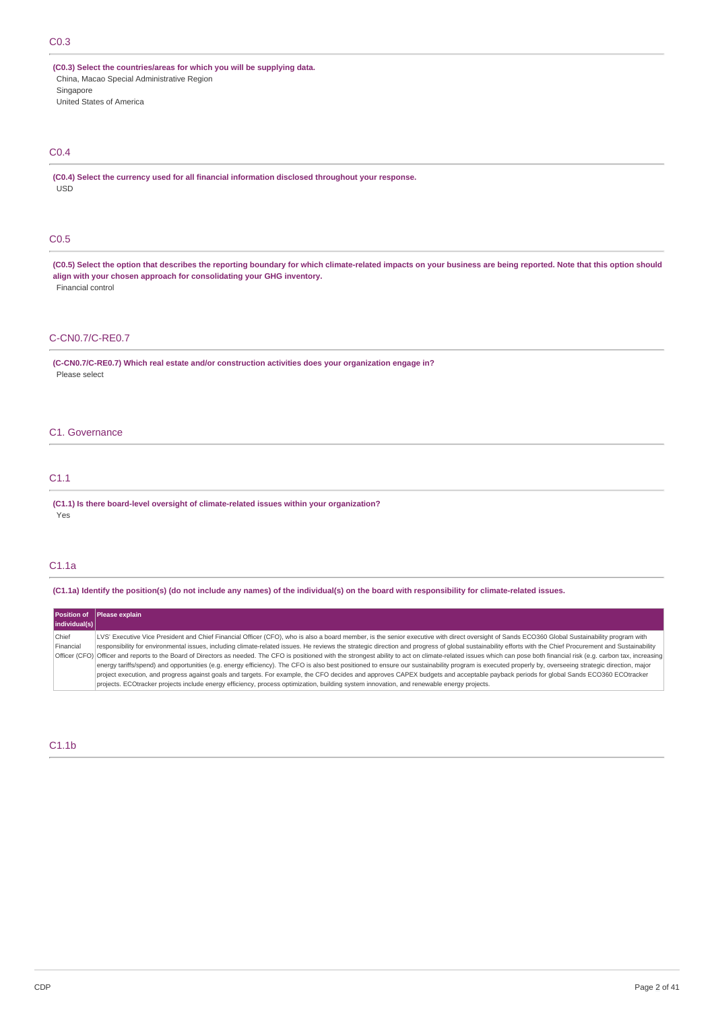## C0.3

**(C0.3) Select the countries/areas for which you will be supplying data.** China, Macao Special Administrative Region Singapore United States of America

## C0.4

**(C0.4) Select the currency used for all financial information disclosed throughout your response.** USD

## C0.5

(C0.5) Select the option that describes the reporting boundary for which climate-related impacts on your business are being reported. Note that this option should **align with your chosen approach for consolidating your GHG inventory.** Financial control

## C-CN0.7/C-RE0.7

**(C-CN0.7/C-RE0.7) Which real estate and/or construction activities does your organization engage in?** Please select

### C1. Governance

## C1.1

**(C1.1) Is there board-level oversight of climate-related issues within your organization?** Yes

## C1.1a

(C1.1a) Identify the position(s) (do not include any names) of the individual(s) on the board with responsibility for climate-related issues.

|               | Position of Please explain                                                                                                                                                                                               |
|---------------|--------------------------------------------------------------------------------------------------------------------------------------------------------------------------------------------------------------------------|
| individual(s) |                                                                                                                                                                                                                          |
| Chief         | LVS' Executive Vice President and Chief Financial Officer (CFO), who is also a board member, is the senior executive with direct oversight of Sands ECO360 Global Sustainability program with                            |
| Financial     | responsibility for environmental issues, including climate-related issues. He reviews the strategic direction and progress of global sustainability efforts with the Chief Procurement and Sustainability                |
|               | Officer (CFO) Officer and reports to the Board of Directors as needed. The CFO is positioned with the strongest ability to act on climate-related issues which can pose both financial risk (e.g. carbon tax, increasing |
|               | energy tariffs/spend) and opportunities (e.g. energy efficiency). The CFO is also best positioned to ensure our sustainability program is executed properly by, overseeing strategic direction, major                    |
|               | project execution, and progress against goals and targets. For example, the CFO decides and approves CAPEX budgets and acceptable payback periods for global Sands ECO360 ECOtracker                                     |
|               | projects. ECOtracker projects include energy efficiency, process optimization, building system innovation, and renewable energy projects.                                                                                |

## C1.1b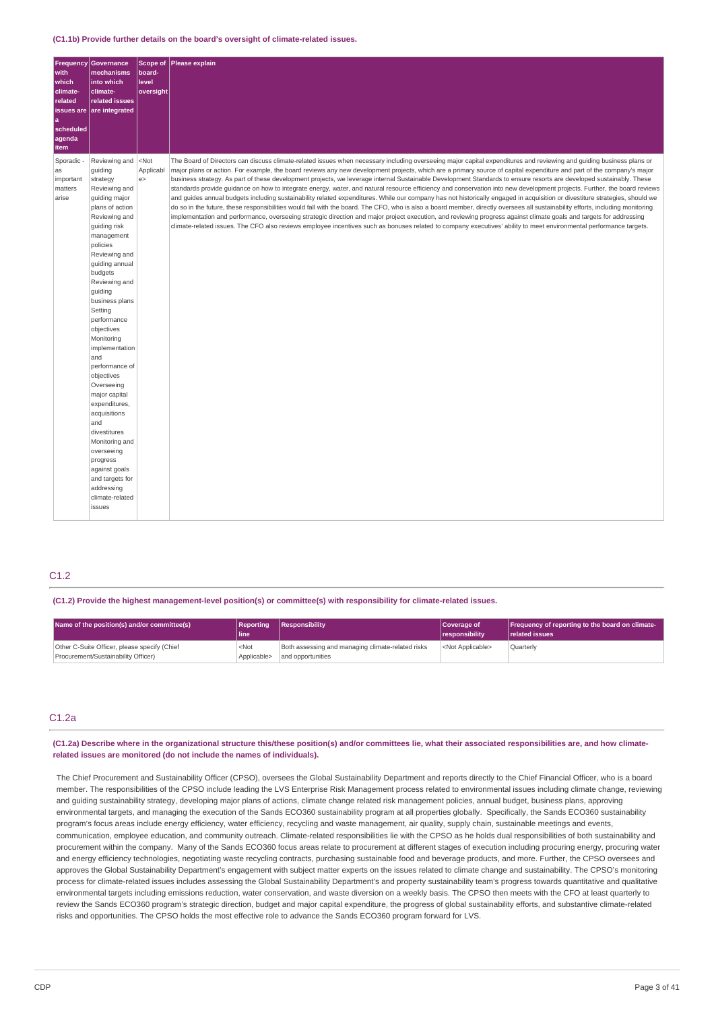#### **(C1.1b) Provide further details on the board's oversight of climate-related issues.**

| Frequency<br>with<br>which<br>climate-<br>related<br>issues are<br><b>a</b><br>scheduled<br>agenda<br>item | Governance<br>mechanisms<br>into which<br>climate-<br>related issues<br>are integrated                                                                                                                                                                                                                                                                                                                                                                                                                                                                                                                                              | board-<br>level<br>oversight | Scope of Please explain                                                                                                                                                                                                                                                                                                                                                                                                                                                                                                                                                                                                                                                                                                                                                                                                                                                                                                                                                                                                                                                                                                                                                                                                                                                                                                                                                                                        |
|------------------------------------------------------------------------------------------------------------|-------------------------------------------------------------------------------------------------------------------------------------------------------------------------------------------------------------------------------------------------------------------------------------------------------------------------------------------------------------------------------------------------------------------------------------------------------------------------------------------------------------------------------------------------------------------------------------------------------------------------------------|------------------------------|----------------------------------------------------------------------------------------------------------------------------------------------------------------------------------------------------------------------------------------------------------------------------------------------------------------------------------------------------------------------------------------------------------------------------------------------------------------------------------------------------------------------------------------------------------------------------------------------------------------------------------------------------------------------------------------------------------------------------------------------------------------------------------------------------------------------------------------------------------------------------------------------------------------------------------------------------------------------------------------------------------------------------------------------------------------------------------------------------------------------------------------------------------------------------------------------------------------------------------------------------------------------------------------------------------------------------------------------------------------------------------------------------------------|
| Sporadic -<br>as<br>important<br>matters<br>arise                                                          | Reviewing and <not<br>guiding<br/>strategy<br/>Reviewing and<br/>quiding major<br/>plans of action<br/>Reviewing and<br/>guiding risk<br/>management<br/>policies<br/>Reviewing and<br/>guiding annual<br/>budgets<br/>Reviewing and<br/>guiding<br/>business plans<br/>Setting<br/>performance<br/>objectives<br/>Monitoring<br/>implementation<br/>and<br/>performance of<br/>objectives<br/>Overseeing<br/>major capital<br/>expenditures,<br/>acquisitions<br/>and<br/>divestitures<br/>Monitoring and<br/>overseeing<br/>progress<br/>against goals<br/>and targets for<br/>addressing<br/>climate-related<br/>issues</not<br> | Applicabl<br>e               | The Board of Directors can discuss climate-related issues when necessary including overseeing major capital expenditures and reviewing and quiding business plans or<br>major plans or action. For example, the board reviews any new development projects, which are a primary source of capital expenditure and part of the company's major<br>business strategy. As part of these development projects, we leverage internal Sustainable Development Standards to ensure resorts are developed sustainably. These<br>standards provide guidance on how to integrate energy, water, and natural resource efficiency and conservation into new development projects. Further, the board reviews<br>and quides annual budgets including sustainability related expenditures. While our company has not historically engaged in acquisition or divestiture strategies, should we<br>do so in the future, these responsibilities would fall with the board. The CFO, who is also a board member, directly oversees all sustainability efforts, including monitoring<br>implementation and performance, overseeing strategic direction and major project execution, and reviewing progress against climate goals and targets for addressing<br>climate-related issues. The CFO also reviews employee incentives such as bonuses related to company executives' ability to meet environmental performance targets. |

## C1.2

**(C1.2) Provide the highest management-level position(s) or committee(s) with responsibility for climate-related issues.**

| Name of the position(s) and/or committee(s)                                         | <b>Reporting</b><br>lline       | Responsibility                                                         | Coverage of<br><i><u><b>Iresponsibility</b></u></i> | Frequency of reporting to the board on climate-<br><b>related issues</b> |
|-------------------------------------------------------------------------------------|---------------------------------|------------------------------------------------------------------------|-----------------------------------------------------|--------------------------------------------------------------------------|
| Other C-Suite Officer, please specify (Chief<br>Procurement/Sustainability Officer) | <not<br>Applicable&gt;</not<br> | Both assessing and managing climate-related risks<br>and opportunities | <not applicable=""></not>                           | Quarterly                                                                |

## C1.2a

(C1.2a) Describe where in the organizational structure this/these position(s) and/or committees lie, what their associated responsibilities are, and how climate**related issues are monitored (do not include the names of individuals).**

The Chief Procurement and Sustainability Officer (CPSO), oversees the Global Sustainability Department and reports directly to the Chief Financial Officer, who is a board member. The responsibilities of the CPSO include leading the LVS Enterprise Risk Management process related to environmental issues including climate change, reviewing and guiding sustainability strategy, developing major plans of actions, climate change related risk management policies, annual budget, business plans, approving environmental targets, and managing the execution of the Sands ECO360 sustainability program at all properties globally. Specifically, the Sands ECO360 sustainability program's focus areas include energy efficiency, water efficiency, recycling and waste management, air quality, supply chain, sustainable meetings and events, communication, employee education, and community outreach. Climate-related responsibilities lie with the CPSO as he holds dual responsibilities of both sustainability and procurement within the company. Many of the Sands ECO360 focus areas relate to procurement at different stages of execution including procuring energy, procuring water and energy efficiency technologies, negotiating waste recycling contracts, purchasing sustainable food and beverage products, and more. Further, the CPSO oversees and approves the Global Sustainability Department's engagement with subject matter experts on the issues related to climate change and sustainability. The CPSO's monitoring process for climate-related issues includes assessing the Global Sustainability Department's and property sustainability team's progress towards quantitative and qualitative environmental targets including emissions reduction, water conservation, and waste diversion on a weekly basis. The CPSO then meets with the CFO at least quarterly to review the Sands ECO360 program's strategic direction, budget and major capital expenditure, the progress of global sustainability efforts, and substantive climate-related risks and opportunities. The CPSO holds the most effective role to advance the Sands ECO360 program forward for LVS.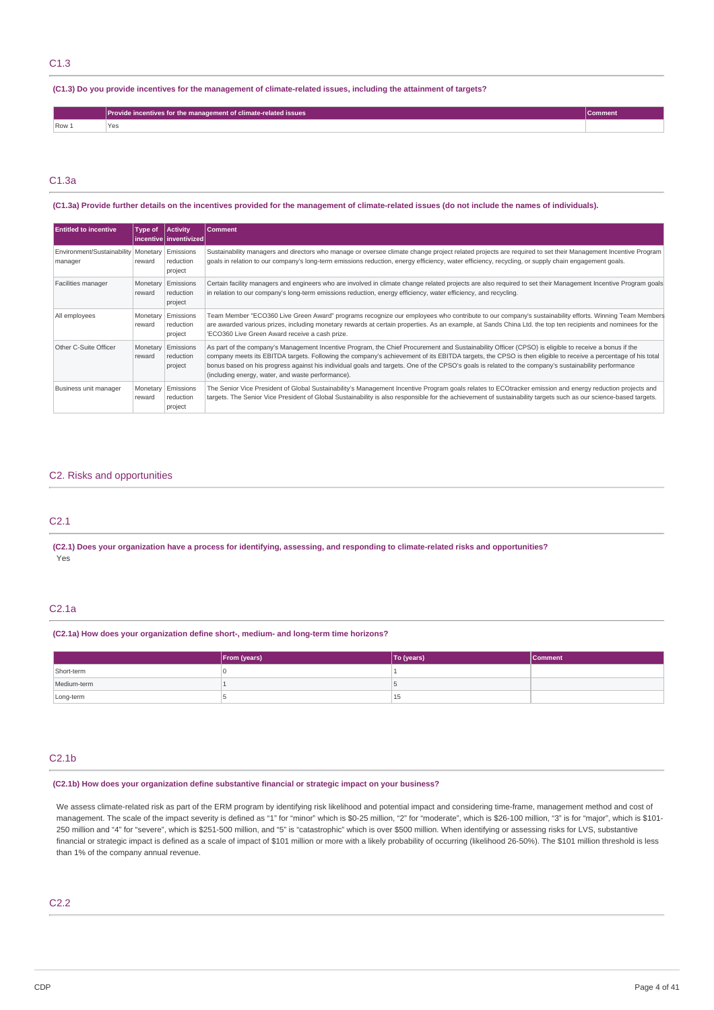## C1.3

### (C1.3) Do you provide incentives for the management of climate-related issues, including the attainment of targets?

|       | ovide incentives for the management of climate-related issues_ |  |
|-------|----------------------------------------------------------------|--|
| Row 1 |                                                                |  |

## C1.3a

### (C1.3a) Provide further details on the incentives provided for the management of climate-related issues (do not include the names of individuals).

| <b>Entitled to incentive</b>                                 | Type of | Activity<br> incentive inventivized        | <b>Comment</b>                                                                                                                                                                                                                                                                                                                                                                                                                                                                                                                   |
|--------------------------------------------------------------|---------|--------------------------------------------|----------------------------------------------------------------------------------------------------------------------------------------------------------------------------------------------------------------------------------------------------------------------------------------------------------------------------------------------------------------------------------------------------------------------------------------------------------------------------------------------------------------------------------|
| Environment/Sustainability   Monetary   Emissions<br>manager | reward  | reduction<br>project                       | Sustainability managers and directors who manage or oversee climate change project related projects are required to set their Management Incentive Program<br>goals in relation to our company's long-term emissions reduction, energy efficiency, water efficiency, recycling, or supply chain engagement goals.                                                                                                                                                                                                                |
| Facilities manager                                           | reward  | Monetary Emissions<br>reduction<br>project | Certain facility managers and engineers who are involved in climate change related projects are also required to set their Management Incentive Program goals<br>in relation to our company's long-term emissions reduction, energy efficiency, water efficiency, and recycling.                                                                                                                                                                                                                                                 |
| All employees                                                | reward  | Monetary Emissions<br>reduction<br>project | Team Member "ECO360 Live Green Award" programs recognize our employees who contribute to our company's sustainability efforts. Winning Team Members<br>are awarded various prizes, including monetary rewards at certain properties. As an example, at Sands China Ltd. the top ten recipients and nominees for the<br>'ECO360 Live Green Award receive a cash prize.                                                                                                                                                            |
| Other C-Suite Officer                                        | reward  | Monetary Emissions<br>reduction<br>project | As part of the company's Management Incentive Program, the Chief Procurement and Sustainability Officer (CPSO) is eligible to receive a bonus if the<br>company meets its EBITDA targets. Following the company's achievement of its EBITDA targets, the CPSO is then eligible to receive a percentage of his total<br>bonus based on his progress against his individual goals and targets. One of the CPSO's goals is related to the company's sustainability performance<br>(including energy, water, and waste performance). |
| Business unit manager                                        | reward  | Monetary Emissions<br>reduction<br>project | The Senior Vice President of Global Sustainability's Management Incentive Program goals relates to ECOtracker emission and energy reduction projects and<br>targets. The Senior Vice President of Global Sustainability is also responsible for the achievement of sustainability targets such as our science-based targets.                                                                                                                                                                                                     |

## C2. Risks and opportunities

## C2.1

(C2.1) Does your organization have a process for identifying, assessing, and responding to climate-related risks and opportunities? Yes

## C2.1a

### **(C2.1a) How does your organization define short-, medium- and long-term time horizons?**

|             | From (years) | To (years) | <b>Comment</b> |
|-------------|--------------|------------|----------------|
| Short-term  |              |            |                |
| Medium-term |              |            |                |
| Long-term   |              | 15         |                |

## $C2.1<sub>b</sub>$

### **(C2.1b) How does your organization define substantive financial or strategic impact on your business?**

We assess climate-related risk as part of the ERM program by identifying risk likelihood and potential impact and considering time-frame, management method and cost of management. The scale of the impact severity is defined as "1" for "minor" which is \$0-25 million, "2" for "moderate", which is \$26-100 million, "3" is for "major", which is \$101-250 million and "4" for "severe", which is \$251-500 million, and "5" is "catastrophic" which is over \$500 million. When identifying or assessing risks for LVS, substantive financial or strategic impact is defined as a scale of impact of \$101 million or more with a likely probability of occurring (likelihood 26-50%). The \$101 million threshold is less than 1% of the company annual revenue.

## C2.2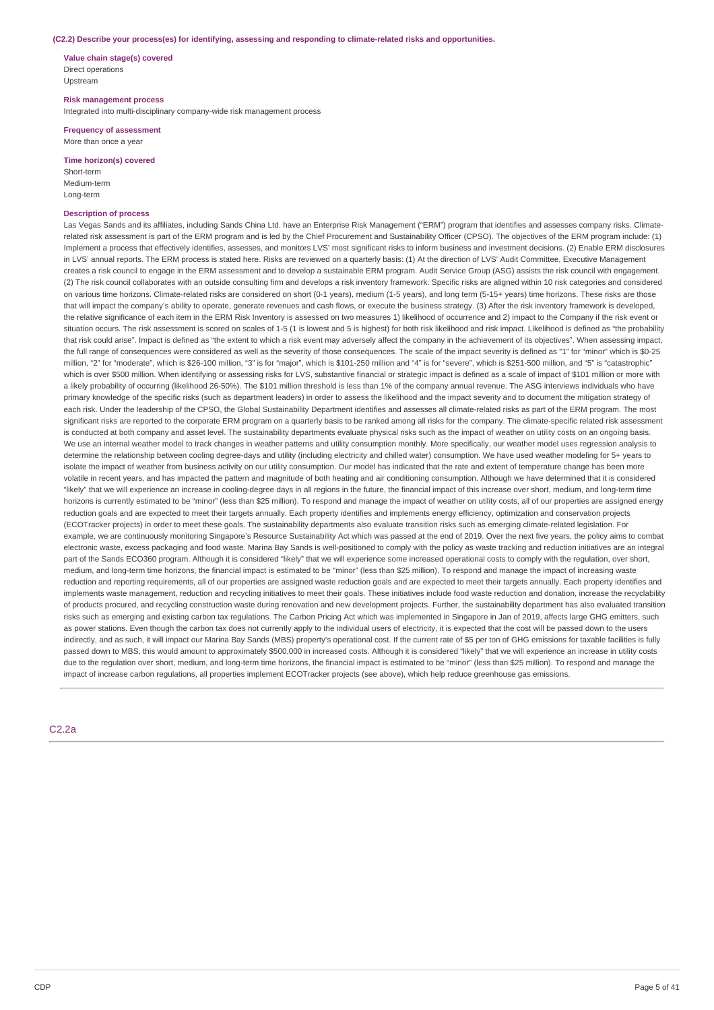#### **(C2.2) Describe your process(es) for identifying, assessing and responding to climate-related risks and opportunities.**

**Value chain stage(s) covered** Direct operations Upstream

**Risk management process**

Integrated into multi-disciplinary company-wide risk management process

**Frequency of assessment** More than once a year

**Time horizon(s) covered** Short-term

Medium-term Long-term

### **Description of process**

Las Vegas Sands and its affiliates, including Sands China Ltd. have an Enterprise Risk Management ("ERM") program that identifies and assesses company risks. Climaterelated risk assessment is part of the ERM program and is led by the Chief Procurement and Sustainability Officer (CPSO). The objectives of the ERM program include: (1) Implement a process that effectively identifies, assesses, and monitors LVS' most significant risks to inform business and investment decisions. (2) Enable ERM disclosures in LVS' annual reports. The ERM process is stated here. Risks are reviewed on a quarterly basis: (1) At the direction of LVS' Audit Committee, Executive Management creates a risk council to engage in the ERM assessment and to develop a sustainable ERM program. Audit Service Group (ASG) assists the risk council with engagement. (2) The risk council collaborates with an outside consulting firm and develops a risk inventory framework. Specific risks are aligned within 10 risk categories and considered on various time horizons. Climate-related risks are considered on short (0-1 years), medium (1-5 years), and long term (5-15+ years) time horizons. These risks are those that will impact the company's ability to operate, generate revenues and cash flows, or execute the business strategy. (3) After the risk inventory framework is developed, the relative significance of each item in the ERM Risk Inventory is assessed on two measures 1) likelihood of occurrence and 2) impact to the Company if the risk event or situation occurs. The risk assessment is scored on scales of 1-5 (1 is lowest and 5 is highest) for both risk likelihood and risk impact. Likelihood is defined as "the probability that risk could arise". Impact is defined as "the extent to which a risk event may adversely affect the company in the achievement of its objectives". When assessing impact, the full range of consequences were considered as well as the severity of those consequences. The scale of the impact severity is defined as "1" for "minor" which is \$0-25 million, "2" for "moderate", which is \$26-100 million, "3" is for "major", which is \$101-250 million and "4" is for "severe", which is \$251-500 million, and "5" is "catastrophic" which is over \$500 million. When identifying or assessing risks for LVS, substantive financial or strategic impact is defined as a scale of impact of \$101 million or more with a likely probability of occurring (likelihood 26-50%). The \$101 million threshold is less than 1% of the company annual revenue. The ASG interviews individuals who have primary knowledge of the specific risks (such as department leaders) in order to assess the likelihood and the impact severity and to document the mitigation strategy of each risk. Under the leadership of the CPSO, the Global Sustainability Department identifies and assesses all climate-related risks as part of the ERM program. The most significant risks are reported to the corporate ERM program on a quarterly basis to be ranked among all risks for the company. The climate-specific related risk assessment is conducted at both company and asset level. The sustainability departments evaluate physical risks such as the impact of weather on utility costs on an ongoing basis. We use an internal weather model to track changes in weather patterns and utility consumption monthly. More specifically, our weather model uses regression analysis to determine the relationship between cooling degree-days and utility (including electricity and chilled water) consumption. We have used weather modeling for 5+ years to isolate the impact of weather from business activity on our utility consumption. Our model has indicated that the rate and extent of temperature change has been more volatile in recent years, and has impacted the pattern and magnitude of both heating and air conditioning consumption. Although we have determined that it is considered "likely" that we will experience an increase in cooling-degree days in all regions in the future, the financial impact of this increase over short, medium, and long-term time horizons is currently estimated to be "minor" (less than \$25 million). To respond and manage the impact of weather on utility costs, all of our properties are assigned energy reduction goals and are expected to meet their targets annually. Each property identifies and implements energy efficiency, optimization and conservation projects (ECOTracker projects) in order to meet these goals. The sustainability departments also evaluate transition risks such as emerging climate-related legislation. For example, we are continuously monitoring Singapore's Resource Sustainability Act which was passed at the end of 2019. Over the next five years, the policy aims to combat electronic waste, excess packaging and food waste. Marina Bay Sands is well-positioned to comply with the policy as waste tracking and reduction initiatives are an integral part of the Sands ECO360 program. Although it is considered "likely" that we will experience some increased operational costs to comply with the regulation, over short, medium, and long-term time horizons, the financial impact is estimated to be "minor" (less than \$25 million). To respond and manage the impact of increasing waste reduction and reporting requirements, all of our properties are assigned waste reduction goals and are expected to meet their targets annually. Each property identifies and implements waste management, reduction and recycling initiatives to meet their goals. These initiatives include food waste reduction and donation, increase the recyclability of products procured, and recycling construction waste during renovation and new development projects. Further, the sustainability department has also evaluated transition risks such as emerging and existing carbon tax regulations. The Carbon Pricing Act which was implemented in Singapore in Jan of 2019, affects large GHG emitters, such as power stations. Even though the carbon tax does not currently apply to the individual users of electricity, it is expected that the cost will be passed down to the users indirectly, and as such, it will impact our Marina Bay Sands (MBS) property's operational cost. If the current rate of \$5 per ton of GHG emissions for taxable facilities is fully passed down to MBS, this would amount to approximately \$500,000 in increased costs. Although it is considered "likely" that we will experience an increase in utility costs due to the regulation over short, medium, and long-term time horizons, the financial impact is estimated to be "minor" (less than \$25 million). To respond and manage the impact of increase carbon regulations, all properties implement ECOTracker projects (see above), which help reduce greenhouse gas emissions.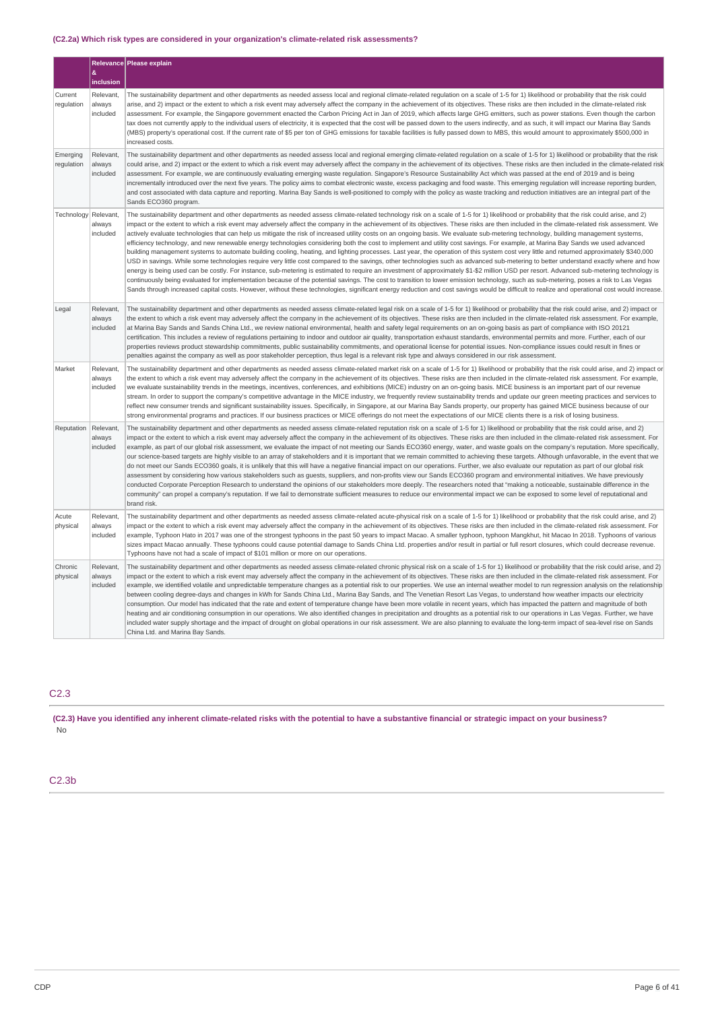## **(C2.2a) Which risk types are considered in your organization's climate-related risk assessments?**

|                        |                                 | Relevance Please explain                                                                                                                                                                                                                                                                                                                                                                                                                                                                                                                                                                                                                                                                                                                                                                                                                                                                                                                                                                                                                                                                                                                                                                                                                                                                                                                                                                                                                                                                                                                                                                                                                                                                                                                      |
|------------------------|---------------------------------|-----------------------------------------------------------------------------------------------------------------------------------------------------------------------------------------------------------------------------------------------------------------------------------------------------------------------------------------------------------------------------------------------------------------------------------------------------------------------------------------------------------------------------------------------------------------------------------------------------------------------------------------------------------------------------------------------------------------------------------------------------------------------------------------------------------------------------------------------------------------------------------------------------------------------------------------------------------------------------------------------------------------------------------------------------------------------------------------------------------------------------------------------------------------------------------------------------------------------------------------------------------------------------------------------------------------------------------------------------------------------------------------------------------------------------------------------------------------------------------------------------------------------------------------------------------------------------------------------------------------------------------------------------------------------------------------------------------------------------------------------|
|                        | &<br>inclusion                  |                                                                                                                                                                                                                                                                                                                                                                                                                                                                                                                                                                                                                                                                                                                                                                                                                                                                                                                                                                                                                                                                                                                                                                                                                                                                                                                                                                                                                                                                                                                                                                                                                                                                                                                                               |
| Current<br>regulation  | Relevant,<br>always<br>included | The sustainability department and other departments as needed assess local and regional climate-related requlation on a scale of 1-5 for 1) likelihood or probability that the risk could<br>arise, and 2) impact or the extent to which a risk event may adversely affect the company in the achievement of its objectives. These risks are then included in the climate-related risk<br>assessment. For example, the Singapore government enacted the Carbon Pricing Act in Jan of 2019, which affects large GHG emitters, such as power stations. Even though the carbon<br>tax does not currently apply to the individual users of electricity, it is expected that the cost will be passed down to the users indirectly, and as such, it will impact our Marina Bay Sands<br>(MBS) property's operational cost. If the current rate of \$5 per ton of GHG emissions for taxable facilities is fully passed down to MBS, this would amount to approximately \$500,000 in<br>increased costs.                                                                                                                                                                                                                                                                                                                                                                                                                                                                                                                                                                                                                                                                                                                                              |
| Emerging<br>regulation | Relevant,<br>always<br>included | The sustainability department and other departments as needed assess local and regional emerging climate-related regulation on a scale of 1-5 for 1) likelihood or probability that the risk<br>could arise, and 2) impact or the extent to which a risk event may adversely affect the company in the achievement of its objectives. These risks are then included in the climate-related risk<br>assessment. For example, we are continuously evaluating emerging waste regulation. Singapore's Resource Sustainability Act which was passed at the end of 2019 and is being<br>incrementally introduced over the next five years. The policy aims to combat electronic waste, excess packaging and food waste. This emerging regulation will increase reporting burden,<br>and cost associated with data capture and reporting. Marina Bay Sands is well-positioned to comply with the policy as waste tracking and reduction initiatives are an integral part of the<br>Sands ECO360 program.                                                                                                                                                                                                                                                                                                                                                                                                                                                                                                                                                                                                                                                                                                                                             |
| Technology             | Relevant.<br>always<br>included | The sustainability department and other departments as needed assess climate-related technology risk on a scale of 1-5 for 1) likelihood or probability that the risk could arise, and 2)<br>impact or the extent to which a risk event may adversely affect the company in the achievement of its objectives. These risks are then included in the climate-related risk assessment. We<br>actively evaluate technologies that can help us mitigate the risk of increased utility costs on an ongoing basis. We evaluate sub-metering technology, building management systems,<br>efficiency technology, and new renewable energy technologies considering both the cost to implement and utility cost savings. For example, at Marina Bay Sands we used advanced<br>building management systems to automate building cooling, heating, and lighting processes. Last year, the operation of this system cost very little and returned approximately \$340,000<br>USD in savings. While some technologies require very little cost compared to the savings, other technologies such as advanced sub-metering to better understand exactly where and how<br>energy is being used can be costly. For instance, sub-metering is estimated to require an investment of approximately \$1-\$2 million USD per resort. Advanced sub-metering technology is<br>continuously being evaluated for implementation because of the potential savings. The cost to transition to lower emission technology, such as sub-metering, poses a risk to Las Vegas<br>Sands through increased capital costs. However, without these technologies, significant energy reduction and cost savings would be difficult to realize and operational cost would increase. |
| Legal                  | Relevant,<br>always<br>included | The sustainability department and other departments as needed assess climate-related legal risk on a scale of 1-5 for 1) likelihood or probability that the risk could arise, and 2) impact or<br>the extent to which a risk event may adversely affect the company in the achievement of its objectives. These risks are then included in the climate-related risk assessment. For example,<br>at Marina Bay Sands and Sands China Ltd., we review national environmental, health and safety legal requirements on an on-going basis as part of compliance with ISO 20121<br>certification. This includes a review of regulations pertaining to indoor and outdoor air quality, transportation exhaust standards, environmental permits and more. Further, each of our<br>properties reviews product stewardship commitments, public sustainability commitments, and operational license for potential issues. Non-compliance issues could result in fines or<br>penalties against the company as well as poor stakeholder perception, thus legal is a relevant risk type and always considered in our risk assessment.                                                                                                                                                                                                                                                                                                                                                                                                                                                                                                                                                                                                                      |
| Market                 | Relevant.<br>always<br>included | The sustainability department and other departments as needed assess climate-related market risk on a scale of 1-5 for 1) likelihood or probability that the risk could arise, and 2) impact or<br>the extent to which a risk event may adversely affect the company in the achievement of its objectives. These risks are then included in the climate-related risk assessment. For example,<br>we evaluate sustainability trends in the meetings, incentives, conferences, and exhibitions (MICE) industry on an on-going basis. MICE business is an important part of our revenue<br>stream. In order to support the company's competitive advantage in the MICE industry, we frequently review sustainability trends and update our green meeting practices and services to<br>reflect new consumer trends and significant sustainability issues. Specifically, in Singapore, at our Marina Bay Sands property, our property has gained MICE business because of our<br>strong environmental programs and practices. If our business practices or MICE offerings do not meet the expectations of our MICE clients there is a risk of losing business.                                                                                                                                                                                                                                                                                                                                                                                                                                                                                                                                                                                     |
| Reputation             | Relevant,<br>always<br>included | The sustainability department and other departments as needed assess climate-related reputation risk on a scale of 1-5 for 1) likelihood or probability that the risk could arise, and 2)<br>impact or the extent to which a risk event may adversely affect the company in the achievement of its objectives. These risks are then included in the climate-related risk assessment. For<br>example, as part of our global risk assessment, we evaluate the impact of not meeting our Sands ECO360 energy, water, and waste goals on the company's reputation. More specifically,<br>our science-based targets are highly visible to an array of stakeholders and it is important that we remain committed to achieving these targets. Although unfavorable, in the event that we<br>do not meet our Sands ECO360 goals, it is unlikely that this will have a negative financial impact on our operations. Further, we also evaluate our reputation as part of our global risk<br>assessment by considering how various stakeholders such as guests, suppliers, and non-profits view our Sands ECO360 program and environmental initiatives. We have previously<br>conducted Corporate Perception Research to understand the opinions of our stakeholders more deeply. The researchers noted that "making a noticeable, sustainable difference in the<br>community" can propel a company's reputation. If we fail to demonstrate sufficient measures to reduce our environmental impact we can be exposed to some level of reputational and<br>brand risk.                                                                                                                                                                                    |
| Acute<br>physical      | Relevant,<br>always<br>included | The sustainability department and other departments as needed assess climate-related acute-physical risk on a scale of 1-5 for 1) likelihood or probability that the risk could arise, and 2)<br>impact or the extent to which a risk event may adversely affect the company in the achievement of its objectives. These risks are then included in the climate-related risk assessment. For<br>example, Typhoon Hato in 2017 was one of the strongest typhoons in the past 50 years to impact Macao. A smaller typhoon, typhoon Mangkhut, hit Macao In 2018. Typhoons of various<br>sizes impact Macao annually. These typhoons could cause potential damage to Sands China Ltd. properties and/or result in partial or full resort closures, which could decrease revenue.<br>Typhoons have not had a scale of impact of \$101 million or more on our operations.                                                                                                                                                                                                                                                                                                                                                                                                                                                                                                                                                                                                                                                                                                                                                                                                                                                                           |
| Chronic<br>physical    | Relevant,<br>always<br>included | The sustainability department and other departments as needed assess climate-related chronic physical risk on a scale of 1-5 for 1) likelihood or probability that the risk could arise, and 2)<br>impact or the extent to which a risk event may adversely affect the company in the achievement of its objectives. These risks are then included in the climate-related risk assessment. For<br>example, we identified volatile and unpredictable temperature changes as a potential risk to our properties. We use an internal weather model to run regression analysis on the relationship<br>between cooling degree-days and changes in kWh for Sands China Ltd., Marina Bay Sands, and The Venetian Resort Las Vegas, to understand how weather impacts our electricity<br>consumption. Our model has indicated that the rate and extent of temperature change have been more volatile in recent years, which has impacted the pattern and magnitude of both<br>heating and air conditioning consumption in our operations. We also identified changes in precipitation and droughts as a potential risk to our operations in Las Vegas. Further, we have<br>included water supply shortage and the impact of drought on global operations in our risk assessment. We are also planning to evaluate the long-term impact of sea-level rise on Sands<br>China Ltd. and Marina Bay Sands.                                                                                                                                                                                                                                                                                                                                                 |

## C2.3

(C2.3) Have you identified any inherent climate-related risks with the potential to have a substantive financial or strategic impact on your business? .<br>No

## C2.3b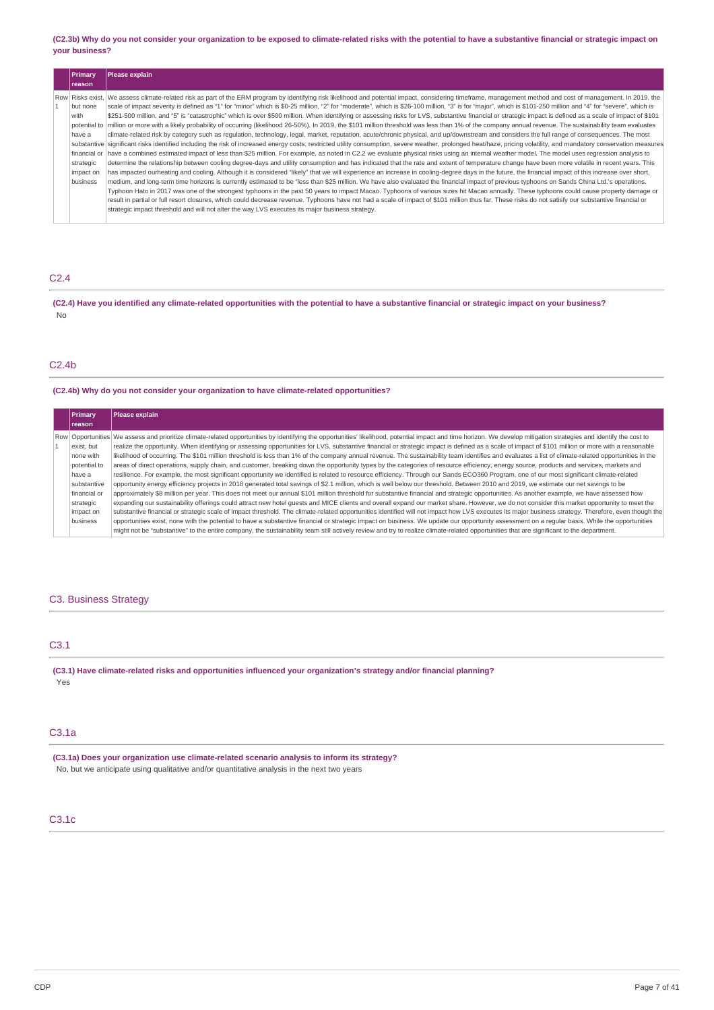(C2.3b) Why do you not consider your organization to be exposed to climate-related risks with the potential to have a substantive financial or strategic impact on **your business?**

| Primary<br><b>reason</b>                                                         | Please explain                                                                                                                                                                                                                                                                                                                                                                                                                                                                                                                                                                                                                                                                                                                                                                                                                                                                                                                                                                                                                                                                                                                                                                                                                                                                                                                                                                                                                                                                                                                                                                                                                                                                                                                                                                                                                                                                                                                                                                                                                                                                                                                                                                                                                                                                            |
|----------------------------------------------------------------------------------|-------------------------------------------------------------------------------------------------------------------------------------------------------------------------------------------------------------------------------------------------------------------------------------------------------------------------------------------------------------------------------------------------------------------------------------------------------------------------------------------------------------------------------------------------------------------------------------------------------------------------------------------------------------------------------------------------------------------------------------------------------------------------------------------------------------------------------------------------------------------------------------------------------------------------------------------------------------------------------------------------------------------------------------------------------------------------------------------------------------------------------------------------------------------------------------------------------------------------------------------------------------------------------------------------------------------------------------------------------------------------------------------------------------------------------------------------------------------------------------------------------------------------------------------------------------------------------------------------------------------------------------------------------------------------------------------------------------------------------------------------------------------------------------------------------------------------------------------------------------------------------------------------------------------------------------------------------------------------------------------------------------------------------------------------------------------------------------------------------------------------------------------------------------------------------------------------------------------------------------------------------------------------------------------|
| but none<br>with<br>have a<br>financial or<br>strategic<br>impact on<br>business | Row Risks exist, We assess climate-related risk as part of the ERM program by identifying risk likelihood and potential impact, considering timeframe, management method and cost of management. In 2019, the<br>scale of impact severity is defined as "1" for "minor" which is \$0-25 million, "2" for "moderate", which is \$26-100 million, "3" is for "major", which is \$101-250 million and "4" for "severe", which is<br>\$251-500 million, and "5" is "catastrophic" which is over \$500 million. When identifying or assessing risks for LVS, substantive financial or strategic impact is defined as a scale of impact of \$101<br>potential to   million or more with a likely probability of occurring (likelihood 26-50%). In 2019, the \$101 million threshold was less than 1% of the company annual revenue. The sustainability team evaluates<br>climate-related risk by category such as regulation, technology, legal, market, reputation, acute/chronic physical, and up/downstream and considers the full range of consequences. The most<br>substantive significant risks identified including the risk of increased energy costs, restricted utility consumption, severe weather, prolonged heat/haze, pricing volatility, and mandatory conservation measures<br>have a combined estimated impact of less than \$25 million. For example, as noted in C2.2 we evaluate physical risks using an internal weather model. The model uses regression analysis to<br>determine the relationship between cooling degree-days and utility consumption and has indicated that the rate and extent of temperature change have been more volatile in recent years. This<br>has impacted ourheating and cooling. Although it is considered "likely" that we will experience an increase in cooling-degree days in the future, the financial impact of this increase over short,<br>medium, and long-term time horizons is currently estimated to be "less than \$25 million. We have also evaluated the financial impact of previous typhoons on Sands China Ltd.'s operations.<br>Typhoon Hato in 2017 was one of the strongest typhoons in the past 50 years to impact Macao. Typhoons of various sizes hit Macao annually. These typhoons could cause property damage or |
|                                                                                  | result in partial or full resort closures, which could decrease revenue. Typhoons have not had a scale of impact of \$101 million thus far. These risks do not satisfy our substantive financial or<br>strategic impact threshold and will not alter the way LVS executes its major business strategy.                                                                                                                                                                                                                                                                                                                                                                                                                                                                                                                                                                                                                                                                                                                                                                                                                                                                                                                                                                                                                                                                                                                                                                                                                                                                                                                                                                                                                                                                                                                                                                                                                                                                                                                                                                                                                                                                                                                                                                                    |

## C2.4

(C2.4) Have you identified any climate-related opportunities with the potential to have a substantive financial or strategic impact on your business? No

## C2.4b

### **(C2.4b) Why do you not consider your organization to have climate-related opportunities?**

| Primary      | Please explain                                                                                                                                                                                                          |
|--------------|-------------------------------------------------------------------------------------------------------------------------------------------------------------------------------------------------------------------------|
| Ireason      |                                                                                                                                                                                                                         |
|              | Row   Opportunities   We assess and prioritize climate-related opportunities by identifying the opportunities' likelihood, potential impact and time horizon. We develop mitigation strategies and identify the cost to |
| exist, but   | realize the opportunity. When identifying or assessing opportunities for LVS, substantive financial or strategic impact is defined as a scale of impact of \$101 million or more with a reasonable                      |
| none with    | likelihood of occurring. The \$101 million threshold is less than 1% of the company annual revenue. The sustainability team identifies and evaluates a list of climate-related opportunities in the                     |
| potential to | areas of direct operations, supply chain, and customer, breaking down the opportunity types by the categories of resource efficiency, energy source, products and services, markets and                                 |
| have a       | resilience. For example, the most significant opportunity we identified is related to resource efficiency. Through our Sands ECO360 Program, one of our most significant climate-related                                |
| substantive  | opportunity energy efficiency projects in 2018 generated total savings of \$2.1 million, which is well below our threshold. Between 2010 and 2019, we estimate our net savings to be                                    |
| financial or | approximately \$8 million per year. This does not meet our annual \$101 million threshold for substantive financial and strategic opportunities. As another example, we have assessed how                               |
| strategic    | expanding our sustainability offerings could attract new hotel quests and MICE clients and overall expand our market share. However, we do not consider this market opportunity to meet the                             |
| impact on    | substantive financial or strategic scale of impact threshold. The climate-related opportunities identified will not impact how LVS executes its major business strategy. Therefore, even though the                     |
| business     | opportunities exist, none with the potential to have a substantive financial or strategic impact on business. We update our opportunity assessment on a regular basis. While the opportunities                          |
|              | might not be "substantive" to the entire company, the sustainability team still actively review and try to realize climate-related opportunities that are significant to the department.                                |

### C3. Business Strategy

## C3.1

**(C3.1) Have climate-related risks and opportunities influenced your organization's strategy and/or financial planning?** Yes

## C3.1a

**(C3.1a) Does your organization use climate-related scenario analysis to inform its strategy?** No, but we anticipate using qualitative and/or quantitative analysis in the next two years

## C3.1c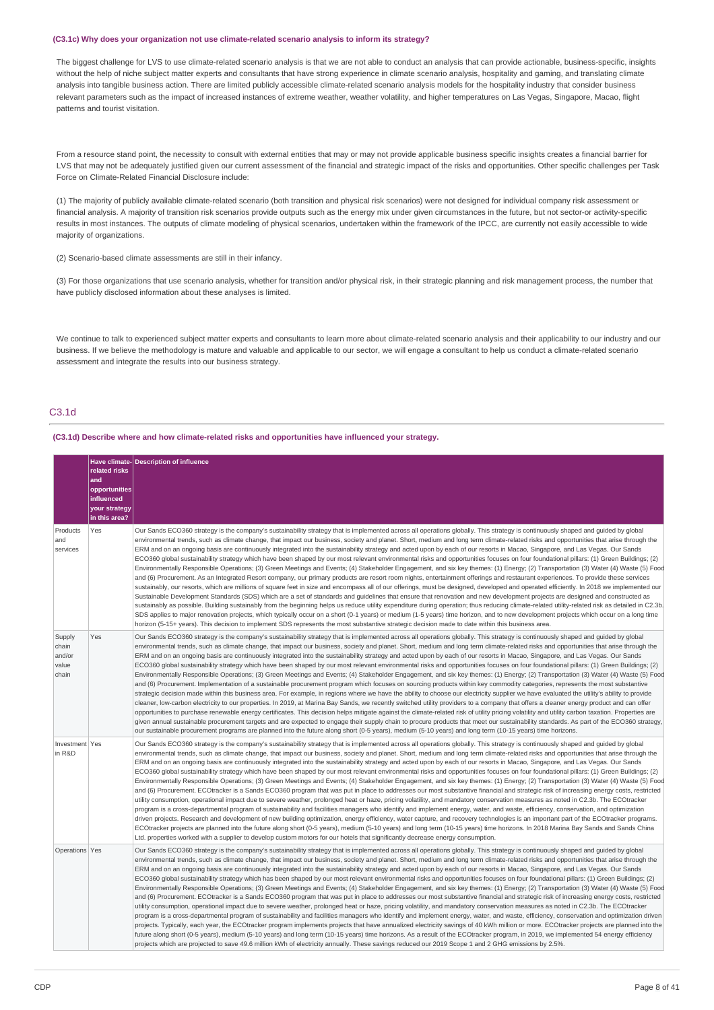#### **(C3.1c) Why does your organization not use climate-related scenario analysis to inform its strategy?**

The biggest challenge for LVS to use climate-related scenario analysis is that we are not able to conduct an analysis that can provide actionable, business-specific, insights without the help of niche subject matter experts and consultants that have strong experience in climate scenario analysis, hospitality and gaming, and translating climate analysis into tangible business action. There are limited publicly accessible climate-related scenario analysis models for the hospitality industry that consider business relevant parameters such as the impact of increased instances of extreme weather, weather volatility, and higher temperatures on Las Vegas, Singapore, Macao, flight patterns and tourist visitation.

From a resource stand point, the necessity to consult with external entities that may or may not provide applicable business specific insights creates a financial barrier for LVS that may not be adequately justified given our current assessment of the financial and strategic impact of the risks and opportunities. Other specific challenges per Task Force on Climate-Related Financial Disclosure include:

(1) The majority of publicly available climate-related scenario (both transition and physical risk scenarios) were not designed for individual company risk assessment or financial analysis. A majority of transition risk scenarios provide outputs such as the energy mix under given circumstances in the future, but not sector-or activity-specific results in most instances. The outputs of climate modeling of physical scenarios, undertaken within the framework of the IPCC, are currently not easily accessible to wide majority of organizations.

(2) Scenario-based climate assessments are still in their infancy.

(3) For those organizations that use scenario analysis, whether for transition and/or physical risk, in their strategic planning and risk management process, the number that have publicly disclosed information about these analyses is limited.

We continue to talk to experienced subject matter experts and consultants to learn more about climate-related scenario analysis and their applicability to our industry and our business. If we believe the methodology is mature and valuable and applicable to our sector, we will engage a consultant to help us conduct a climate-related scenario assessment and integrate the results into our business strategy.

## C3.1d

### **(C3.1d) Describe where and how climate-related risks and opportunities have influenced your strategy.**

| Products                                    | related risks<br>and<br>opportunities<br>influenced<br>your strategy<br>in this area?<br>Yes | Have climate- Description of influence<br>Our Sands ECO360 strategy is the company's sustainability strategy that is implemented across all operations globally. This strategy is continuously shaped and quided by global                                                                                                                                                                                                                                                                                                                                                                                                                                                                                                                                                                                                                                                                                                                                                                                                                                                                                                                                                                                                                                                                                                                                                                                                                                                                                                                                                                                                                                                                                                                                                                                                                                                                                                                                                                                                                                                    |
|---------------------------------------------|----------------------------------------------------------------------------------------------|-------------------------------------------------------------------------------------------------------------------------------------------------------------------------------------------------------------------------------------------------------------------------------------------------------------------------------------------------------------------------------------------------------------------------------------------------------------------------------------------------------------------------------------------------------------------------------------------------------------------------------------------------------------------------------------------------------------------------------------------------------------------------------------------------------------------------------------------------------------------------------------------------------------------------------------------------------------------------------------------------------------------------------------------------------------------------------------------------------------------------------------------------------------------------------------------------------------------------------------------------------------------------------------------------------------------------------------------------------------------------------------------------------------------------------------------------------------------------------------------------------------------------------------------------------------------------------------------------------------------------------------------------------------------------------------------------------------------------------------------------------------------------------------------------------------------------------------------------------------------------------------------------------------------------------------------------------------------------------------------------------------------------------------------------------------------------------|
| and<br>services                             |                                                                                              | environmental trends, such as climate change, that impact our business, society and planet. Short, medium and long term climate-related risks and opportunities that arise through the<br>ERM and on an ongoing basis are continuously integrated into the sustainability strategy and acted upon by each of our resorts in Macao, Singapore, and Las Vegas. Our Sands<br>ECO360 global sustainability strategy which have been shaped by our most relevant environmental risks and opportunities focuses on four foundational pillars: (1) Green Buildings; (2)<br>Environmentally Responsible Operations; (3) Green Meetings and Events; (4) Stakeholder Engagement, and six key themes: (1) Energy; (2) Transportation (3) Water (4) Waste (5) Food<br>and (6) Procurement. As an Integrated Resort company, our primary products are resort room nights, entertainment offerings and restaurant experiences. To provide these services<br>sustainably, our resorts, which are millions of square feet in size and encompass all of our offerings, must be designed, developed and operated efficiently. In 2018 we implemented our<br>Sustainable Development Standards (SDS) which are a set of standards and quidelines that ensure that renovation and new development projects are designed and constructed as<br>sustainably as possible. Building sustainably from the beginning helps us reduce utility expenditure during operation; thus reducing climate-related utility-related risk as detailed in C2.3b.<br>SDS applies to major renovation projects, which typically occur on a short (0-1 years) or medium (1-5 years) time horizon, and to new development projects which occur on a long time<br>horizon (5-15+ years). This decision to implement SDS represents the most substantive strategic decision made to date within this business area.                                                                                                                                                                                                        |
| Supply<br>chain<br>and/or<br>value<br>chain | Yes                                                                                          | Our Sands ECO360 strategy is the company's sustainability strategy that is implemented across all operations globally. This strategy is continuously shaped and quided by global<br>environmental trends, such as climate change, that impact our business, society and planet. Short, medium and long term climate-related risks and opportunities that arise through the<br>ERM and on an ongoing basis are continuously integrated into the sustainability strategy and acted upon by each of our resorts in Macao, Singapore, and Las Vegas. Our Sands<br>ECO360 global sustainability strategy which have been shaped by our most relevant environmental risks and opportunities focuses on four foundational pillars: (1) Green Buildings; (2)<br>Environmentally Responsible Operations; (3) Green Meetings and Events; (4) Stakeholder Engagement, and six key themes: (1) Energy; (2) Transportation (3) Water (4) Waste (5) Food<br>and (6) Procurement. Implementation of a sustainable procurement program which focuses on sourcing products within key commodity categories, represents the most substantive<br>strategic decision made within this business area. For example, in regions where we have the ability to choose our electricity supplier we have evaluated the utility's ability to provide<br>cleaner, low-carbon electricity to our properties. In 2019, at Marina Bay Sands, we recently switched utility providers to a company that offers a cleaner energy product and can offer<br>opportunities to purchase renewable energy certificates. This decision helps mitigate against the climate-related risk of utility pricing volatility and utility carbon taxation. Properties are<br>given annual sustainable procurement targets and are expected to engage their supply chain to procure products that meet our sustainability standards. As part of the ECO360 strategy,<br>our sustainable procurement programs are planned into the future along short (0-5 years), medium (5-10 years) and long term (10-15 years) time horizons. |
| Investment Yes<br>in R&D                    |                                                                                              | Our Sands ECO360 strategy is the company's sustainability strategy that is implemented across all operations globally. This strategy is continuously shaped and quided by global<br>environmental trends, such as climate change, that impact our business, society and planet. Short, medium and long term climate-related risks and opportunities that arise through the<br>ERM and on an ongoing basis are continuously integrated into the sustainability strategy and acted upon by each of our resorts in Macao, Singapore, and Las Vegas. Our Sands<br>ECO360 global sustainability strategy which have been shaped by our most relevant environmental risks and opportunities focuses on four foundational pillars: (1) Green Buildings; (2)<br>Environmentally Responsible Operations; (3) Green Meetings and Events; (4) Stakeholder Engagement, and six key themes: (1) Energy; (2) Transportation (3) Water (4) Waste (5) Food<br>and (6) Procurement. ECOtracker is a Sands ECO360 program that was put in place to addresses our most substantive financial and strategic risk of increasing energy costs, restricted<br>utility consumption, operational impact due to severe weather, prolonged heat or haze, pricing volatility, and mandatory conservation measures as noted in C2.3b. The ECOtracker<br>program is a cross-departmental program of sustainability and facilities managers who identify and implement energy, water, and waste, efficiency, conservation, and optimization<br>driven projects. Research and development of new building optimization, energy efficiency, water capture, and recovery technologies is an important part of the ECOtracker programs.<br>ECOtracker projects are planned into the future along short (0-5 years), medium (5-10 years) and long term (10-15 years) time horizons. In 2018 Marina Bay Sands and Sands China<br>Ltd. properties worked with a supplier to develop custom motors for our hotels that significantly decrease energy consumption.                                                    |
| Operations Yes                              |                                                                                              | Our Sands ECO360 strategy is the company's sustainability strategy that is implemented across all operations globally. This strategy is continuously shaped and quided by global<br>environmental trends, such as climate change, that impact our business, society and planet. Short, medium and long term climate-related risks and opportunities that arise through the<br>ERM and on an ongoing basis are continuously integrated into the sustainability strategy and acted upon by each of our resorts in Macao, Singapore, and Las Vegas. Our Sands<br>ECO360 global sustainability strategy which has been shaped by our most relevant environmental risks and opportunities focuses on four foundational pillars: (1) Green Buildings; (2)<br>Environmentally Responsible Operations; (3) Green Meetings and Events; (4) Stakeholder Engagement, and six key themes: (1) Energy; (2) Transportation (3) Water (4) Waste (5) Food<br>and (6) Procurement. ECOtracker is a Sands ECO360 program that was put in place to addresses our most substantive financial and strategic risk of increasing energy costs, restricted<br>utility consumption, operational impact due to severe weather, prolonged heat or haze, pricing volatility, and mandatory conservation measures as noted in C2.3b. The ECOtracker<br>program is a cross-departmental program of sustainability and facilities managers who identify and implement energy, water, and waste, efficiency, conservation and optimization driven<br>projects. Typically, each year, the ECOtracker program implements projects that have annualized electricity savings of 40 kWh million or more. ECOtracker projects are planned into the<br>future along short (0-5 years), medium (5-10 years) and long term (10-15 years) time horizons. As a result of the ECOtracker program, in 2019, we implemented 54 energy efficiency<br>projects which are projected to save 49.6 million kWh of electricity annually. These savings reduced our 2019 Scope 1 and 2 GHG emissions by 2.5%.                      |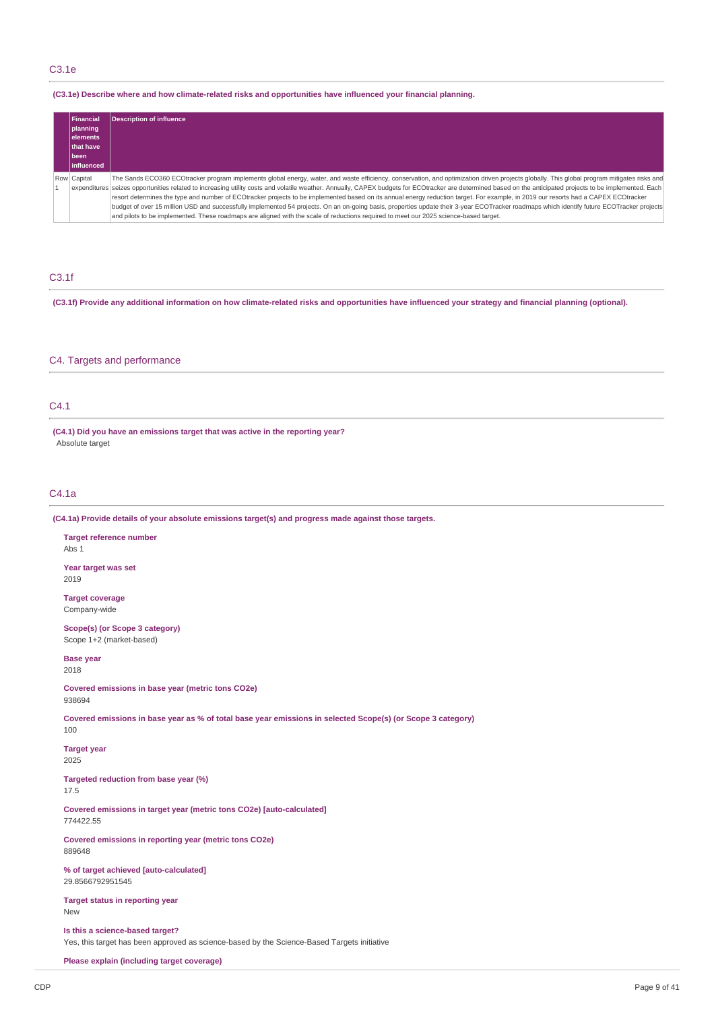## C3.1e

### **(C3.1e) Describe where and how climate-related risks and opportunities have influenced your financial planning.**

| Financial<br>planning<br>lelements<br><b>Ithat have</b><br>l been<br>linfluenced | <b>Description of influence</b>                                                                                                                                                                                                                                                                                                                                                                                                                                                                                                                                                                                                                                                                                                                                                                                                                                                                                                          |
|----------------------------------------------------------------------------------|------------------------------------------------------------------------------------------------------------------------------------------------------------------------------------------------------------------------------------------------------------------------------------------------------------------------------------------------------------------------------------------------------------------------------------------------------------------------------------------------------------------------------------------------------------------------------------------------------------------------------------------------------------------------------------------------------------------------------------------------------------------------------------------------------------------------------------------------------------------------------------------------------------------------------------------|
| Row Capital                                                                      | The Sands ECO360 ECOtracker program implements global energy, water, and waste efficiency, conservation, and optimization driven projects globally. This global program mitigates risks and<br>expenditures seizes opportunities related to increasing utility costs and volatile weather. Annually, CAPEX budgets for ECOtracker are determined based on the anticipated projects to be implemented. Each<br>resort determines the type and number of ECOtracker projects to be implemented based on its annual energy reduction target. For example, in 2019 our resorts had a CAPEX ECOtracker<br>budget of over 15 million USD and successfully implemented 54 projects. On an on-going basis, properties update their 3-year ECOTracker roadmaps which identify future ECOTracker projects<br>and pilots to be implemented. These roadmaps are aligned with the scale of reductions required to meet our 2025 science-based target. |

## C3.1f

(C3.1f) Provide any additional information on how climate-related risks and opportunities have influenced your strategy and financial planning (optional).

## C4. Targets and performance

## C4.1

**(C4.1) Did you have an emissions target that was active in the reporting year?** Absolute target

## C4.1a

**(C4.1a) Provide details of your absolute emissions target(s) and progress made against those targets.**

**Target reference number** Abs 1

**Year target was set** 2019

**Target coverage** Company-wide

**Scope(s) (or Scope 3 category)** Scope 1+2 (market-based)

**Base year** 2018

**Covered emissions in base year (metric tons CO2e)** 938694

Covered emissions in base year as % of total base year emissions in selected Scope(s) (or Scope 3 category) 100

**Target year**

2025

**Targeted reduction from base year (%)** 17.5

**Covered emissions in target year (metric tons CO2e) [auto-calculated]** 774422.55

**Covered emissions in reporting year (metric tons CO2e)** 889648

**% of target achieved [auto-calculated]** 29.8566792951545

**Target status in reporting year** New

**Is this a science-based target?** Yes, this target has been approved as science-based by the Science-Based Targets initiative

**Please explain (including target coverage)**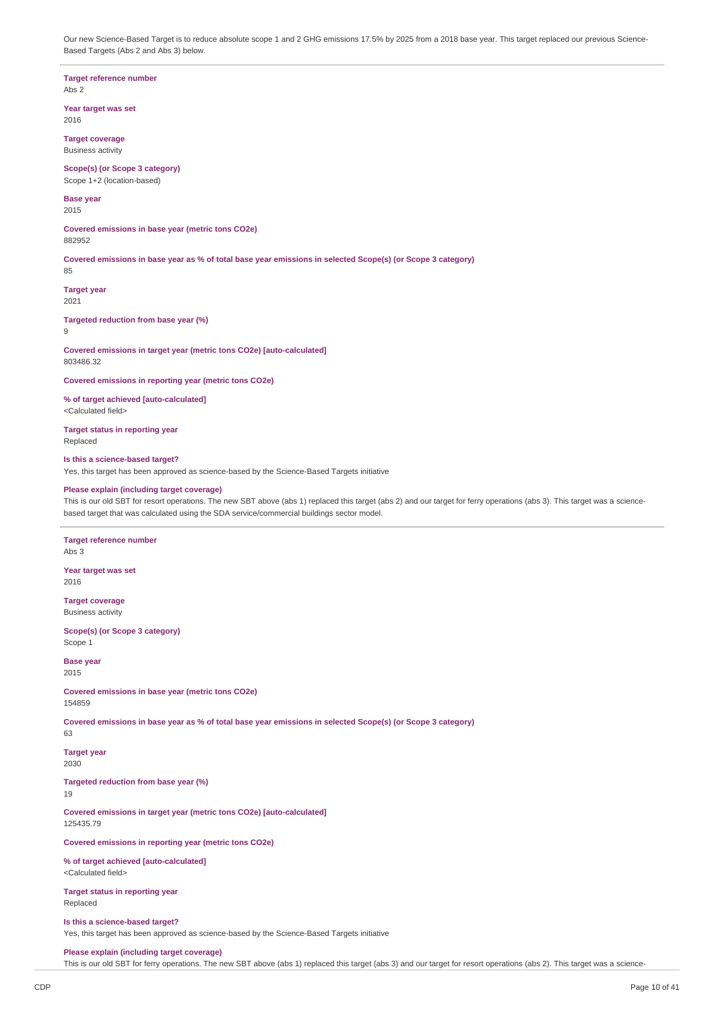Our new Science-Based Target is to reduce absolute scope 1 and 2 GHG emissions 17.5% by 2025 from a 2018 base year. This target replaced our previous Science-Based Targets (Abs 2 and Abs 3) below.

**Target reference number** Abs 2

**Year target was set**

2016 **Target coverage**

Business activity

**Scope(s) (or Scope 3 category)** Scope 1+2 (location-based)

**Base year** 2015

**Covered emissions in base year (metric tons CO2e)** 882952

Covered emissions in base year as % of total base year emissions in selected Scope(s) (or Scope 3 category)

**Target year** 2021

**Targeted reduction from base year (%)**

9

85

**Covered emissions in target year (metric tons CO2e) [auto-calculated]** 803486.32

**Covered emissions in reporting year (metric tons CO2e)**

**% of target achieved [auto-calculated]** <Calculated field>

**Target status in reporting year** Replaced

**Is this a science-based target?**

Yes, this target has been approved as science-based by the Science-Based Targets initiative

## **Please explain (including target coverage)**

This is our old SBT for resort operations. The new SBT above (abs 1) replaced this target (abs 2) and our target for ferry operations (abs 3). This target was a sciencebased target that was calculated using the SDA service/commercial buildings sector model.

## **Target reference number**

Abs 3

**Year target was set** 2016

**Target coverage** Business activity

**Scope(s) (or Scope 3 category)** Scope 1

**Base year** 2015

**Covered emissions in base year (metric tons CO2e)** 154859

Covered emissions in base year as % of total base year emissions in selected Scope(s) (or Scope 3 category) 63

**Target year** 2030

**Targeted reduction from base year (%)**

19

**Covered emissions in target year (metric tons CO2e) [auto-calculated]** 125435.79

**Covered emissions in reporting year (metric tons CO2e)**

**% of target achieved [auto-calculated]** <Calculated field>

**Target status in reporting year** Replaced

## **Is this a science-based target?**

Yes, this target has been approved as science-based by the Science-Based Targets initiative

**Please explain (including target coverage)**

This is our old SBT for ferry operations. The new SBT above (abs 1) replaced this target (abs 3) and our target for resort operations (abs 2). This target was a science-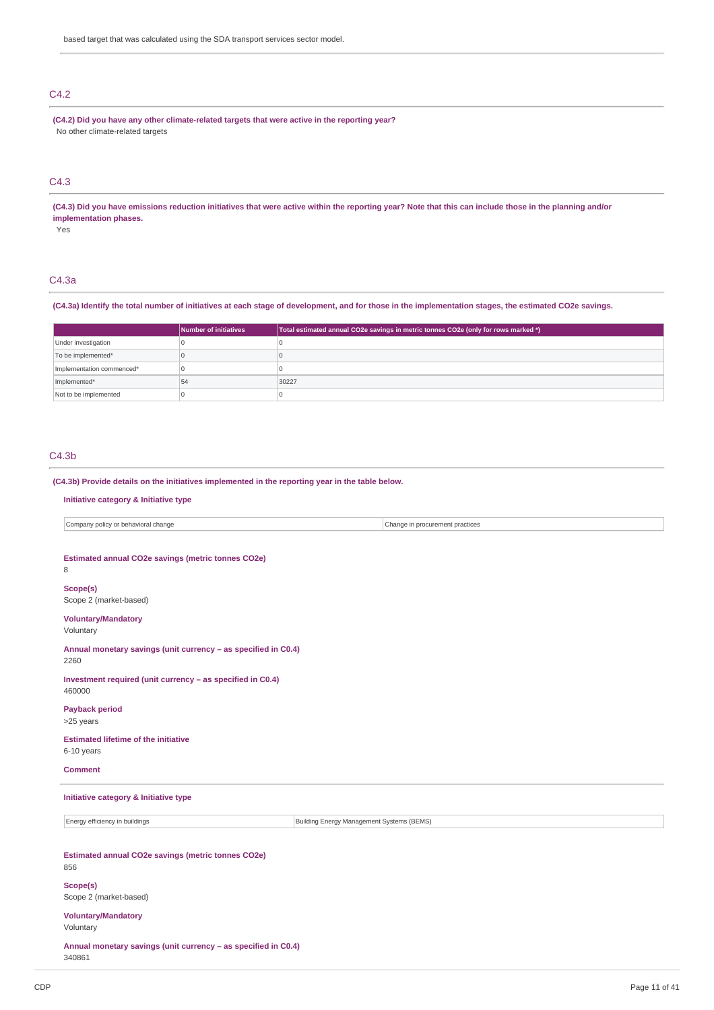## C4.2

**(C4.2) Did you have any other climate-related targets that were active in the reporting year?** No other climate-related targets

## C4.3

(C4.3) Did you have emissions reduction initiatives that were active within the reporting year? Note that this can include those in the planning and/or **implementation phases.**

Yes

### C4.3a

### (C4.3a) Identify the total number of initiatives at each stage of development, and for those in the implementation stages, the estimated CO2e savings.

|                           | Number of initiatives | Total estimated annual CO2e savings in metric tonnes CO2e (only for rows marked *) |
|---------------------------|-----------------------|------------------------------------------------------------------------------------|
| Under investigation       |                       |                                                                                    |
| To be implemented*        |                       |                                                                                    |
| Implementation commenced* |                       |                                                                                    |
| Implemented*              | 54                    | 30227                                                                              |
| Not to be implemented     |                       |                                                                                    |

## C4.3b

**(C4.3b) Provide details on the initiatives implemented in the reporting year in the table below.**

### **Initiative category & Initiative type**

Company policy or behavioral change Change in procurement practices

### **Estimated annual CO2e savings (metric tonnes CO2e)**

8

## **Scope(s)**

Scope 2 (market-based)

## **Voluntary/Mandatory**

Voluntary

### **Annual monetary savings (unit currency – as specified in C0.4)** 2260

**Investment required (unit currency – as specified in C0.4)** 460000

**Payback period**

>25 years

### **Estimated lifetime of the initiative** 6-10 years

## **Comment**

## **Initiative category & Initiative type**

Energy efficiency in buildings **Building Energy Management Systems (BEMS)** Building Energy Management Systems (BEMS)

## **Estimated annual CO2e savings (metric tonnes CO2e)** 856

### **Scope(s)** Scope 2 (market-based)

**Voluntary/Mandatory**

Voluntary

**Annual monetary savings (unit currency – as specified in C0.4)** 340861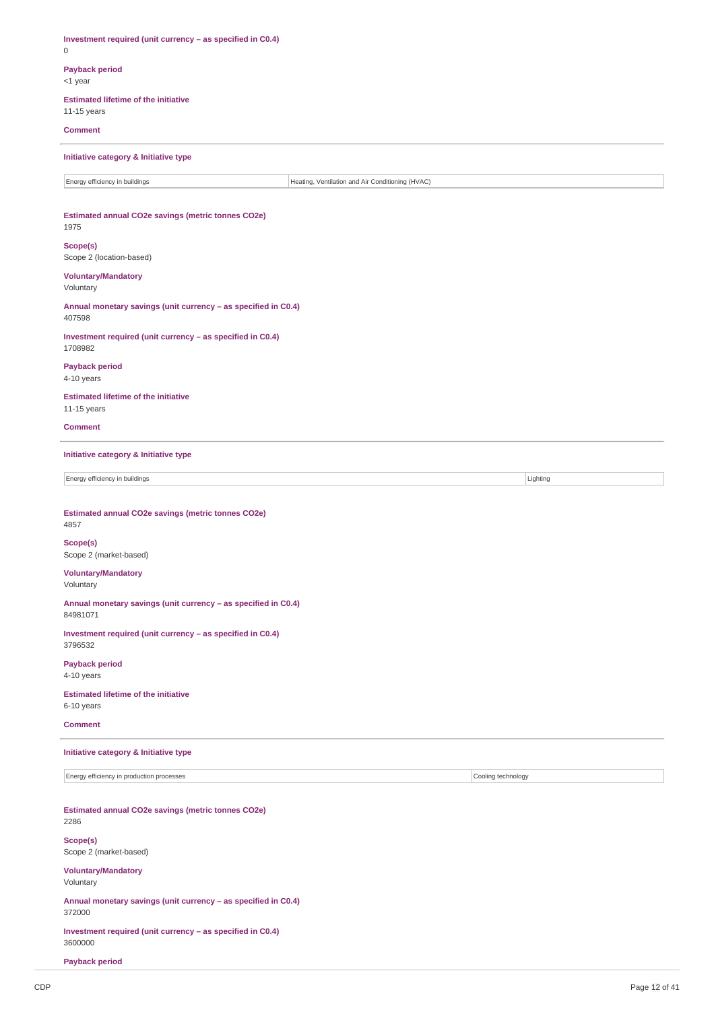**Investment required (unit currency – as specified in C0.4)** 0 **Payback period** <1 year **Estimated lifetime of the initiative** 11-15 years **Comment Initiative category & Initiative type** Energy efficiency in buildings **Heating, Ventilation and Air Conditioning (HVAC) Estimated annual CO2e savings (metric tonnes CO2e)** 1975 **Scope(s)** Scope 2 (location-based) **Voluntary/Mandatory** Voluntary **Annual monetary savings (unit currency – as specified in C0.4)** 407598 **Investment required (unit currency – as specified in C0.4)** 1708982 **Payback period** 4-10 years **Estimated lifetime of the initiative** 11-15 years **Comment Initiative category & Initiative type** Energy efficiency in buildings Lighting **Estimated annual CO2e savings (metric tonnes CO2e)** 4857 **Scope(s)** Scope 2 (market-based) **Voluntary/Mandatory** Voluntary **Annual monetary savings (unit currency – as specified in C0.4)** 84981071 **Investment required (unit currency – as specified in C0.4)** 3796532 **Payback period** 4-10 years **Estimated lifetime of the initiative** 6-10 years **Comment Initiative category & Initiative type** Energy efficiency in production processes Cooling technology **Estimated annual CO2e savings (metric tonnes CO2e)** 2286 **Scope(s)** Scope 2 (market-based) **Voluntary/Mandatory** Voluntary **Annual monetary savings (unit currency – as specified in C0.4)** 372000 **Investment required (unit currency – as specified in C0.4)** 3600000 **Payback period**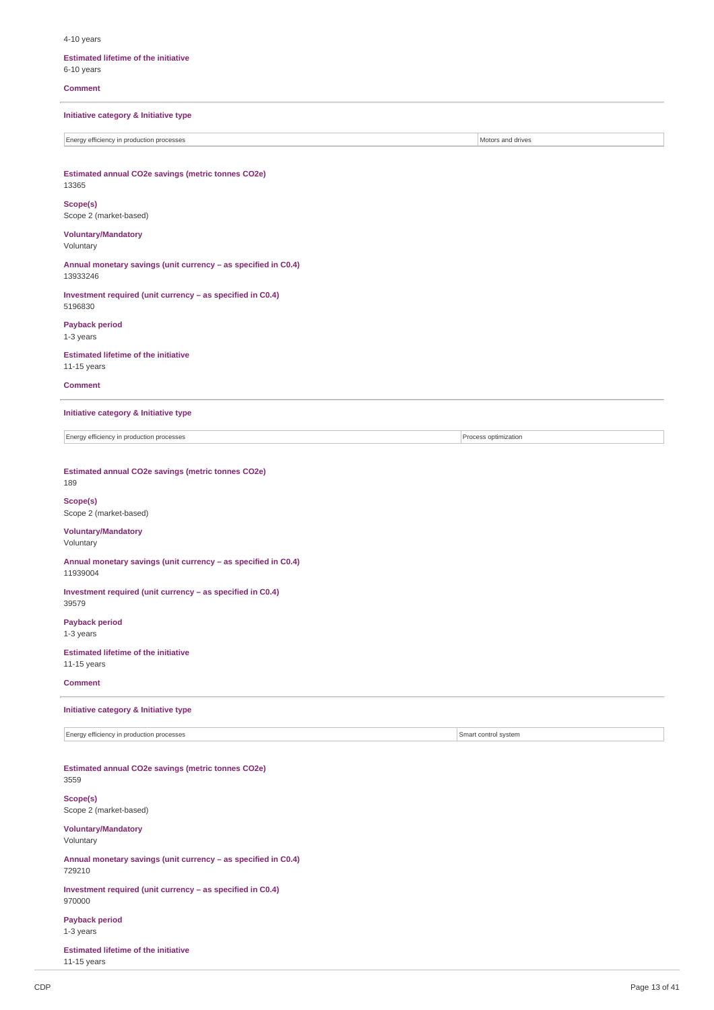4-10 years

### **Estimated lifetime of the initiative** 6-10 years

**Comment**

**Initiative category & Initiative type**

Energy efficiency in production processes **Motors and Security 1999** Motors and drives

**Estimated annual CO2e savings (metric tonnes CO2e)** 13365

**Scope(s)** Scope 2 (market-based)

**Voluntary/Mandatory** Voluntary

**Annual monetary savings (unit currency – as specified in C0.4)** 13933246

**Investment required (unit currency – as specified in C0.4)** 5196830

**Payback period** 1-3 years

**Estimated lifetime of the initiative** 11-15 years

### **Comment**

**Initiative category & Initiative type**

Energy efficiency in production processes **Process** optimization

**Estimated annual CO2e savings (metric tonnes CO2e)** 189

**Scope(s)** Scope 2 (market-based)

### **Voluntary/Mandatory** Voluntary

**Annual monetary savings (unit currency – as specified in C0.4)** 11939004

**Investment required (unit currency – as specified in C0.4)** 39579

**Payback period** 1-3 years

**Estimated lifetime of the initiative** 11-15 years

**Comment**

**Initiative category & Initiative type**

Energy efficiency in production processes Smart control system

**Estimated annual CO2e savings (metric tonnes CO2e)** 3559

## **Scope(s)**

Scope 2 (market-based)

## **Voluntary/Mandatory** Voluntary

**Annual monetary savings (unit currency – as specified in C0.4)** 729210

**Investment required (unit currency – as specified in C0.4)** 970000

**Payback period** 1-3 years

**Estimated lifetime of the initiative** 11-15 years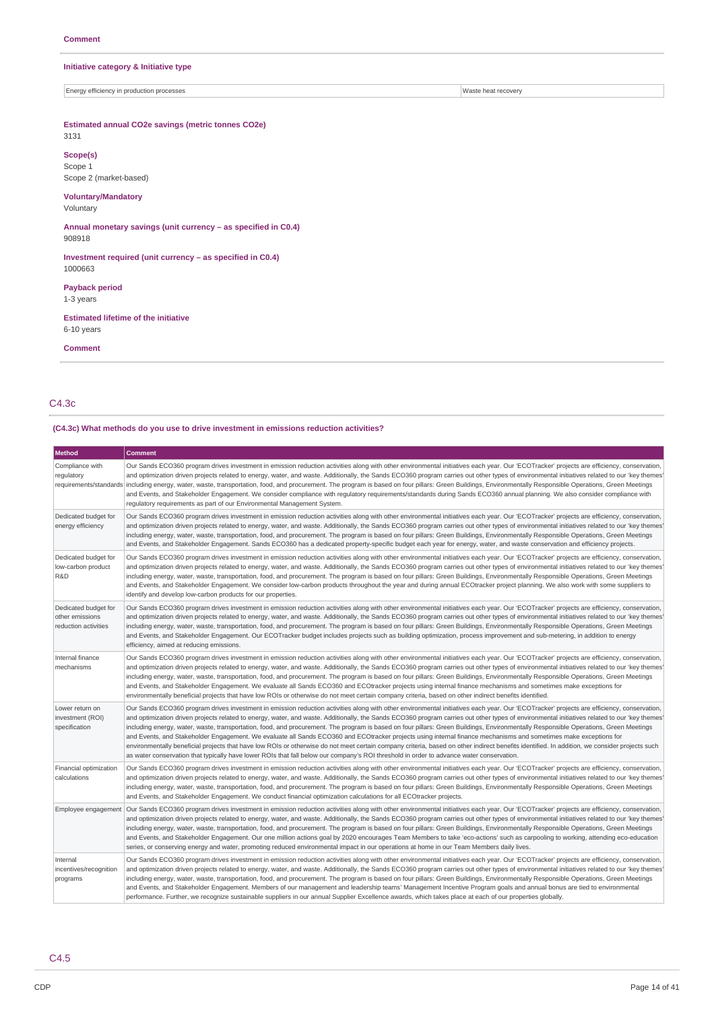### **Initiative category & Initiative type**

Energy efficiency in production processes Waste heat recovery

## **Estimated annual CO2e savings (metric tonnes CO2e)**

3131 **Scope(s)**

Scope 1 Scope 2 (market-based)

## **Voluntary/Mandatory**

Voluntary

**Annual monetary savings (unit currency – as specified in C0.4)** 908918

**Investment required (unit currency – as specified in C0.4)** 1000663

**Payback period**

1-3 years

**Estimated lifetime of the initiative** 6-10 years

**Comment**

C4.3c

## **(C4.3c) What methods do you use to drive investment in emissions reduction activities?**

| <b>Method</b>                                                   | <b>Comment</b>                                                                                                                                                                                                                                                                                                                                                                                                                                                                                                                                                                                                                                                                                                                                                                                                                                                                                                                                                                                                                                                                                      |
|-----------------------------------------------------------------|-----------------------------------------------------------------------------------------------------------------------------------------------------------------------------------------------------------------------------------------------------------------------------------------------------------------------------------------------------------------------------------------------------------------------------------------------------------------------------------------------------------------------------------------------------------------------------------------------------------------------------------------------------------------------------------------------------------------------------------------------------------------------------------------------------------------------------------------------------------------------------------------------------------------------------------------------------------------------------------------------------------------------------------------------------------------------------------------------------|
| Compliance with<br>regulatory                                   | Our Sands ECO360 program drives investment in emission reduction activities along with other environmental initiatives each year. Our 'ECOTracker' projects are efficiency, conservation,<br>and optimization driven projects related to energy, water, and waste. Additionally, the Sands ECO360 program carries out other types of environmental initiatives related to our 'key themes'<br>requirements/standards including energy, water, waste, transportation, food, and procurement. The program is based on four pillars: Green Buildings, Environmentally Responsible Operations, Green Meetings<br>and Events, and Stakeholder Engagement. We consider compliance with regulatory requirements/standards during Sands ECO360 annual planning. We also consider compliance with<br>requiatory requirements as part of our Environmental Management System.                                                                                                                                                                                                                                 |
| Dedicated budget for<br>energy efficiency                       | Our Sands ECO360 program drives investment in emission reduction activities along with other environmental initiatives each year. Our 'ECOTracker' projects are efficiency, conservation,<br>and optimization driven projects related to energy, water, and waste. Additionally, the Sands ECO360 program carries out other types of environmental initiatives related to our 'key themes'<br>including energy, water, waste, transportation, food, and procurement. The program is based on four pillars: Green Buildings, Environmentally Responsible Operations, Green Meetings<br>and Events, and Stakeholder Engagement. Sands ECO360 has a dedicated property-specific budget each year for energy, water, and waste conservation and efficiency projects.                                                                                                                                                                                                                                                                                                                                    |
| Dedicated budget for<br>low-carbon product<br>R&D               | Our Sands ECO360 program drives investment in emission reduction activities along with other environmental initiatives each year. Our 'ECOTracker' projects are efficiency, conservation,<br>and optimization driven projects related to energy, water, and waste. Additionally, the Sands ECO360 program carries out other types of environmental initiatives related to our 'key themes'<br>including energy, water, waste, transportation, food, and procurement. The program is based on four pillars: Green Buildings, Environmentally Responsible Operations, Green Meetings<br>and Events, and Stakeholder Engagement. We consider low-carbon products throughout the year and during annual ECOtracker project planning. We also work with some suppliers to<br>identify and develop low-carbon products for our properties.                                                                                                                                                                                                                                                                |
| Dedicated budget for<br>other emissions<br>reduction activities | Our Sands ECO360 program drives investment in emission reduction activities along with other environmental initiatives each year. Our 'ECOTracker' projects are efficiency, conservation,<br>and optimization driven projects related to energy, water, and waste. Additionally, the Sands ECO360 program carries out other types of environmental initiatives related to our 'key themes'<br>including energy, water, waste, transportation, food, and procurement. The program is based on four pillars: Green Buildings, Environmentally Responsible Operations, Green Meetings<br>and Events, and Stakeholder Engagement. Our ECOTracker budget includes projects such as building optimization, process improvement and sub-metering, in addition to energy<br>efficiency, aimed at reducing emissions.                                                                                                                                                                                                                                                                                        |
| Internal finance<br>mechanisms                                  | Our Sands ECO360 program drives investment in emission reduction activities along with other environmental initiatives each year. Our 'ECOTracker' projects are efficiency, conservation,<br>and optimization driven projects related to energy, water, and waste. Additionally, the Sands ECO360 program carries out other types of environmental initiatives related to our 'key themes'<br>including energy, water, waste, transportation, food, and procurement. The program is based on four pillars: Green Buildings, Environmentally Responsible Operations, Green Meetings<br>and Events, and Stakeholder Engagement. We evaluate all Sands ECO360 and ECOtracker projects using internal finance mechanisms and sometimes make exceptions for<br>environmentally beneficial projects that have low ROIs or otherwise do not meet certain company criteria, based on other indirect benefits identified.                                                                                                                                                                                    |
| Lower return on<br>investment (ROI)<br>specification            | Our Sands ECO360 program drives investment in emission reduction activities along with other environmental initiatives each year. Our 'ECOTracker' projects are efficiency, conservation,<br>and optimization driven projects related to energy, water, and waste. Additionally, the Sands ECO360 program carries out other types of environmental initiatives related to our 'key themes'<br>including energy, water, waste, transportation, food, and procurement. The program is based on four pillars: Green Buildings, Environmentally Responsible Operations, Green Meetings<br>and Events, and Stakeholder Engagement. We evaluate all Sands ECO360 and ECOtracker projects using internal finance mechanisms and sometimes make exceptions for<br>environmentally beneficial projects that have low ROIs or otherwise do not meet certain company criteria, based on other indirect benefits identified. In addition, we consider projects such<br>as water conservation that typically have lower ROIs that fall below our company's ROI threshold in order to advance water conservation. |
| Financial optimization<br>calculations                          | Our Sands ECO360 program drives investment in emission reduction activities along with other environmental initiatives each year. Our 'ECOTracker' projects are efficiency, conservation,<br>and optimization driven projects related to energy, water, and waste. Additionally, the Sands ECO360 program carries out other types of environmental initiatives related to our 'key themes'<br>including energy, water, waste, transportation, food, and procurement. The program is based on four pillars: Green Buildings, Environmentally Responsible Operations, Green Meetings<br>and Events, and Stakeholder Engagement. We conduct financial optimization calculations for all ECOtracker projects.                                                                                                                                                                                                                                                                                                                                                                                           |
| Employee engagement                                             | Our Sands ECO360 program drives investment in emission reduction activities along with other environmental initiatives each year. Our 'ECOTracker' projects are efficiency, conservation,<br>and optimization driven projects related to energy, water, and waste. Additionally, the Sands ECO360 program carries out other types of environmental initiatives related to our 'key themes'<br>including energy, water, waste, transportation, food, and procurement. The program is based on four pillars: Green Buildings, Environmentally Responsible Operations, Green Meetings<br>and Events, and Stakeholder Engagement. Our one million actions goal by 2020 encourages Team Members to take 'eco-actions' such as carpooling to working, attending eco-education<br>series, or conserving energy and water, promoting reduced environmental impact in our operations at home in our Team Members daily lives.                                                                                                                                                                                |
| Internal<br>incentives/recognition<br>programs                  | Our Sands ECO360 program drives investment in emission reduction activities along with other environmental initiatives each year. Our 'ECOTracker' projects are efficiency, conservation,<br>and optimization driven projects related to energy, water, and waste. Additionally, the Sands ECO360 program carries out other types of environmental initiatives related to our 'key themes'<br>including energy, water, waste, transportation, food, and procurement. The program is based on four pillars: Green Buildings, Environmentally Responsible Operations, Green Meetings<br>and Events, and Stakeholder Engagement. Members of our management and leadership teams' Management Incentive Program goals and annual bonus are tied to environmental<br>performance. Further, we recognize sustainable suppliers in our annual Supplier Excellence awards, which takes place at each of our properties globally.                                                                                                                                                                             |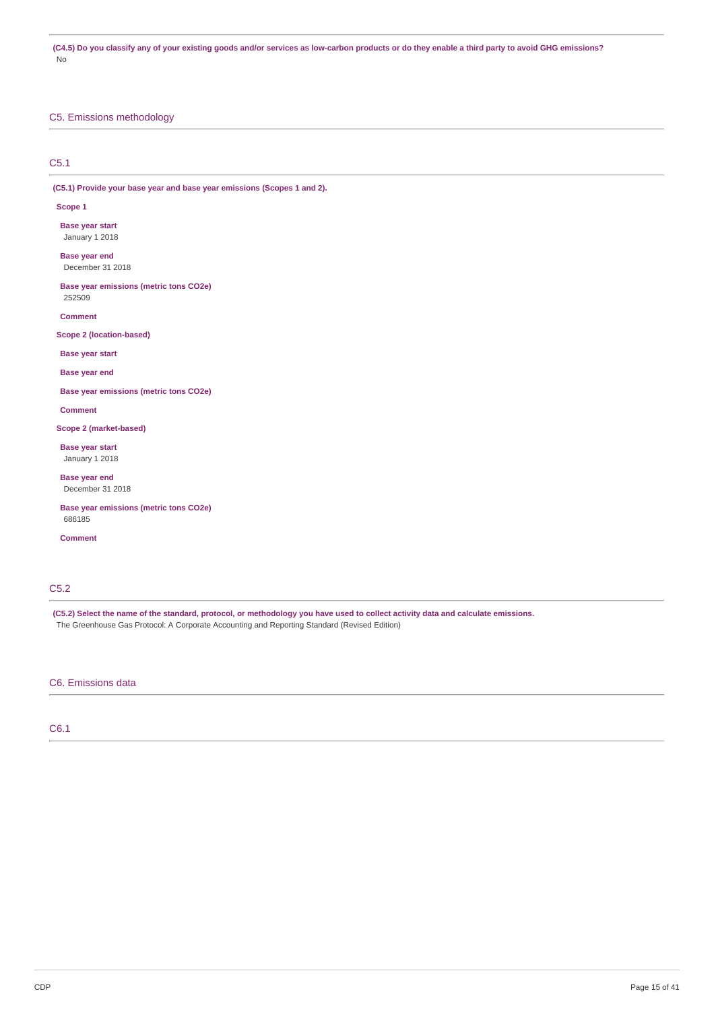(C4.5) Do you classify any of your existing goods and/or services as low-carbon products or do they enable a third party to avoid GHG emissions? No

## C5. Emissions methodology

## C5.1

**(C5.1) Provide your base year and base year emissions (Scopes 1 and 2).**

### **Scope 1**

**Base year start** January 1 2018

**Base year end** December 31 2018

**Base year emissions (metric tons CO2e)** 252509

**Comment**

**Scope 2 (location-based)**

**Base year start**

**Base year end**

**Base year emissions (metric tons CO2e)**

**Comment**

**Scope 2 (market-based)**

**Base year start** January 1 2018

**Base year end** December 31 2018

**Base year emissions (metric tons CO2e)** 686185

**Comment**

## C5.2

(C5.2) Select the name of the standard, protocol, or methodology you have used to collect activity data and calculate emissions. The Greenhouse Gas Protocol: A Corporate Accounting and Reporting Standard (Revised Edition)

## C6. Emissions data

C6.1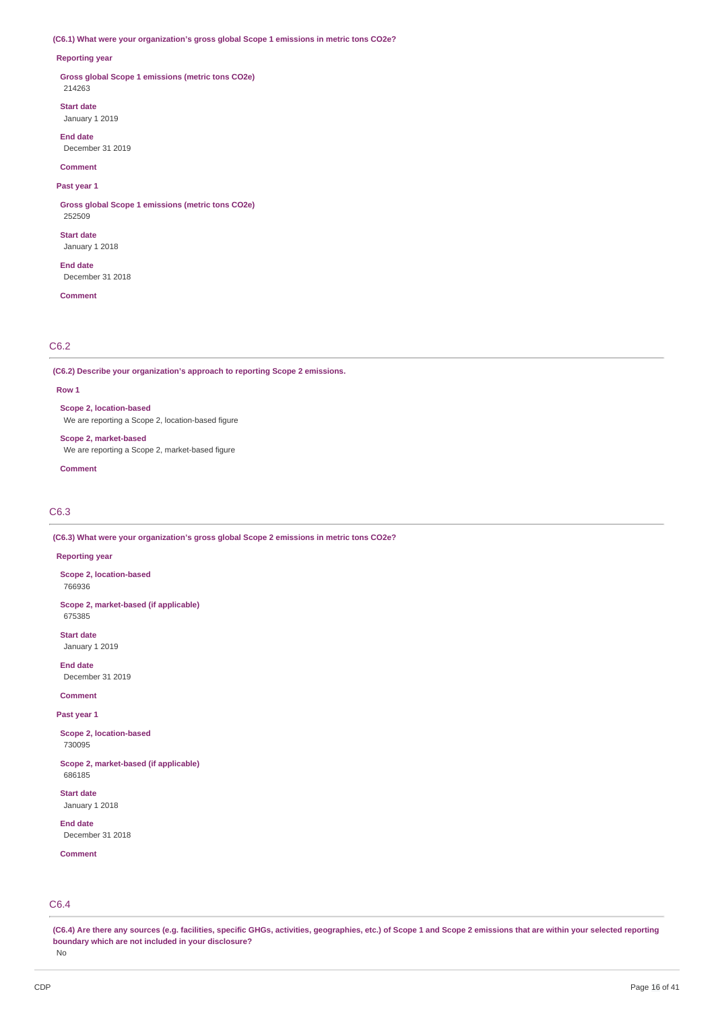### **(C6.1) What were your organization's gross global Scope 1 emissions in metric tons CO2e?**

### **Reporting year**

**Gross global Scope 1 emissions (metric tons CO2e)** 214263

**Start date** January 1 2019

**End date**

December 31 2019

**Comment**

## **Past year 1**

**Gross global Scope 1 emissions (metric tons CO2e)** 252509

**Start date** January 1 2018

**End date** December 31 2018

**Comment**

## C6.2

**(C6.2) Describe your organization's approach to reporting Scope 2 emissions.**

### **Row 1**

**Scope 2, location-based** We are reporting a Scope 2, location-based figure

**Scope 2, market-based** We are reporting a Scope 2, market-based figure

**Comment**

### C6.3

**(C6.3) What were your organization's gross global Scope 2 emissions in metric tons CO2e?**

### **Reporting year**

**Scope 2, location-based** 766936

**Scope 2, market-based (if applicable)** 675385

**Start date** January 1 2019

**End date** December 31 2019

**Comment**

**Past year 1**

**Scope 2, location-based** 730095

**Scope 2, market-based (if applicable)** 686185

**Start date** January 1 2018

**End date** December 31 2018

**Comment**

## C6.4

(C6.4) Are there any sources (e.g. facilities, specific GHGs, activities, geographies, etc.) of Scope 1 and Scope 2 emissions that are within your selected reporting **boundary which are not included in your disclosure?**

No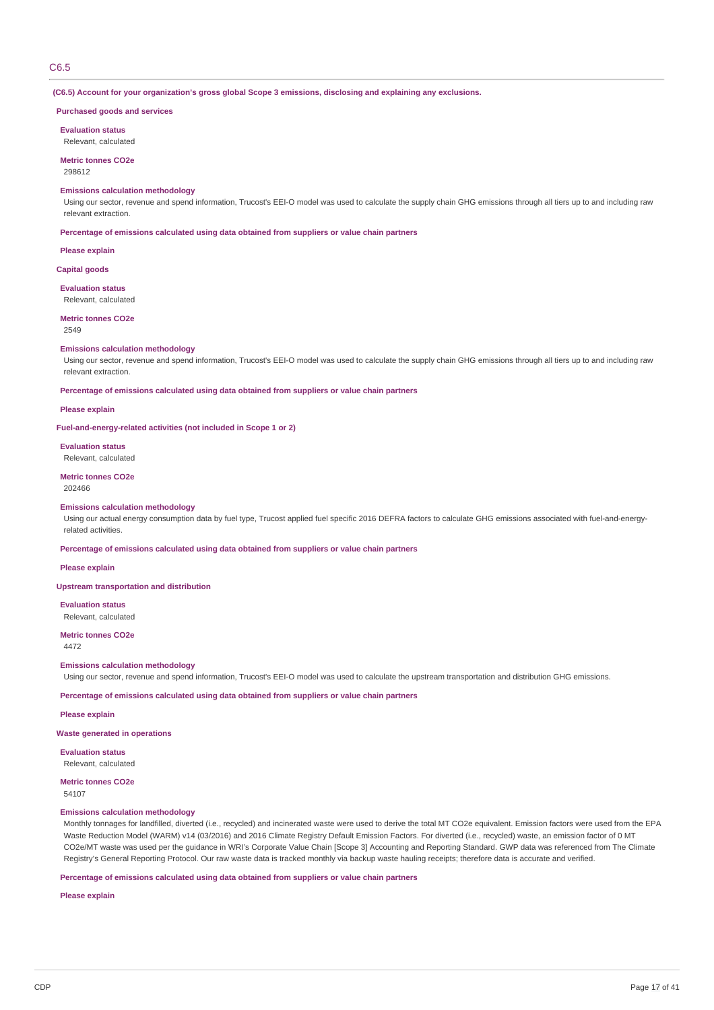### C6.5

**(C6.5) Account for your organization's gross global Scope 3 emissions, disclosing and explaining any exclusions.**

### **Purchased goods and services**

**Evaluation status** Relevant, calculated

**Metric tonnes CO2e** 298612

#### **Emissions calculation methodology**

Using our sector, revenue and spend information, Trucost's EEI-O model was used to calculate the supply chain GHG emissions through all tiers up to and including raw relevant extraction.

**Percentage of emissions calculated using data obtained from suppliers or value chain partners**

**Please explain**

**Capital goods**

**Evaluation status**

Relevant, calculated

**Metric tonnes CO2e**

2549

### **Emissions calculation methodology**

Using our sector, revenue and spend information, Trucost's EEI-O model was used to calculate the supply chain GHG emissions through all tiers up to and including raw relevant extraction.

**Percentage of emissions calculated using data obtained from suppliers or value chain partners**

### **Please explain**

**Fuel-and-energy-related activities (not included in Scope 1 or 2)**

### **Evaluation status** Relevant, calculated

## **Metric tonnes CO2e**

202466

### **Emissions calculation methodology**

Using our actual energy consumption data by fuel type, Trucost applied fuel specific 2016 DEFRA factors to calculate GHG emissions associated with fuel-and-energyrelated activities.

**Percentage of emissions calculated using data obtained from suppliers or value chain partners**

#### **Please explain**

**Upstream transportation and distribution**

**Evaluation status**

Relevant, calculated

**Metric tonnes CO2e** 4472

#### **Emissions calculation methodology**

Using our sector, revenue and spend information, Trucost's EEI-O model was used to calculate the upstream transportation and distribution GHG emissions.

**Percentage of emissions calculated using data obtained from suppliers or value chain partners**

### **Please explain**

### **Waste generated in operations**

**Evaluation status** Relevant, calculated

### **Metric tonnes CO2e**

54107

## **Emissions calculation methodology**

Monthly tonnages for landfilled, diverted (i.e., recycled) and incinerated waste were used to derive the total MT CO2e equivalent. Emission factors were used from the EPA Waste Reduction Model (WARM) v14 (03/2016) and 2016 Climate Registry Default Emission Factors. For diverted (i.e., recycled) waste, an emission factor of 0 MT CO2e/MT waste was used per the guidance in WRI's Corporate Value Chain [Scope 3] Accounting and Reporting Standard. GWP data was referenced from The Climate Registry's General Reporting Protocol. Our raw waste data is tracked monthly via backup waste hauling receipts; therefore data is accurate and verified.

**Percentage of emissions calculated using data obtained from suppliers or value chain partners**

**Please explain**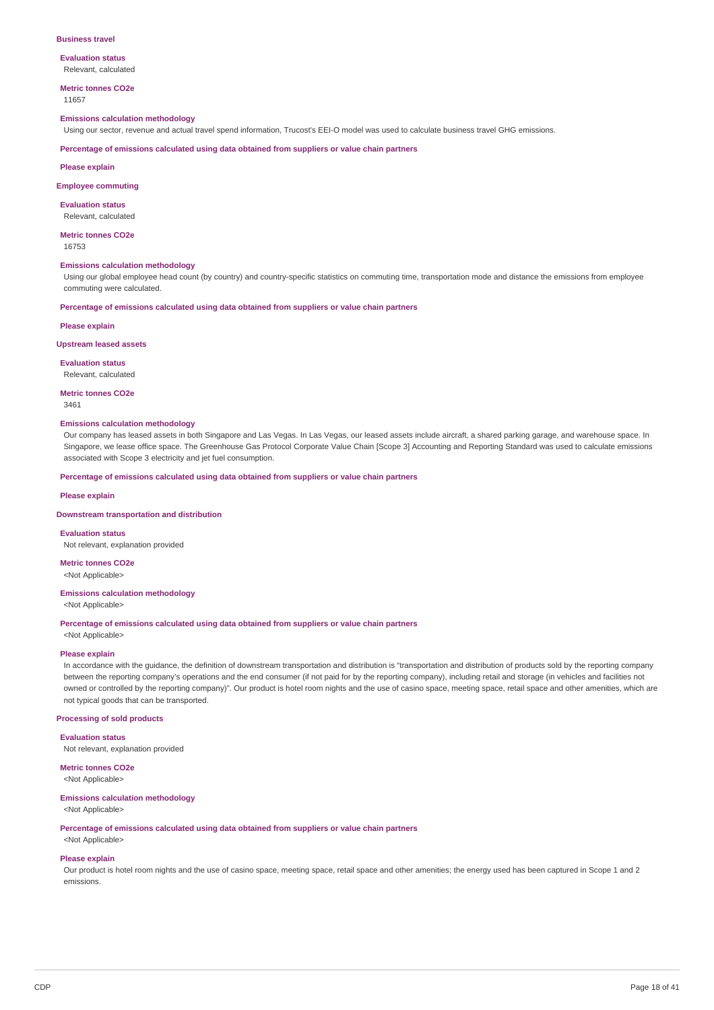#### **Business travel**

**Evaluation status** Relevant, calculated

**Metric tonnes CO2e** 11657

### **Emissions calculation methodology**

Using our sector, revenue and actual travel spend information, Trucost's EEI-O model was used to calculate business travel GHG emissions.

**Percentage of emissions calculated using data obtained from suppliers or value chain partners**

**Please explain**

#### **Employee commuting**

**Evaluation status** Relevant, calculated

**Metric tonnes CO2e** 16753

#### **Emissions calculation methodology**

Using our global employee head count (by country) and country-specific statistics on commuting time, transportation mode and distance the emissions from employee commuting were calculated.

**Percentage of emissions calculated using data obtained from suppliers or value chain partners**

#### **Please explain**

### **Upstream leased assets**

**Evaluation status**

Relevant, calculated

## **Metric tonnes CO2e**

3461

### **Emissions calculation methodology**

Our company has leased assets in both Singapore and Las Vegas. In Las Vegas, our leased assets include aircraft, a shared parking garage, and warehouse space. In Singapore, we lease office space. The Greenhouse Gas Protocol Corporate Value Chain [Scope 3] Accounting and Reporting Standard was used to calculate emissions associated with Scope 3 electricity and jet fuel consumption.

### **Percentage of emissions calculated using data obtained from suppliers or value chain partners**

### **Please explain**

#### **Downstream transportation and distribution**

**Evaluation status** Not relevant, explanation provided

**Metric tonnes CO2e** <Not Applicable>

### **Emissions calculation methodology**

<Not Applicable>

**Percentage of emissions calculated using data obtained from suppliers or value chain partners**

<Not Applicable>

### **Please explain**

In accordance with the guidance, the definition of downstream transportation and distribution is "transportation and distribution of products sold by the reporting company between the reporting company's operations and the end consumer (if not paid for by the reporting company), including retail and storage (in vehicles and facilities not owned or controlled by the reporting company)". Our product is hotel room nights and the use of casino space, meeting space, retail space and other amenities, which are not typical goods that can be transported.

### **Processing of sold products**

**Evaluation status**

Not relevant, explanation provided

## **Metric tonnes CO2e**

<Not Applicable>

#### **Emissions calculation methodology**

<Not Applicable>

**Percentage of emissions calculated using data obtained from suppliers or value chain partners**

## <Not Applicable> **Please explain**

Our product is hotel room nights and the use of casino space, meeting space, retail space and other amenities; the energy used has been captured in Scope 1 and 2 emissions.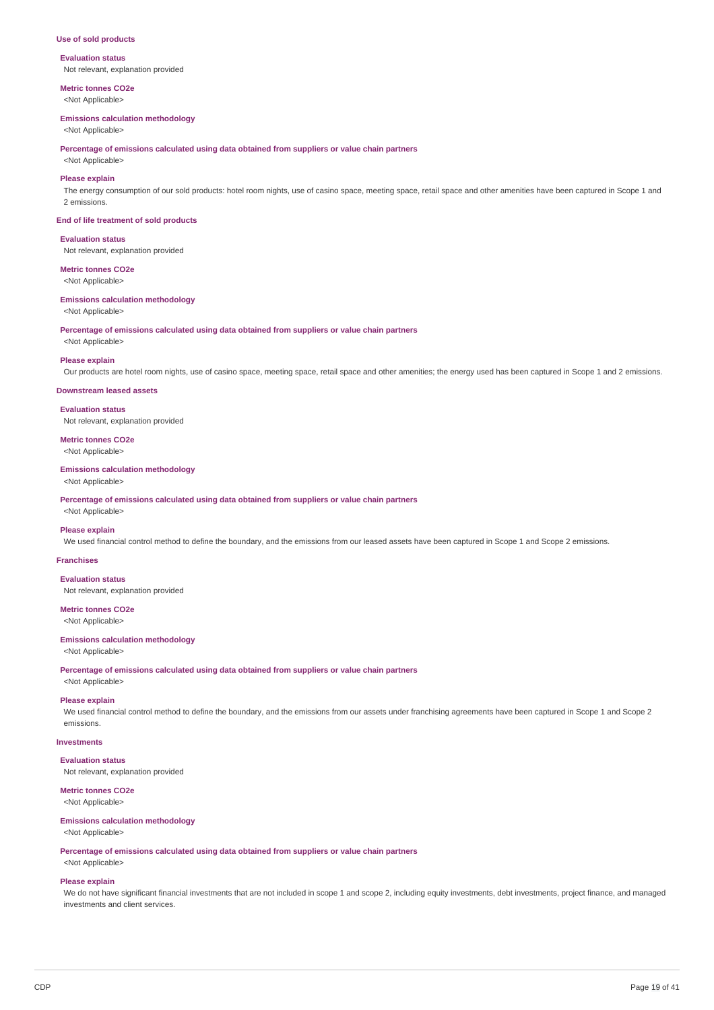### **Use of sold products**

### **Evaluation status**

Not relevant, explanation provided

**Metric tonnes CO2e** <Not Applicable>

#### **Emissions calculation methodology**

<Not Applicable>

**Percentage of emissions calculated using data obtained from suppliers or value chain partners**

## <Not Applicable> **Please explain**

The energy consumption of our sold products: hotel room nights, use of casino space, meeting space, retail space and other amenities have been captured in Scope 1 and 2 emissions.

#### **End of life treatment of sold products**

## **Evaluation status**

Not relevant, explanation provided

## **Metric tonnes CO2e**

<Not Applicable>

### **Emissions calculation methodology**

<Not Applicable>

**Percentage of emissions calculated using data obtained from suppliers or value chain partners**

<Not Applicable>

### **Please explain**

Our products are hotel room nights, use of casino space, meeting space, retail space and other amenities; the energy used has been captured in Scope 1 and 2 emissions.

### **Downstream leased assets**

**Evaluation status** Not relevant, explanation provided

## **Metric tonnes CO2e**

<Not Applicable>

## **Emissions calculation methodology**

<Not Applicable>

**Percentage of emissions calculated using data obtained from suppliers or value chain partners**

## <Not Applicable>

**Please explain**

We used financial control method to define the boundary, and the emissions from our leased assets have been captured in Scope 1 and Scope 2 emissions.

### **Franchises**

**Evaluation status** Not relevant, explanation provided

### **Metric tonnes CO2e**

<Not Applicable>

### **Emissions calculation methodology**

<Not Applicable>

**Percentage of emissions calculated using data obtained from suppliers or value chain partners** <Not Applicable>

### **Please explain**

We used financial control method to define the boundary, and the emissions from our assets under franchising agreements have been captured in Scope 1 and Scope 2 emissions.

### **Investments**

**Evaluation status**

Not relevant, explanation provided

### **Metric tonnes CO2e**

<Not Applicable>

## **Emissions calculation methodology**

<Not Applicable>

**Percentage of emissions calculated using data obtained from suppliers or value chain partners** <Not Applicable>

**Please explain**

We do not have significant financial investments that are not included in scope 1 and scope 2, including equity investments, debt investments, project finance, and managed investments and client services.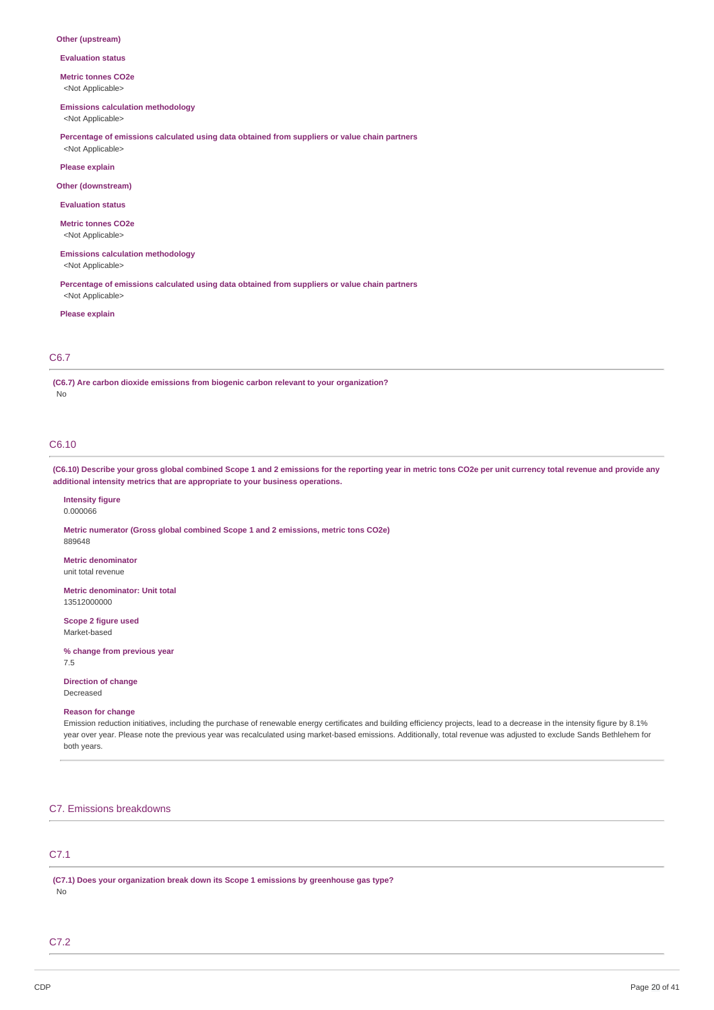#### **Other (upstream)**

**Evaluation status**

#### **Metric tonnes CO2e**

<Not Applicable>

### **Emissions calculation methodology**

<Not Applicable>

**Percentage of emissions calculated using data obtained from suppliers or value chain partners** <Not Applicable>

#### **Please explain**

**Other (downstream)**

### **Evaluation status**

**Metric tonnes CO2e**

<Not Applicable>

**Emissions calculation methodology**

<Not Applicable>

**Percentage of emissions calculated using data obtained from suppliers or value chain partners** <Not Applicable>

#### **Please explain**

### C6.7

**(C6.7) Are carbon dioxide emissions from biogenic carbon relevant to your organization?** No

## C6.10

(C6.10) Describe your gross global combined Scope 1 and 2 emissions for the reporting year in metric tons CO2e per unit currency total revenue and provide any **additional intensity metrics that are appropriate to your business operations.**

## **Intensity figure**

0.000066

889648

**Metric numerator (Gross global combined Scope 1 and 2 emissions, metric tons CO2e)**

### **Metric denominator**

unit total revenue

**Metric denominator: Unit total** 13512000000

**Scope 2 figure used** Market-based

**% change from previous year** 7.5

## **Direction of change**

Decreased

## **Reason for change**

Emission reduction initiatives, including the purchase of renewable energy certificates and building efficiency projects, lead to a decrease in the intensity figure by 8.1% year over year. Please note the previous year was recalculated using market-based emissions. Additionally, total revenue was adjusted to exclude Sands Bethlehem for both years.

## C7. Emissions breakdowns

## C7.1

**(C7.1) Does your organization break down its Scope 1 emissions by greenhouse gas type?** No

## C7.2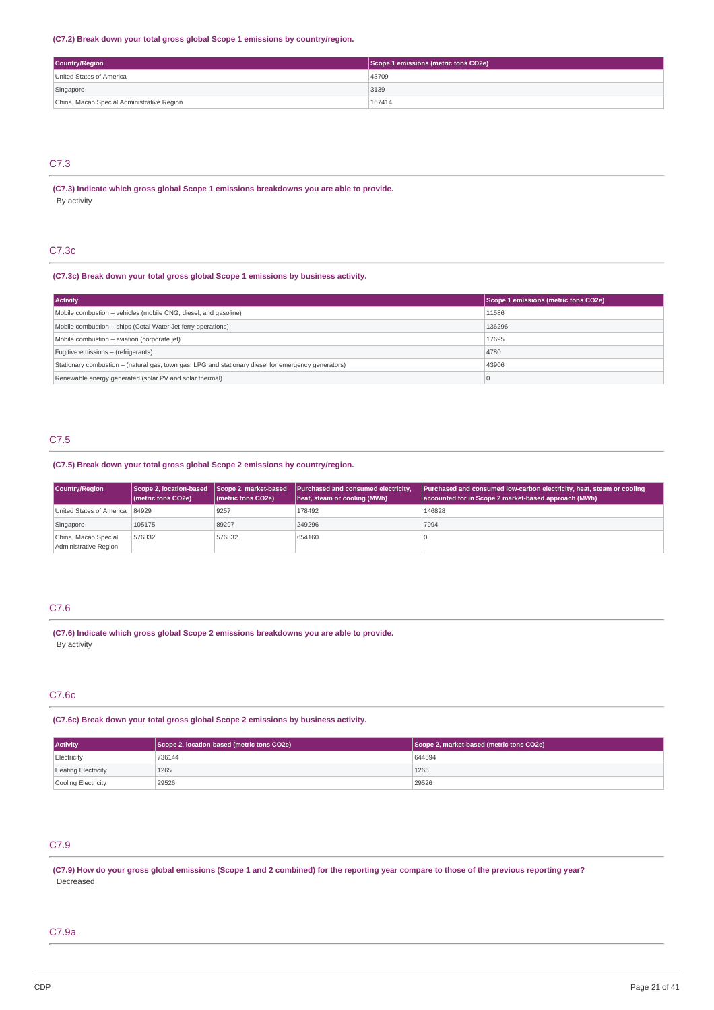### **(C7.2) Break down your total gross global Scope 1 emissions by country/region.**

| <b>Country/Region</b>                      | Scope 1 emissions (metric tons CO2e) |
|--------------------------------------------|--------------------------------------|
| United States of America                   | 43709                                |
| Singapore                                  | 3139                                 |
| China, Macao Special Administrative Region | 167414                               |

## C7.3

**(C7.3) Indicate which gross global Scope 1 emissions breakdowns you are able to provide.** By activity

## C7.3c

### **(C7.3c) Break down your total gross global Scope 1 emissions by business activity.**

| <b>Activity</b>                                                                                     | Scope 1 emissions (metric tons CO2e) |
|-----------------------------------------------------------------------------------------------------|--------------------------------------|
| Mobile combustion - vehicles (mobile CNG, diesel, and gasoline)                                     | 11586                                |
| Mobile combustion - ships (Cotai Water Jet ferry operations)                                        | 136296                               |
| Mobile combustion - aviation (corporate jet)                                                        | 17695                                |
| Fugitive emissions - (refrigerants)                                                                 | 4780                                 |
| Stationary combustion – (natural gas, town gas, LPG and stationary diesel for emergency generators) | 43906                                |
| Renewable energy generated (solar PV and solar thermal)                                             |                                      |

## C7.5

## **(C7.5) Break down your total gross global Scope 2 emissions by country/region.**

| Country/Region                                | Scope 2, location-based Scope 2, market-based<br>(metric tons CO2e) | $ $ (metric tons CO2e) | Purchased and consumed electricity,<br>heat, steam or cooling (MWh) | <b>Purchased and consumed low-carbon electricity, heat, steam or cooling</b><br>accounted for in Scope 2 market-based approach (MWh) |
|-----------------------------------------------|---------------------------------------------------------------------|------------------------|---------------------------------------------------------------------|--------------------------------------------------------------------------------------------------------------------------------------|
| United States of America   84929              |                                                                     | 9257                   | 178492                                                              | 146828                                                                                                                               |
| Singapore                                     | 105175                                                              | 89297                  | 249296                                                              | 7994                                                                                                                                 |
| China, Macao Special<br>Administrative Region | 576832                                                              | 576832                 | 654160                                                              |                                                                                                                                      |

### C7.6

**(C7.6) Indicate which gross global Scope 2 emissions breakdowns you are able to provide.** By activity

## C7.6c

**(C7.6c) Break down your total gross global Scope 2 emissions by business activity.**

| <b>Activity</b>            | Scope 2, location-based (metric tons CO2e) | Scope 2, market-based (metric tons CO2e) |
|----------------------------|--------------------------------------------|------------------------------------------|
| Electricity                | 736144                                     | 644594                                   |
| <b>Heating Electricity</b> | 1265                                       | 1265                                     |
| Cooling Electricity        | 29526                                      | 29526                                    |

## C7.9

(C7.9) How do your gross global emissions (Scope 1 and 2 combined) for the reporting year compare to those of the previous reporting year? Decreased

## C7.9a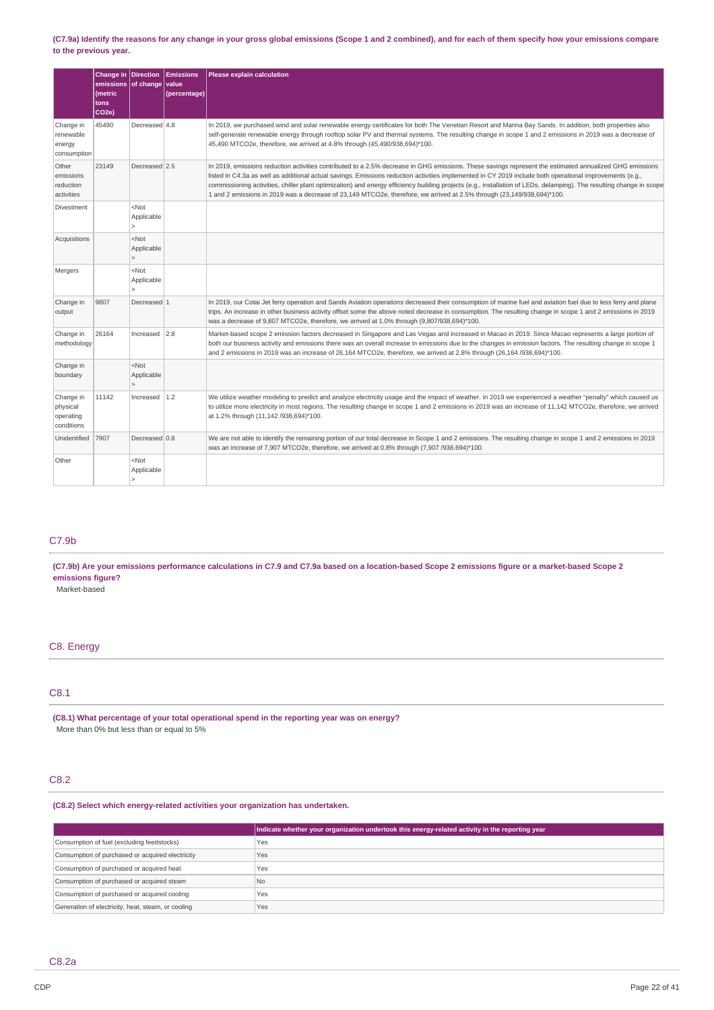### (C7.9a) Identify the reasons for any change in your gross global emissions (Scope 1 and 2 combined), and for each of them specify how your emissions compare **to the previous year.**

|                                                  | Change in Direction<br>emissions of change<br>(metric<br>tons<br>CO <sub>2e</sub> ) |                                                         | Emissions<br>value<br>(percentage) | Please explain calculation                                                                                                                                                                                                                                                                                                                                                                                                                                                                                                                                                                                            |
|--------------------------------------------------|-------------------------------------------------------------------------------------|---------------------------------------------------------|------------------------------------|-----------------------------------------------------------------------------------------------------------------------------------------------------------------------------------------------------------------------------------------------------------------------------------------------------------------------------------------------------------------------------------------------------------------------------------------------------------------------------------------------------------------------------------------------------------------------------------------------------------------------|
| Change in<br>renewable<br>energy<br>consumption  | 45490                                                                               | Decreased 4.8                                           |                                    | In 2019, we purchased wind and solar renewable energy certificates for both The Venetian Resort and Marina Bay Sands. In addition, both properties also<br>self-generate renewable energy through rooftop solar PV and thermal systems. The resulting change in scope 1 and 2 emissions in 2019 was a decrease of<br>45,490 MTCO2e, therefore, we arrived at 4.8% through (45,490/938,694)*100.                                                                                                                                                                                                                       |
| Other<br>emissions<br>reduction<br>activities    | 23149                                                                               | Decreased 2.5                                           |                                    | In 2019, emissions reduction activities contributed to a 2.5% decrease in GHG emissions. These savings represent the estimated annualized GHG emissions<br>listed in C4.3a as well as additional actual savings. Emissions reduction activities implemented in CY 2019 include both operational improvements (e.g.,<br>commissioning activities, chiller plant optimization) and energy efficiency building projects (e.g., installation of LEDs, delamping). The resulting change in scope<br>1 and 2 emissions in 2019 was a decrease of 23,149 MTCO2e, therefore, we arrived at 2.5% through (23,149/938,694)*100. |
| Divestment                                       |                                                                                     | $<$ Not<br>Applicable<br>$\mathbf{r}$                   |                                    |                                                                                                                                                                                                                                                                                                                                                                                                                                                                                                                                                                                                                       |
| Acquisitions                                     |                                                                                     | <not<br>Applicable<br/><math>\mathbf{r}</math></not<br> |                                    |                                                                                                                                                                                                                                                                                                                                                                                                                                                                                                                                                                                                                       |
| Mergers                                          |                                                                                     | $<$ Not<br>Applicable<br>$\geq$                         |                                    |                                                                                                                                                                                                                                                                                                                                                                                                                                                                                                                                                                                                                       |
| Change in<br>output                              | 9807                                                                                | Decreased 1                                             |                                    | In 2019, our Cotai Jet ferry operation and Sands Aviation operations decreased their consumption of marine fuel and aviation fuel due to less ferry and plane<br>trips. An increase in other business activity offset some the above noted decrease in consumption. The resulting change in scope 1 and 2 emissions in 2019<br>was a decrease of 9,807 MTCO2e, therefore, we arrived at 1.0% through (9,807/938,694)*100.                                                                                                                                                                                             |
| Change in<br>methodology                         | 26164                                                                               | Increased                                               | 2.8                                | Market-based scope 2 emission factors decreased in Singapore and Las Vegas and increased in Macao in 2019. Since Macao represents a large portion of<br>both our business activity and emissions there was an overall increase in emissions due to the changes in emission factors. The resulting change in scope 1<br>and 2 emissions in 2019 was an increase of 26,164 MTCO2e, therefore, we arrived at 2.8% through (26,164/938,694)*100.                                                                                                                                                                          |
| Change in<br>boundary                            |                                                                                     | $<$ Not<br>Applicable<br>$\geq$                         |                                    |                                                                                                                                                                                                                                                                                                                                                                                                                                                                                                                                                                                                                       |
| Change in<br>physical<br>operating<br>conditions | 11142                                                                               | Increased $1.2$                                         |                                    | We utilize weather modeling to predict and analyze electricity usage and the impact of weather. In 2019 we experienced a weather "penalty" which caused us<br>to utilize more electricity in most regions. The resulting change in scope 1 and 2 emissions in 2019 was an increase of 11,142 MTCO2e, therefore, we arrived<br>at 1.2% through (11,142 /938,694)*100.                                                                                                                                                                                                                                                  |
| Unidentified                                     | 7907                                                                                | Decreased 0.8                                           |                                    | We are not able to identify the remaining portion of our total decrease in Scope 1 and 2 emissions. The resulting change in scope 1 and 2 emissions in 2019<br>was an increase of 7,907 MTCO2e, therefore, we arrived at 0.8% through (7,907 /938,694)*100.                                                                                                                                                                                                                                                                                                                                                           |
| Other                                            |                                                                                     | <not<br>Applicable<br/>1&gt;</not<br>                   |                                    |                                                                                                                                                                                                                                                                                                                                                                                                                                                                                                                                                                                                                       |

## C7.9b

(C7.9b) Are your emissions performance calculations in C7.9 and C7.9a based on a location-based Scope 2 emissions figure or a market-based Scope 2 **emissions figure?**

Market-based

### C8. Energy

## C8.1

**(C8.1) What percentage of your total operational spend in the reporting year was on energy?** More than 0% but less than or equal to 5%

## C8.2

### **(C8.2) Select which energy-related activities your organization has undertaken.**

|                                                    | Indicate whether your organization undertook this energy-related activity in the reporting year |
|----------------------------------------------------|-------------------------------------------------------------------------------------------------|
| Consumption of fuel (excluding feedstocks)         | Yes                                                                                             |
| Consumption of purchased or acquired electricity   | Yes                                                                                             |
| Consumption of purchased or acquired heat          | Yes                                                                                             |
| Consumption of purchased or acquired steam         | <b>No</b>                                                                                       |
| Consumption of purchased or acquired cooling       | Yes                                                                                             |
| Generation of electricity, heat, steam, or cooling | Yes                                                                                             |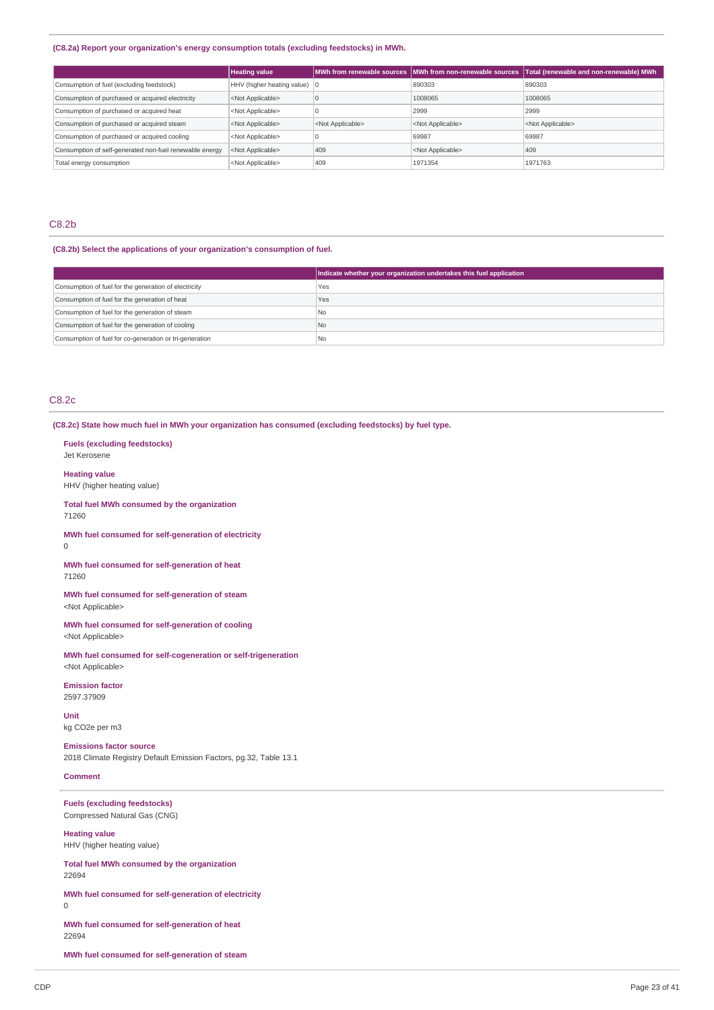### **(C8.2a) Report your organization's energy consumption totals (excluding feedstocks) in MWh.**

|                                                         | <b>Heating value</b>                   |                           | MWh from renewable sources   MWh from non-renewable sources | Total (renewable and non-renewable) MWh |
|---------------------------------------------------------|----------------------------------------|---------------------------|-------------------------------------------------------------|-----------------------------------------|
| Consumption of fuel (excluding feedstock)               | HHV (higher heating value) $ 0\rangle$ |                           | 890303                                                      | 890303                                  |
| Consumption of purchased or acquired electricity        | <not applicable=""></not>              |                           | 1008065                                                     | 1008065                                 |
| Consumption of purchased or acquired heat               | <not applicable=""></not>              |                           | 2999                                                        | 2999                                    |
| Consumption of purchased or acquired steam              | <not applicable=""></not>              | <not applicable=""></not> | <not applicable=""></not>                                   | <not applicable=""></not>               |
| Consumption of purchased or acquired cooling            | <not applicable=""></not>              |                           | 69987                                                       | 69987                                   |
| Consumption of self-generated non-fuel renewable energy | <not applicable=""></not>              | 409                       | <not applicable=""></not>                                   | 409                                     |
| Total energy consumption                                | <not applicable=""></not>              | 409                       | 1971354                                                     | 1971763                                 |

### C8.2b

### **(C8.2b) Select the applications of your organization's consumption of fuel.**

|                                                         | Indicate whether your organization undertakes this fuel application |
|---------------------------------------------------------|---------------------------------------------------------------------|
| Consumption of fuel for the generation of electricity   | Yes                                                                 |
| Consumption of fuel for the generation of heat          | Yes                                                                 |
| Consumption of fuel for the generation of steam         | No                                                                  |
| Consumption of fuel for the generation of cooling       | No                                                                  |
| Consumption of fuel for co-generation or tri-generation | <sup>1</sup> No                                                     |

## C8.2c

**(C8.2c) State how much fuel in MWh your organization has consumed (excluding feedstocks) by fuel type.**

**Fuels (excluding feedstocks)** Jet Kerosene

**Heating value** HHV (higher heating value)

**Total fuel MWh consumed by the organization** 71260

**MWh fuel consumed for self-generation of electricity** 0

**MWh fuel consumed for self-generation of heat** 71260

**MWh fuel consumed for self-generation of steam** <Not Applicable>

**MWh fuel consumed for self-generation of cooling** <Not Applicable>

**MWh fuel consumed for self-cogeneration or self-trigeneration** <Not Applicable>

**Emission factor** 2597.37909

**Unit** kg CO2e per m3

**Emissions factor source** 2018 Climate Registry Default Emission Factors, pg.32, Table 13.1

**Comment**

**Fuels (excluding feedstocks)** Compressed Natural Gas (CNG)

**Heating value** HHV (higher heating value)

**Total fuel MWh consumed by the organization** 22694

**MWh fuel consumed for self-generation of electricity** 0

**MWh fuel consumed for self-generation of heat** 22694

**MWh fuel consumed for self-generation of steam**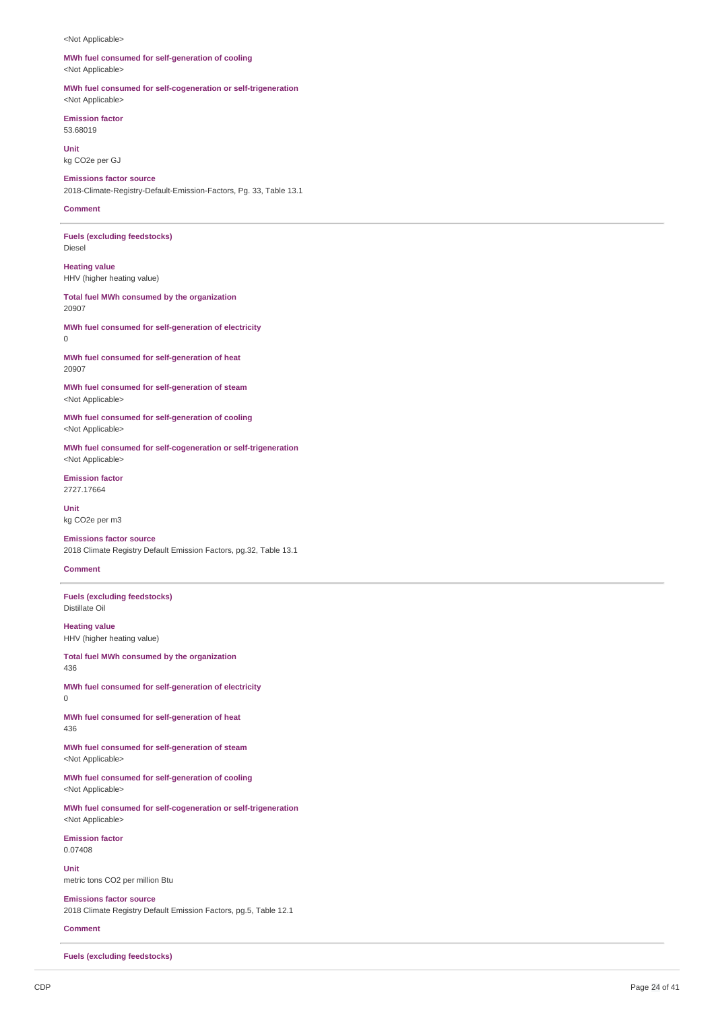#### <Not Applicable>

### **MWh fuel consumed for self-generation of cooling** <Not Applicable>

**MWh fuel consumed for self-cogeneration or self-trigeneration** <Not Applicable>

**Emission factor** 53.68019

**Unit** kg CO2e per GJ

**Emissions factor source** 2018-Climate-Registry-Default-Emission-Factors, Pg. 33, Table 13.1

### **Comment**

**Fuels (excluding feedstocks)** Diesel

**Heating value** HHV (higher heating value)

**Total fuel MWh consumed by the organization** 20907

**MWh fuel consumed for self-generation of electricity**  $\Omega$ 

**MWh fuel consumed for self-generation of heat** 20907

**MWh fuel consumed for self-generation of steam** <Not Applicable>

**MWh fuel consumed for self-generation of cooling** <Not Applicable>

**MWh fuel consumed for self-cogeneration or self-trigeneration** <Not Applicable>

**Emission factor** 2727.17664

**Unit** kg CO2e per m3

**Emissions factor source** 2018 Climate Registry Default Emission Factors, pg.32, Table 13.1

### **Comment**

**Fuels (excluding feedstocks)** Distillate Oil

**Heating value** HHV (higher heating value)

**Total fuel MWh consumed by the organization** 436

**MWh fuel consumed for self-generation of electricity** 0

**MWh fuel consumed for self-generation of heat** 436

**MWh fuel consumed for self-generation of steam** <Not Applicable>

**MWh fuel consumed for self-generation of cooling** <Not Applicable>

**MWh fuel consumed for self-cogeneration or self-trigeneration** <Not Applicable>

**Emission factor** 0.07408

**Unit** metric tons CO2 per million Btu

**Emissions factor source** 2018 Climate Registry Default Emission Factors, pg.5, Table 12.1

**Comment**

**Fuels (excluding feedstocks)**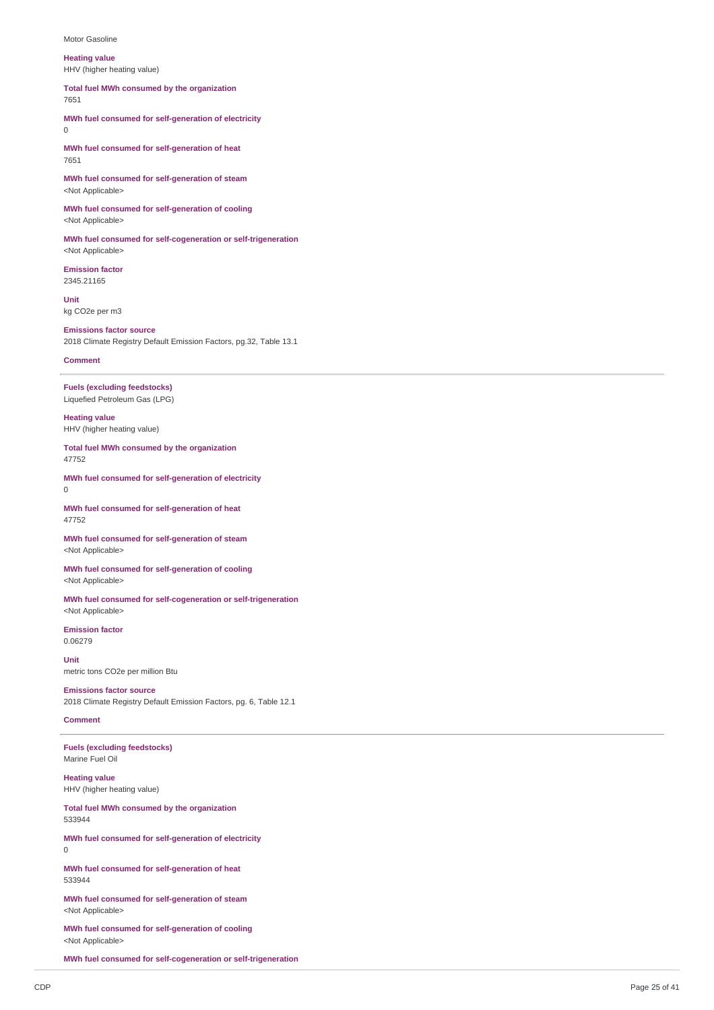#### Motor Gasoline

### **Heating value**

HHV (higher heating value)

**Total fuel MWh consumed by the organization**

7651

**MWh fuel consumed for self-generation of electricity** 0

**MWh fuel consumed for self-generation of heat** 7651

**MWh fuel consumed for self-generation of steam** <Not Applicable>

**MWh fuel consumed for self-generation of cooling** <Not Applicable>

**MWh fuel consumed for self-cogeneration or self-trigeneration** <Not Applicable>

**Emission factor** 2345.21165

**Unit** kg CO2e per m3

**Emissions factor source** 2018 Climate Registry Default Emission Factors, pg.32, Table 13.1

### **Comment**

**Fuels (excluding feedstocks)** Liquefied Petroleum Gas (LPG)

**Heating value** HHV (higher heating value)

**Total fuel MWh consumed by the organization** 47752

**MWh fuel consumed for self-generation of electricity**  $\Omega$ 

**MWh fuel consumed for self-generation of heat** 47752

**MWh fuel consumed for self-generation of steam** <Not Applicable>

**MWh fuel consumed for self-generation of cooling** <Not Applicable>

**MWh fuel consumed for self-cogeneration or self-trigeneration** <Not Applicable>

**Emission factor** 0.06279

**Unit** metric tons CO2e per million Btu

**Emissions factor source** 2018 Climate Registry Default Emission Factors, pg. 6, Table 12.1

### **Comment**

**Fuels (excluding feedstocks)** Marine Fuel Oil

**Heating value** HHV (higher heating value)

**Total fuel MWh consumed by the organization** 533944

**MWh fuel consumed for self-generation of electricity**  $\Omega$ 

**MWh fuel consumed for self-generation of heat** 533944

**MWh fuel consumed for self-generation of steam** <Not Applicable>

**MWh fuel consumed for self-generation of cooling** <Not Applicable>

**MWh fuel consumed for self-cogeneration or self-trigeneration**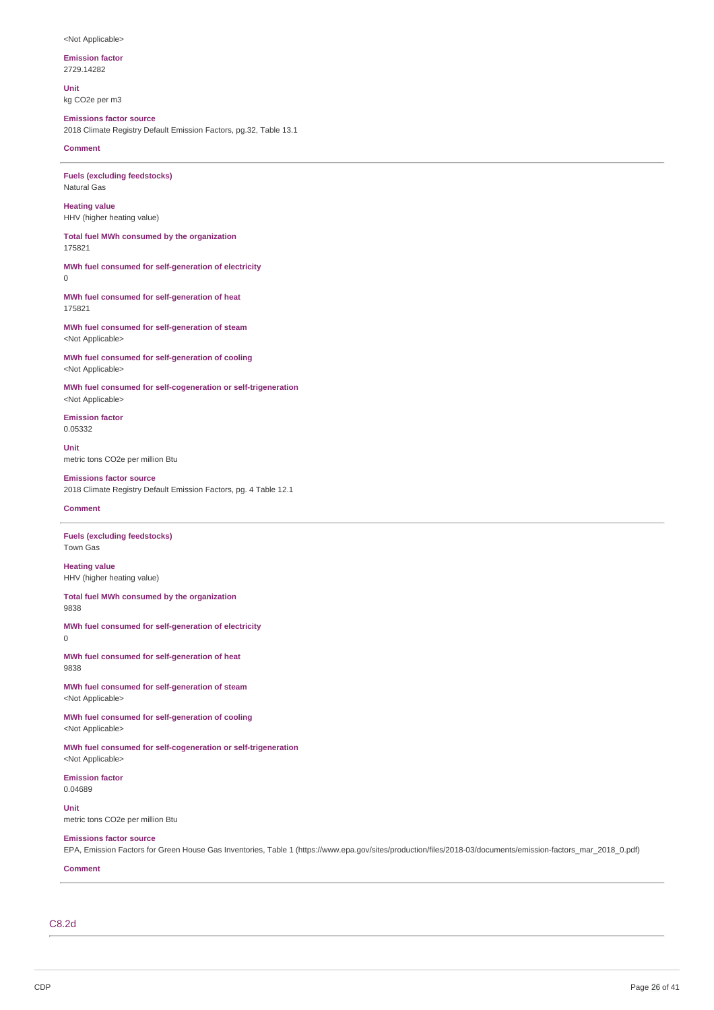### <Not Applicable>

**Emission factor**

2729.14282

**Unit** kg CO2e per m3

## **Emissions factor source**

2018 Climate Registry Default Emission Factors, pg.32, Table 13.1

**Comment**

**Fuels (excluding feedstocks)** Natural Gas

**Heating value** HHV (higher heating value)

**Total fuel MWh consumed by the organization** 175821

## **MWh fuel consumed for self-generation of electricity**

0

**MWh fuel consumed for self-generation of heat** 175821

**MWh fuel consumed for self-generation of steam** <Not Applicable>

**MWh fuel consumed for self-generation of cooling** <Not Applicable>

**MWh fuel consumed for self-cogeneration or self-trigeneration** <Not Applicable>

**Emission factor** 0.05332

**Unit** metric tons CO2e per million Btu

### **Emissions factor source**

2018 Climate Registry Default Emission Factors, pg. 4 Table 12.1

## **Comment**

**Fuels (excluding feedstocks)** Town Gas

**Heating value** HHV (higher heating value)

**Total fuel MWh consumed by the organization** 9838

**MWh fuel consumed for self-generation of electricity** 0

**MWh fuel consumed for self-generation of heat** 9838

**MWh fuel consumed for self-generation of steam** <Not Applicable>

**MWh fuel consumed for self-generation of cooling** <Not Applicable>

**MWh fuel consumed for self-cogeneration or self-trigeneration** <Not Applicable>

**Emission factor** 0.04689

**Unit**

metric tons CO2e per million Btu

## **Emissions factor source**

EPA, Emission Factors for Green House Gas Inventories, Table 1 (https://www.epa.gov/sites/production/files/2018-03/documents/emission-factors\_mar\_2018\_0.pdf)

## **Comment**

C8.2d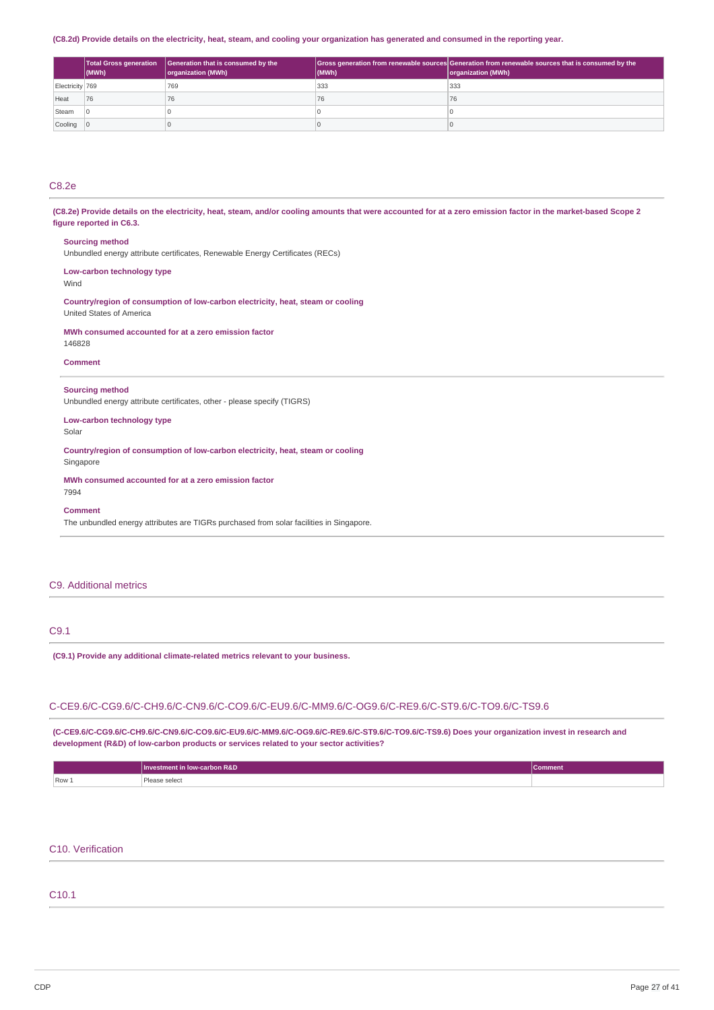### (C8.2d) Provide details on the electricity, heat, steam, and cooling your organization has generated and consumed in the reporting year.

|                 | $ $ (MWh) | Total Gross generation   Generation that is consumed by the<br>organization (MWh) | (MWh) | Gross generation from renewable sources Generation from renewable sources that is consumed by the<br>organization (MWh) |
|-----------------|-----------|-----------------------------------------------------------------------------------|-------|-------------------------------------------------------------------------------------------------------------------------|
| Electricity 769 |           | 769                                                                               | 333   | 333                                                                                                                     |
| Heat            | 76        | 76                                                                                | 76    |                                                                                                                         |
| Steam           |           |                                                                                   |       |                                                                                                                         |
| Cooling 0       |           |                                                                                   |       |                                                                                                                         |

### C8.2e

(C8.2e) Provide details on the electricity, heat, steam, and/or cooling amounts that were accounted for at a zero emission factor in the market-based Scope 2 **figure reported in C6.3.**

### **Sourcing method**

Unbundled energy attribute certificates, Renewable Energy Certificates (RECs)

## **Low-carbon technology type**

Wind

### **Country/region of consumption of low-carbon electricity, heat, steam or cooling** United States of America

### **MWh consumed accounted for at a zero emission factor**

146828

### **Comment**

### **Sourcing method**

Unbundled energy attribute certificates, other - please specify (TIGRS)

## **Low-carbon technology type**

Solar

### **Country/region of consumption of low-carbon electricity, heat, steam or cooling Singapore**

## **MWh consumed accounted for at a zero emission factor**

7994

## **Comment**

The unbundled energy attributes are TIGRs purchased from solar facilities in Singapore.

## C9. Additional metrics

## C9.1

### **(C9.1) Provide any additional climate-related metrics relevant to your business.**

### C-CE9.6/C-CG9.6/C-CH9.6/C-CN9.6/C-CO9.6/C-EU9.6/C-MM9.6/C-OG9.6/C-RE9.6/C-ST9.6/C-TO9.6/C-TS9.6

**(C-CE9.6/C-CG9.6/C-CH9.6/C-CN9.6/C-CO9.6/C-EU9.6/C-MM9.6/C-OG9.6/C-RE9.6/C-ST9.6/C-TO9.6/C-TS9.6) Does your organization invest in research and development (R&D) of low-carbon products or services related to your sector activities?**

|       | Investment in low-carbon R&D | <b>Comment</b> |
|-------|------------------------------|----------------|
| Row 1 | ase select<br>יכגס<br>.      |                |

## C10. Verification

### C10.1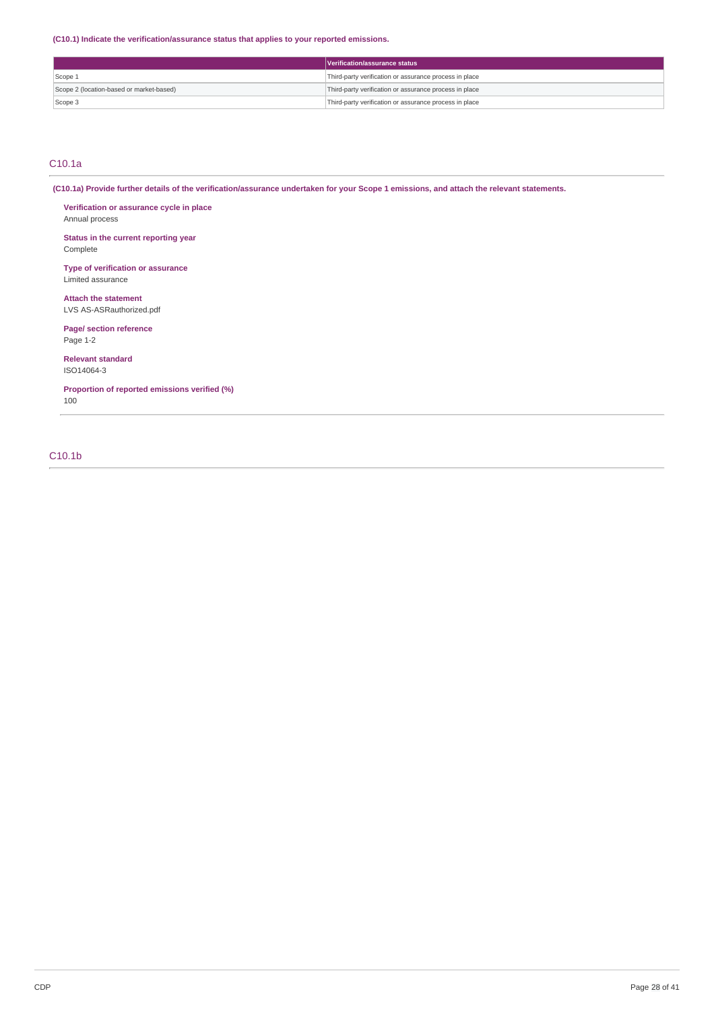**(C10.1) Indicate the verification/assurance status that applies to your reported emissions.**

|                                          | Verification/assurance status                          |  |
|------------------------------------------|--------------------------------------------------------|--|
| Scope 1                                  | Third-party verification or assurance process in place |  |
| Scope 2 (location-based or market-based) | Third-party verification or assurance process in place |  |
| Scope 3                                  | Third-party verification or assurance process in place |  |

## C10.1a

(C10.1a) Provide further details of the verification/assurance undertaken for your Scope 1 emissions, and attach the relevant statements.

**Verification or assurance cycle in place** Annual process

**Status in the current reporting year** Complete

**Type of verification or assurance** Limited assurance

**Attach the statement** LVS AS-ASRauthorized.pdf

**Page/ section reference** Page 1-2

**Relevant standard** ISO14064-3

**Proportion of reported emissions verified (%)** 100

## C10.1b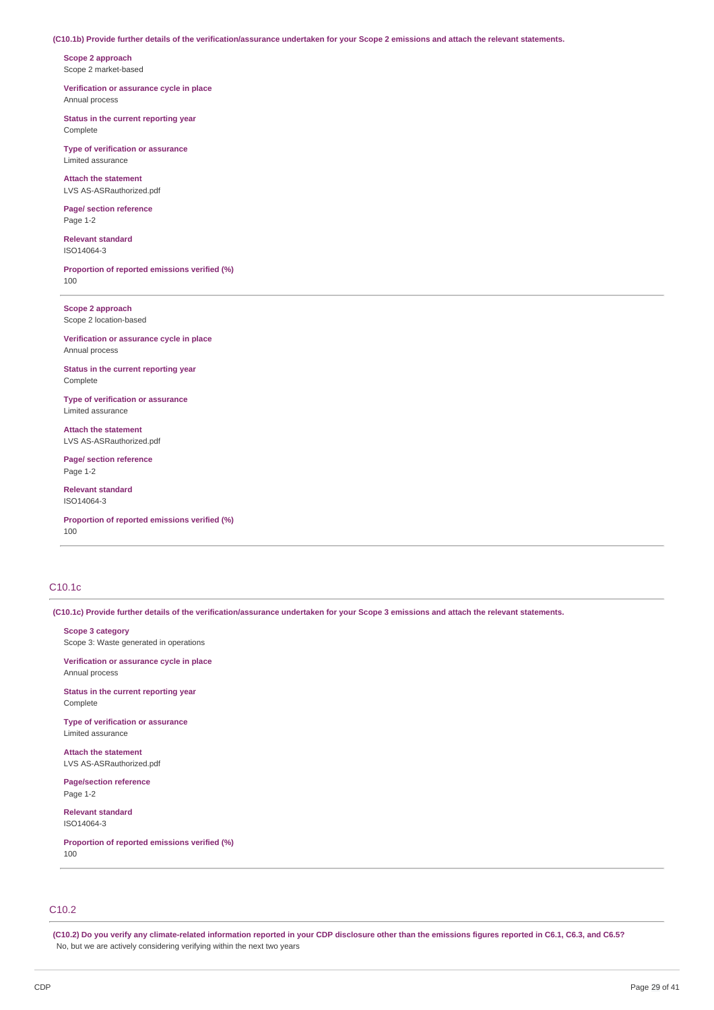### (C10.1b) Provide further details of the verification/assurance undertaken for your Scope 2 emissions and attach the relevant statements.

**Scope 2 approach** Scope 2 market-based

**Verification or assurance cycle in place** Annual process

**Status in the current reporting year** Complete

**Type of verification or assurance** Limited assurance

**Attach the statement** LVS AS-ASRauthorized.pdf

**Page/ section reference** Page 1-2

**Relevant standard** ISO14064-3

**Proportion of reported emissions verified (%)** 100

**Scope 2 approach** Scope 2 location-based

**Verification or assurance cycle in place** Annual process

**Status in the current reporting year** Complete

**Type of verification or assurance** Limited assurance

**Attach the statement** LVS AS-ASRauthorized.pdf

**Page/ section reference** Page 1-2

**Relevant standard** ISO14064-3

**Proportion of reported emissions verified (%)** 100

## C10.1c

(C10.1c) Provide further details of the verification/assurance undertaken for your Scope 3 emissions and attach the relevant statements.

**Scope 3 category**

Scope 3: Waste generated in operations

**Verification or assurance cycle in place** Annual process

**Status in the current reporting year** Complete

**Type of verification or assurance** Limited assurance

**Attach the statement** LVS AS-ASRauthorized.pdf

**Page/section reference** Page 1-2

**Relevant standard** ISO14064-3

**Proportion of reported emissions verified (%)** 100

## C10.2

(C10.2) Do you verify any climate-related information reported in your CDP disclosure other than the emissions figures reported in C6.1, C6.3, and C6.5? No, but we are actively considering verifying within the next two years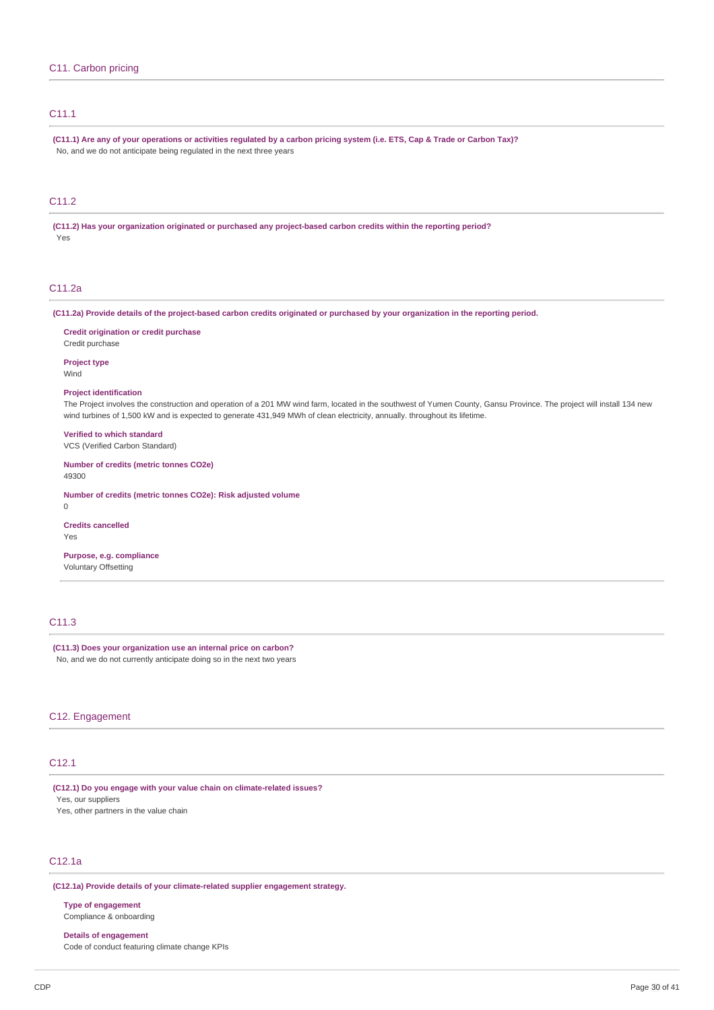## C11.1

(C11.1) Are any of your operations or activities regulated by a carbon pricing system (i.e. ETS, Cap & Trade or Carbon Tax)? No, and we do not anticipate being regulated in the next three years

## C11.2

**(C11.2) Has your organization originated or purchased any project-based carbon credits within the reporting period?** Yes

## C11.2a

(C11.2a) Provide details of the project-based carbon credits originated or purchased by your organization in the reporting period.

**Credit origination or credit purchase**

Credit purchase

**Project type** Wind

#### **Project identification**

The Project involves the construction and operation of a 201 MW wind farm, located in the southwest of Yumen County, Gansu Province. The project will install 134 new wind turbines of 1,500 kW and is expected to generate 431,949 MWh of clean electricity, annually. throughout its lifetime.

**Verified to which standard**

VCS (Verified Carbon Standard)

**Number of credits (metric tonnes CO2e)** 49300

**Number of credits (metric tonnes CO2e): Risk adjusted volume**  $\Omega$ 

**Credits cancelled**

Yes

## **Purpose, e.g. compliance**

Voluntary Offsetting

## C11.3

# **(C11.3) Does your organization use an internal price on carbon?**

No, and we do not currently anticipate doing so in the next two years

## C12. Engagement

## C12.1

**(C12.1) Do you engage with your value chain on climate-related issues?** Yes, our suppliers Yes, other partners in the value chain

### C12.1a

**(C12.1a) Provide details of your climate-related supplier engagement strategy.**

**Type of engagement**

Compliance & onboarding

**Details of engagement** Code of conduct featuring climate change KPIs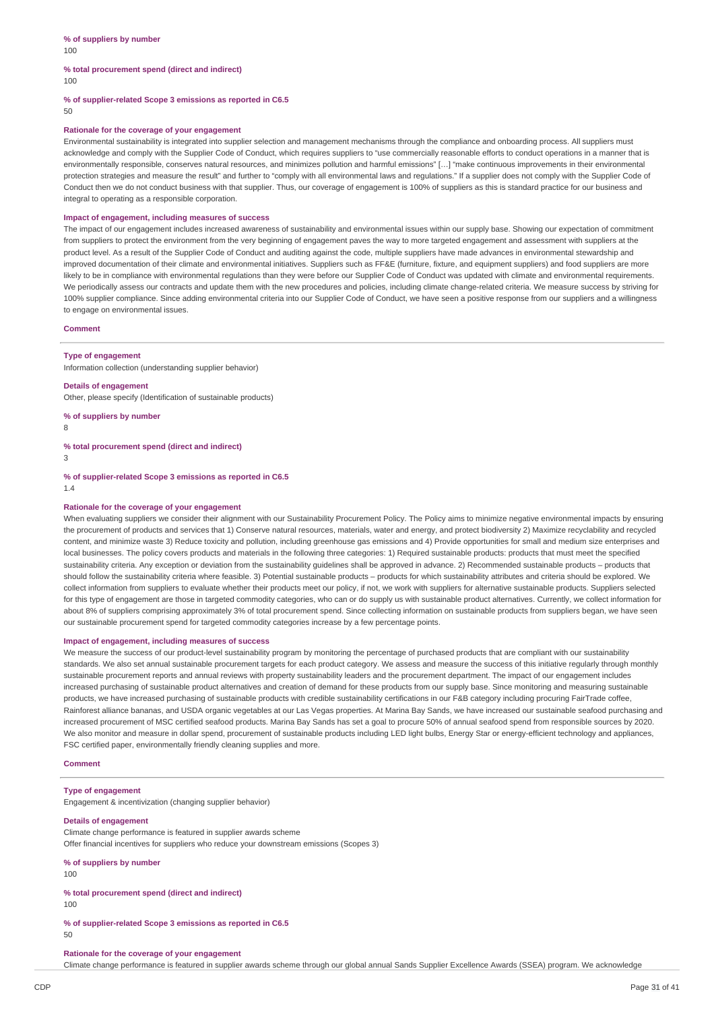## **% total procurement spend (direct and indirect)**

100

**% of supplier-related Scope 3 emissions as reported in C6.5**

50

### **Rationale for the coverage of your engagement**

Environmental sustainability is integrated into supplier selection and management mechanisms through the compliance and onboarding process. All suppliers must acknowledge and comply with the Supplier Code of Conduct, which requires suppliers to "use commercially reasonable efforts to conduct operations in a manner that is environmentally responsible, conserves natural resources, and minimizes pollution and harmful emissions" [...] "make continuous improvements in their environmental protection strategies and measure the result" and further to "comply with all environmental laws and requlations." If a supplier does not comply with the Supplier Code of Conduct then we do not conduct business with that supplier. Thus, our coverage of engagement is 100% of suppliers as this is standard practice for our business and integral to operating as a responsible corporation.

### **Impact of engagement, including measures of success**

The impact of our engagement includes increased awareness of sustainability and environmental issues within our supply base. Showing our expectation of commitment from suppliers to protect the environment from the very beginning of engagement paves the way to more targeted engagement and assessment with suppliers at the product level. As a result of the Supplier Code of Conduct and auditing against the code, multiple suppliers have made advances in environmental stewardship and improved documentation of their climate and environmental initiatives. Suppliers such as FF&E (furniture, fixture, and equipment suppliers) and food suppliers are more likely to be in compliance with environmental regulations than they were before our Supplier Code of Conduct was updated with climate and environmental requirements. We periodically assess our contracts and update them with the new procedures and policies, including climate change-related criteria. We measure success by striving for 100% supplier compliance. Since adding environmental criteria into our Supplier Code of Conduct, we have seen a positive response from our suppliers and a willingness to engage on environmental issues.

### **Comment**

#### **Type of engagement**

Information collection (understanding supplier behavior)

#### **Details of engagement**

Other, please specify (Identification of sustainable products)

### **% of suppliers by number**

8

**% total procurement spend (direct and indirect)**

3

**% of supplier-related Scope 3 emissions as reported in C6.5** 1.4

#### **Rationale for the coverage of your engagement**

When evaluating suppliers we consider their alignment with our Sustainability Procurement Policy. The Policy aims to minimize negative environmental impacts by ensuring the procurement of products and services that 1) Conserve natural resources, materials, water and energy, and protect biodiversity 2) Maximize recyclability and recycled content, and minimize waste 3) Reduce toxicity and pollution, including greenhouse gas emissions and 4) Provide opportunities for small and medium size enterprises and local businesses. The policy covers products and materials in the following three categories: 1) Required sustainable products: products that must meet the specified sustainability criteria. Any exception or deviation from the sustainability guidelines shall be approved in advance. 2) Recommended sustainable products – products that should follow the sustainability criteria where feasible. 3) Potential sustainable products – products for which sustainability attributes and criteria should be explored. We collect information from suppliers to evaluate whether their products meet our policy, if not, we work with suppliers for alternative sustainable products. Suppliers selected for this type of engagement are those in targeted commodity categories, who can or do supply us with sustainable product alternatives. Currently, we collect information for about 8% of suppliers comprising approximately 3% of total procurement spend. Since collecting information on sustainable products from suppliers began, we have seen our sustainable procurement spend for targeted commodity categories increase by a few percentage points.

#### **Impact of engagement, including measures of success**

We measure the success of our product-level sustainability program by monitoring the percentage of purchased products that are compliant with our sustainability standards. We also set annual sustainable procurement targets for each product category. We assess and measure the success of this initiative regularly through monthly sustainable procurement reports and annual reviews with property sustainability leaders and the procurement department. The impact of our engagement includes increased purchasing of sustainable product alternatives and creation of demand for these products from our supply base. Since monitoring and measuring sustainable products, we have increased purchasing of sustainable products with credible sustainability certifications in our F&B category including procuring FairTrade coffee, Rainforest alliance bananas, and USDA organic vegetables at our Las Vegas properties. At Marina Bay Sands, we have increased our sustainable seafood purchasing and increased procurement of MSC certified seafood products. Marina Bay Sands has set a goal to procure 50% of annual seafood spend from responsible sources by 2020. We also monitor and measure in dollar spend, procurement of sustainable products including LED light bulbs, Energy Star or energy-efficient technology and appliances, FSC certified paper, environmentally friendly cleaning supplies and more.

#### **Comment**

### **Type of engagement**

Engagement & incentivization (changing supplier behavior)

### **Details of engagement**

Climate change performance is featured in supplier awards scheme Offer financial incentives for suppliers who reduce your downstream emissions (Scopes 3)

#### **% of suppliers by number**

 $100$ 

**% total procurement spend (direct and indirect)**

100

## **% of supplier-related Scope 3 emissions as reported in C6.5**

### 50

#### **Rationale for the coverage of your engagement**

Climate change performance is featured in supplier awards scheme through our global annual Sands Supplier Excellence Awards (SSEA) program. We acknowledge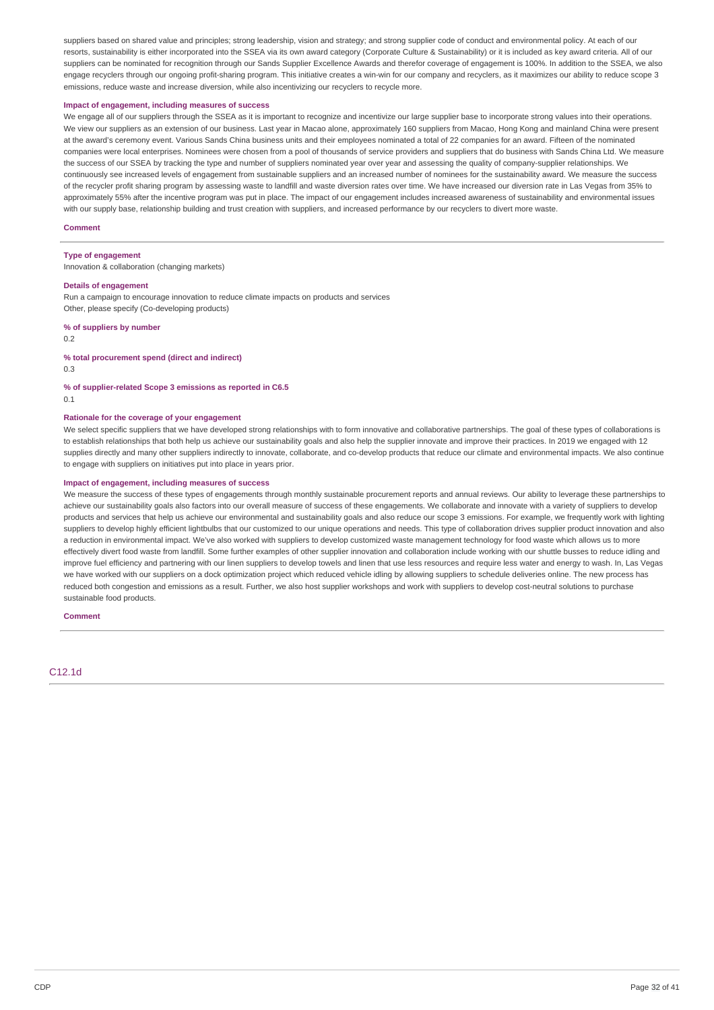suppliers based on shared value and principles; strong leadership, vision and strategy; and strong supplier code of conduct and environmental policy. At each of our resorts, sustainability is either incorporated into the SSEA via its own award category (Corporate Culture & Sustainability) or it is included as key award criteria. All of our suppliers can be nominated for recognition through our Sands Supplier Excellence Awards and therefor coverage of engagement is 100%. In addition to the SSEA, we also engage recyclers through our ongoing profit-sharing program. This initiative creates a win-win for our company and recyclers, as it maximizes our ability to reduce scope 3 emissions, reduce waste and increase diversion, while also incentivizing our recyclers to recycle more.

### **Impact of engagement, including measures of success**

We engage all of our suppliers through the SSEA as it is important to recognize and incentivize our large supplier base to incorporate strong values into their operations. We view our suppliers as an extension of our business. Last year in Macao alone, approximately 160 suppliers from Macao, Hong Kong and mainland China were present at the award's ceremony event. Various Sands China business units and their employees nominated a total of 22 companies for an award. Fifteen of the nominated companies were local enterprises. Nominees were chosen from a pool of thousands of service providers and suppliers that do business with Sands China Ltd. We measure the success of our SSEA by tracking the type and number of suppliers nominated year over year and assessing the quality of company-supplier relationships. We continuously see increased levels of engagement from sustainable suppliers and an increased number of nominees for the sustainability award. We measure the success of the recycler profit sharing program by assessing waste to landfill and waste diversion rates over time. We have increased our diversion rate in Las Vegas from 35% to approximately 55% after the incentive program was put in place. The impact of our engagement includes increased awareness of sustainability and environmental issues with our supply base, relationship building and trust creation with suppliers, and increased performance by our recyclers to divert more waste.

### **Comment**

## **Type of engagement**

Innovation & collaboration (changing markets)

### **Details of engagement**

Run a campaign to encourage innovation to reduce climate impacts on products and services Other, please specify (Co-developing products)

### **% of suppliers by number**

0.2

#### **% total procurement spend (direct and indirect)**

0.3

**% of supplier-related Scope 3 emissions as reported in C6.5**  $0.1$ 

### **Rationale for the coverage of your engagement**

We select specific suppliers that we have developed strong relationships with to form innovative and collaborative partnerships. The goal of these types of collaborations is to establish relationships that both help us achieve our sustainability goals and also help the supplier innovate and improve their practices. In 2019 we engaged with 12 supplies directly and many other suppliers indirectly to innovate, collaborate, and co-develop products that reduce our climate and environmental impacts. We also continue to engage with suppliers on initiatives put into place in years prior.

### **Impact of engagement, including measures of success**

We measure the success of these types of engagements through monthly sustainable procurement reports and annual reviews. Our ability to leverage these partnerships to achieve our sustainability goals also factors into our overall measure of success of these engagements. We collaborate and innovate with a variety of suppliers to develop products and services that help us achieve our environmental and sustainability goals and also reduce our scope 3 emissions. For example, we frequently work with lighting suppliers to develop highly efficient lightbulbs that our customized to our unique operations and needs. This type of collaboration drives supplier product innovation and also a reduction in environmental impact. We've also worked with suppliers to develop customized waste management technology for food waste which allows us to more effectively divert food waste from landfill. Some further examples of other supplier innovation and collaboration include working with our shuttle busses to reduce idling and improve fuel efficiency and partnering with our linen suppliers to develop towels and linen that use less resources and require less water and energy to wash. In, Las Vegas we have worked with our suppliers on a dock optimization project which reduced vehicle idling by allowing suppliers to schedule deliveries online. The new process has reduced both congestion and emissions as a result. Further, we also host supplier workshops and work with suppliers to develop cost-neutral solutions to purchase sustainable food products.

#### **Comment**

### C12.1d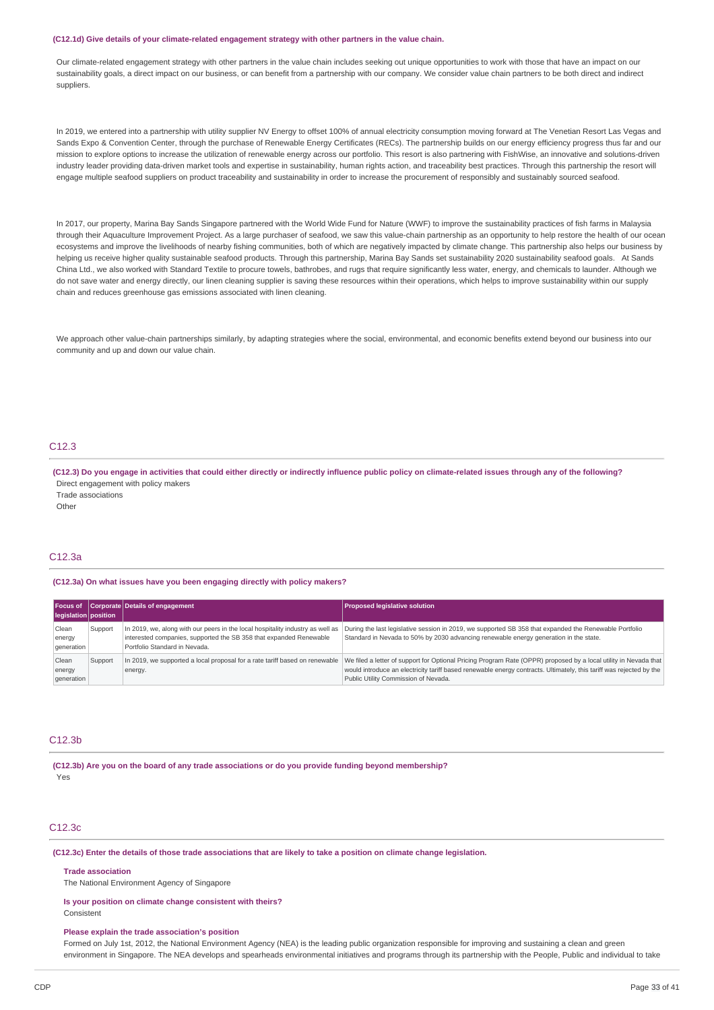#### **(C12.1d) Give details of your climate-related engagement strategy with other partners in the value chain.**

Our climate-related engagement strategy with other partners in the value chain includes seeking out unique opportunities to work with those that have an impact on our sustainability goals, a direct impact on our business, or can benefit from a partnership with our company. We consider value chain partners to be both direct and indirect suppliers.

In 2019, we entered into a partnership with utility supplier NV Energy to offset 100% of annual electricity consumption moving forward at The Venetian Resort Las Vegas and Sands Expo & Convention Center, through the purchase of Renewable Energy Certificates (RECs). The partnership builds on our energy efficiency progress thus far and our mission to explore options to increase the utilization of renewable energy across our portfolio. This resort is also partnering with FishWise, an innovative and solutions-driven industry leader providing data-driven market tools and expertise in sustainability, human rights action, and traceability best practices. Through this partnership the resort will engage multiple seafood suppliers on product traceability and sustainability in order to increase the procurement of responsibly and sustainably sourced seafood.

In 2017, our property, Marina Bay Sands Singapore partnered with the World Wide Fund for Nature (WWF) to improve the sustainability practices of fish farms in Malaysia through their Aquaculture Improvement Project. As a large purchaser of seafood, we saw this value-chain partnership as an opportunity to help restore the health of our ocean ecosystems and improve the livelihoods of nearby fishing communities, both of which are negatively impacted by climate change. This partnership also helps our business by helping us receive higher quality sustainable seafood products. Through this partnership, Marina Bay Sands set sustainability 2020 sustainability seafood goals. At Sands China Ltd., we also worked with Standard Textile to procure towels, bathrobes, and rugs that require significantly less water, energy, and chemicals to launder. Although we do not save water and energy directly, our linen cleaning supplier is saving these resources within their operations, which helps to improve sustainability within our supply chain and reduces greenhouse gas emissions associated with linen cleaning.

We approach other value-chain partnerships similarly, by adapting strategies where the social, environmental, and economic benefits extend beyond our business into our community and up and down our value chain.

### C12.3

(C12.3) Do you engage in activities that could either directly or indirectly influence public policy on climate-related issues through any of the following? Direct engagement with policy makers Trade associations

Other

## C12.3a

**(C12.3a) On what issues have you been engaging directly with policy makers?**

| Focus of<br>legislation position |         | Corporate Details of engagement                                                                                                                                                       | <b>Proposed legislative solution</b>                                                                                                                                                                                                                                            |
|----------------------------------|---------|---------------------------------------------------------------------------------------------------------------------------------------------------------------------------------------|---------------------------------------------------------------------------------------------------------------------------------------------------------------------------------------------------------------------------------------------------------------------------------|
| Clean<br>energy<br>generation    | Support | In 2019, we, along with our peers in the local hospitality industry as well as<br>interested companies, supported the SB 358 that expanded Renewable<br>Portfolio Standard in Nevada. | During the last legislative session in 2019, we supported SB 358 that expanded the Renewable Portfolio<br>Standard in Nevada to 50% by 2030 advancing renewable energy generation in the state.                                                                                 |
| Clean<br>energy<br>generation    | Support | In 2019, we supported a local proposal for a rate tariff based on renewable<br>energy.                                                                                                | We filed a letter of support for Optional Pricing Program Rate (OPPR) proposed by a local utility in Nevada that<br>would introduce an electricity tariff based renewable energy contracts. Ultimately, this tariff was rejected by the<br>Public Utility Commission of Nevada. |

### C12.3b

**(C12.3b) Are you on the board of any trade associations or do you provide funding beyond membership?** Yes

### C12.3c

(C12.3c) Enter the details of those trade associations that are likely to take a position on climate change legislation.

**Trade association**

The National Environment Agency of Singapore

**Is your position on climate change consistent with theirs?** Consistent

#### **Please explain the trade association's position**

Formed on July 1st, 2012, the National Environment Agency (NEA) is the leading public organization responsible for improving and sustaining a clean and green environment in Singapore. The NEA develops and spearheads environmental initiatives and programs through its partnership with the People, Public and individual to take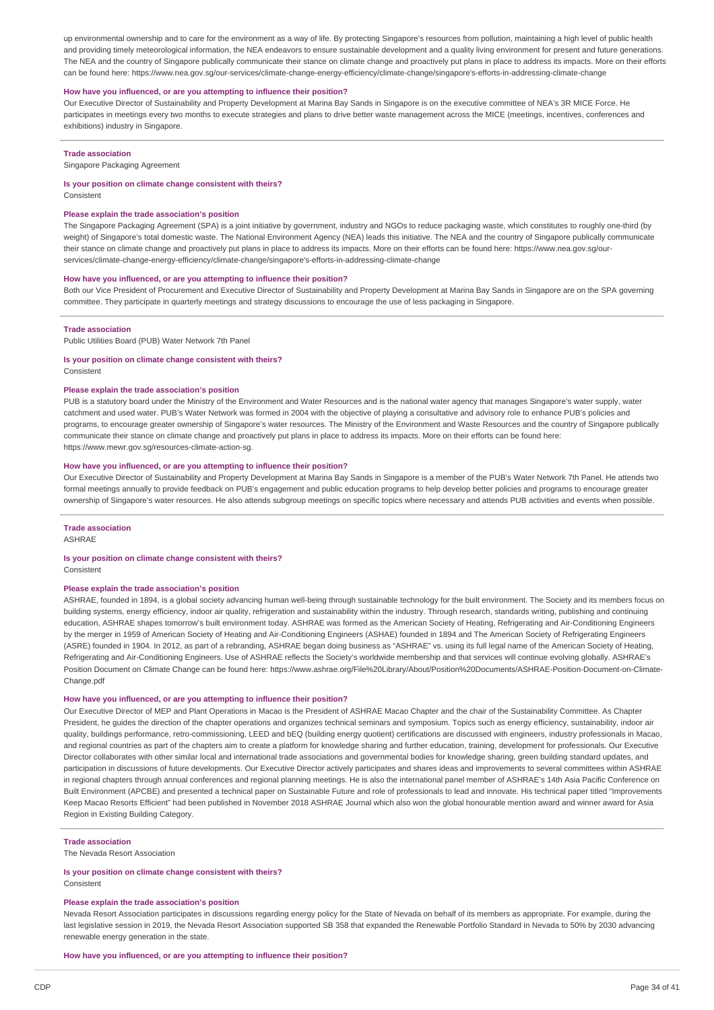up environmental ownership and to care for the environment as a way of life. By protecting Singapore's resources from pollution, maintaining a high level of public health and providing timely meteorological information, the NEA endeavors to ensure sustainable development and a quality living environment for present and future generations. The NEA and the country of Singapore publically communicate their stance on climate change and proactively put plans in place to address its impacts. More on their efforts can be found here: https://www.nea.gov.sg/our-services/climate-change-energy-efficiency/climate-change/singapore's-efforts-in-addressing-climate-change

### **How have you influenced, or are you attempting to influence their position?**

Our Executive Director of Sustainability and Property Development at Marina Bay Sands in Singapore is on the executive committee of NEA's 3R MICE Force. He participates in meetings every two months to execute strategies and plans to drive better waste management across the MICE (meetings, incentives, conferences and exhibitions) industry in Singapore.

### **Trade association**

Singapore Packaging Agreement

#### **Is your position on climate change consistent with theirs?**

Consistent

### **Please explain the trade association's position**

The Singapore Packaging Agreement (SPA) is a joint initiative by government, industry and NGOs to reduce packaging waste, which constitutes to roughly one-third (by weight) of Singapore's total domestic waste. The National Environment Agency (NEA) leads this initiative. The NEA and the country of Singapore publically communicate their stance on climate change and proactively put plans in place to address its impacts. More on their efforts can be found here: https://www.nea.gov.sg/ourservices/climate-change-energy-efficiency/climate-change/singapore's-efforts-in-addressing-climate-change

#### **How have you influenced, or are you attempting to influence their position?**

Both our Vice President of Procurement and Executive Director of Sustainability and Property Development at Marina Bay Sands in Singapore are on the SPA governing committee. They participate in quarterly meetings and strategy discussions to encourage the use of less packaging in Singapore.

#### **Trade association**

Public Utilities Board (PUB) Water Network 7th Panel

### **Is your position on climate change consistent with theirs?**

Consistent

### **Please explain the trade association's position**

PUB is a statutory board under the Ministry of the Environment and Water Resources and is the national water agency that manages Singapore's water supply, water catchment and used water. PUB's Water Network was formed in 2004 with the objective of playing a consultative and advisory role to enhance PUB's policies and programs, to encourage greater ownership of Singapore's water resources. The Ministry of the Environment and Waste Resources and the country of Singapore publically communicate their stance on climate change and proactively put plans in place to address its impacts. More on their efforts can be found here: https://www.mewr.gov.sg/resources-climate-action-sg.

### **How have you influenced, or are you attempting to influence their position?**

Our Executive Director of Sustainability and Property Development at Marina Bay Sands in Singapore is a member of the PUB's Water Network 7th Panel. He attends two formal meetings annually to provide feedback on PUB's engagement and public education programs to help develop better policies and programs to encourage greater ownership of Singapore's water resources. He also attends subgroup meetings on specific topics where necessary and attends PUB activities and events when possible.

### **Trade association**

ASHRAE

## **Is your position on climate change consistent with theirs?**

**Consistent** 

### **Please explain the trade association's position**

ASHRAE, founded in 1894, is a global society advancing human well-being through sustainable technology for the built environment. The Society and its members focus on building systems, energy efficiency, indoor air quality, refrigeration and sustainability within the industry. Through research, standards writing, publishing and continuing education, ASHRAE shapes tomorrow's built environment today. ASHRAE was formed as the American Society of Heating, Refrigerating and Air-Conditioning Engineers by the merger in 1959 of American Society of Heating and Air-Conditioning Engineers (ASHAE) founded in 1894 and The American Society of Refrigerating Engineers (ASRE) founded in 1904. In 2012, as part of a rebranding, ASHRAE began doing business as "ASHRAE" vs. using its full legal name of the American Society of Heating, Refrigerating and Air-Conditioning Engineers. Use of ASHRAE reflects the Society's worldwide membership and that services will continue evolving globally. ASHRAE's Position Document on Climate Change can be found here: https://www.ashrae.org/File%20Library/About/Position%20Documents/ASHRAE-Position-Document-on-Climate-Change.pdf

### **How have you influenced, or are you attempting to influence their position?**

Our Executive Director of MEP and Plant Operations in Macao is the President of ASHRAE Macao Chapter and the chair of the Sustainability Committee. As Chapter President, he guides the direction of the chapter operations and organizes technical seminars and symposium. Topics such as energy efficiency, sustainability, indoor air quality, buildings performance, retro-commissioning, LEED and bEQ (building energy quotient) certifications are discussed with engineers, industry professionals in Macao, and regional countries as part of the chapters aim to create a platform for knowledge sharing and further education, training, development for professionals. Our Executive Director collaborates with other similar local and international trade associations and governmental bodies for knowledge sharing, green building standard updates, and participation in discussions of future developments. Our Executive Director actively participates and shares ideas and improvements to several committees within ASHRAE in regional chapters through annual conferences and regional planning meetings. He is also the international panel member of ASHRAE's 14th Asia Pacific Conference on Built Environment (APCBE) and presented a technical paper on Sustainable Future and role of professionals to lead and innovate. His technical paper titled "Improvements Keep Macao Resorts Efficient" had been published in November 2018 ASHRAE Journal which also won the global honourable mention award and winner award for Asia Region in Existing Building Category.

### **Trade association**

The Nevada Resort Association

### **Is your position on climate change consistent with theirs?** Consistent

### **Please explain the trade association's position**

Nevada Resort Association participates in discussions regarding energy policy for the State of Nevada on behalf of its members as appropriate. For example, during the last legislative session in 2019, the Nevada Resort Association supported SB 358 that expanded the Renewable Portfolio Standard in Nevada to 50% by 2030 advancing renewable energy generation in the state.

**How have you influenced, or are you attempting to influence their position?**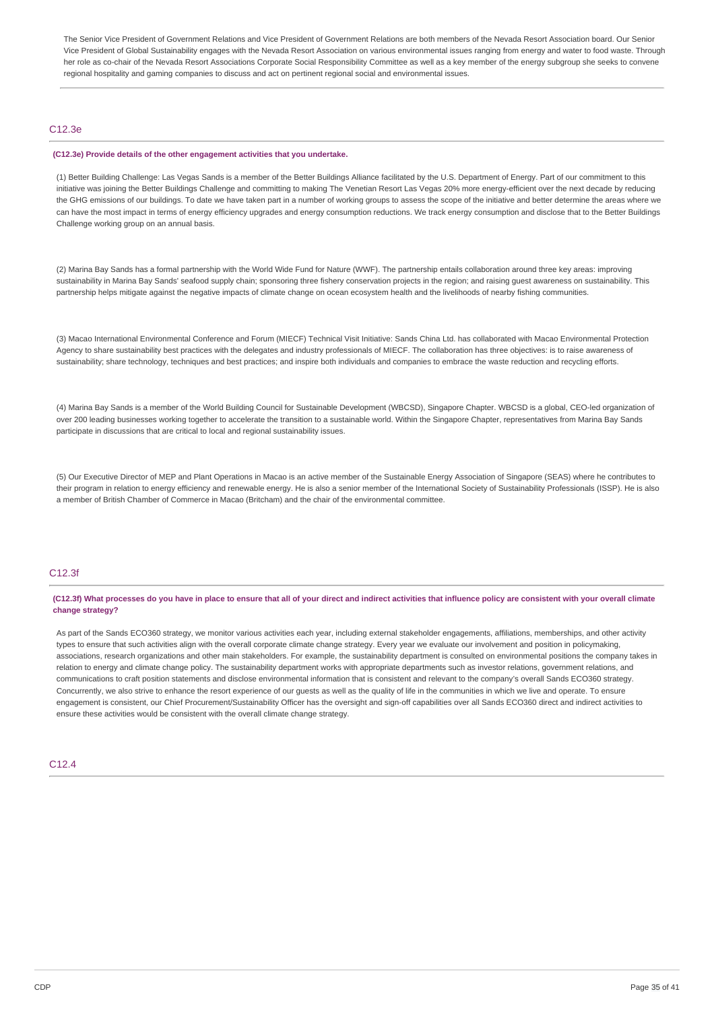The Senior Vice President of Government Relations and Vice President of Government Relations are both members of the Nevada Resort Association board. Our Senior Vice President of Global Sustainability engages with the Nevada Resort Association on various environmental issues ranging from energy and water to food waste. Through her role as co-chair of the Nevada Resort Associations Corporate Social Responsibility Committee as well as a key member of the energy subgroup she seeks to convene regional hospitality and gaming companies to discuss and act on pertinent regional social and environmental issues.

### C12.3e

#### **(C12.3e) Provide details of the other engagement activities that you undertake.**

(1) Better Building Challenge: Las Vegas Sands is a member of the Better Buildings Alliance facilitated by the U.S. Department of Energy. Part of our commitment to this initiative was joining the Better Buildings Challenge and committing to making The Venetian Resort Las Vegas 20% more energy-efficient over the next decade by reducing the GHG emissions of our buildings. To date we have taken part in a number of working groups to assess the scope of the initiative and better determine the areas where we can have the most impact in terms of energy efficiency upgrades and energy consumption reductions. We track energy consumption and disclose that to the Better Buildings Challenge working group on an annual basis.

(2) Marina Bay Sands has a formal partnership with the World Wide Fund for Nature (WWF). The partnership entails collaboration around three key areas: improving sustainability in Marina Bay Sands' seafood supply chain; sponsoring three fishery conservation projects in the region; and raising guest awareness on sustainability. This partnership helps mitigate against the negative impacts of climate change on ocean ecosystem health and the livelihoods of nearby fishing communities.

(3) Macao International Environmental Conference and Forum (MIECF) Technical Visit Initiative: Sands China Ltd. has collaborated with Macao Environmental Protection Agency to share sustainability best practices with the delegates and industry professionals of MIECF. The collaboration has three objectives: is to raise awareness of sustainability; share technology, techniques and best practices; and inspire both individuals and companies to embrace the waste reduction and recycling efforts.

(4) Marina Bay Sands is a member of the World Building Council for Sustainable Development (WBCSD), Singapore Chapter. WBCSD is a global, CEO-led organization of over 200 leading businesses working together to accelerate the transition to a sustainable world. Within the Singapore Chapter, representatives from Marina Bay Sands participate in discussions that are critical to local and regional sustainability issues.

(5) Our Executive Director of MEP and Plant Operations in Macao is an active member of the Sustainable Energy Association of Singapore (SEAS) where he contributes to their program in relation to energy efficiency and renewable energy. He is also a senior member of the International Society of Sustainability Professionals (ISSP). He is also a member of British Chamber of Commerce in Macao (Britcham) and the chair of the environmental committee.

## C12.3f

(C12.3f) What processes do you have in place to ensure that all of your direct and indirect activities that influence policy are consistent with your overall climate **change strategy?**

As part of the Sands ECO360 strategy, we monitor various activities each year, including external stakeholder engagements, affiliations, memberships, and other activity types to ensure that such activities align with the overall corporate climate change strategy. Every year we evaluate our involvement and position in policymaking, associations, research organizations and other main stakeholders. For example, the sustainability department is consulted on environmental positions the company takes in relation to energy and climate change policy. The sustainability department works with appropriate departments such as investor relations, government relations, and communications to craft position statements and disclose environmental information that is consistent and relevant to the company's overall Sands ECO360 strategy. Concurrently, we also strive to enhance the resort experience of our guests as well as the quality of life in the communities in which we live and operate. To ensure engagement is consistent, our Chief Procurement/Sustainability Officer has the oversight and sign-off capabilities over all Sands ECO360 direct and indirect activities to ensure these activities would be consistent with the overall climate change strategy.

### C12.4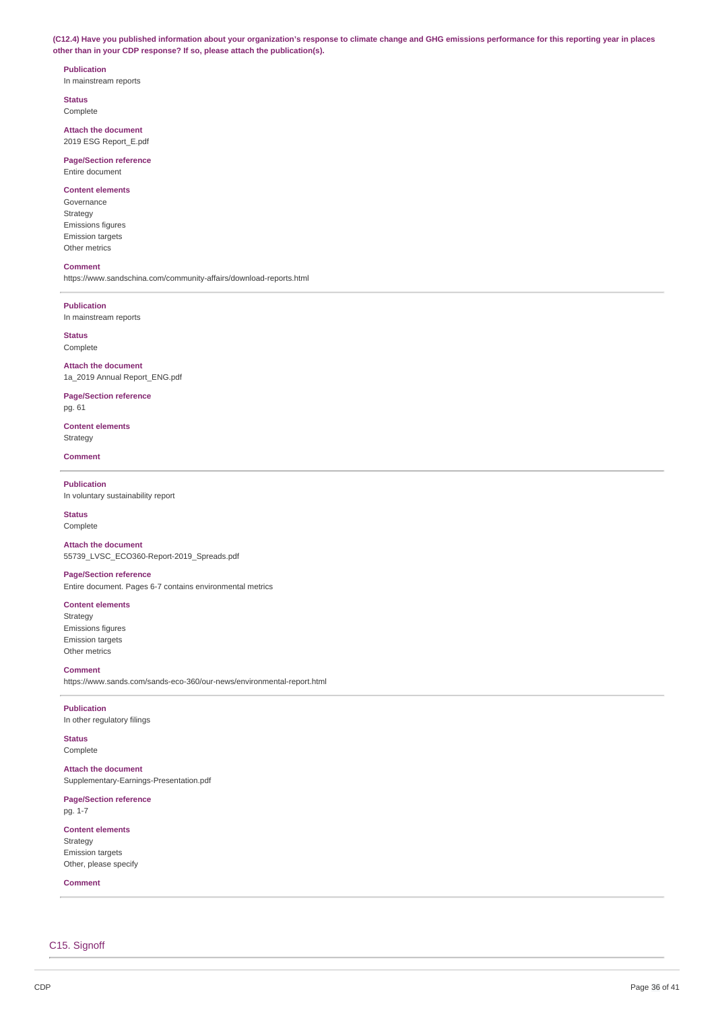(C12.4) Have you published information about your organization's response to climate change and GHG emissions performance for this reporting year in places **other than in your CDP response? If so, please attach the publication(s).**

## **Publication**

In mainstream reports

**Status** Complete

**Attach the document** 2019 ESG Report\_E.pdf

**Page/Section reference** Entire document

### **Content elements**

Governance Strategy Emissions figures Emission targets Other metrics

### **Comment**

https://www.sandschina.com/community-affairs/download-reports.html

### **Publication**

In mainstream reports

**Status** Complete

**Attach the document** 1a\_2019 Annual Report\_ENG.pdf

**Page/Section reference** pg. 61

**Content elements** Strategy

**Comment**

### **Publication**

In voluntary sustainability report

**Status**

Complete

**Attach the document** 55739\_LVSC\_ECO360-Report-2019\_Spreads.pdf

### **Page/Section reference**

Entire document. Pages 6-7 contains environmental metrics

## **Content elements**

Strategy Emissions figures Emission targets Other metrics

**Comment**

https://www.sands.com/sands-eco-360/our-news/environmental-report.html

### **Publication**

In other regulatory filings

**Status** Complete

## **Attach the document**

Supplementary-Earnings-Presentation.pdf

## **Page/Section reference**

pg. 1-7

## **Content elements**

Strategy Emission targets Other, please specify

## **Comment**

C15. Signoff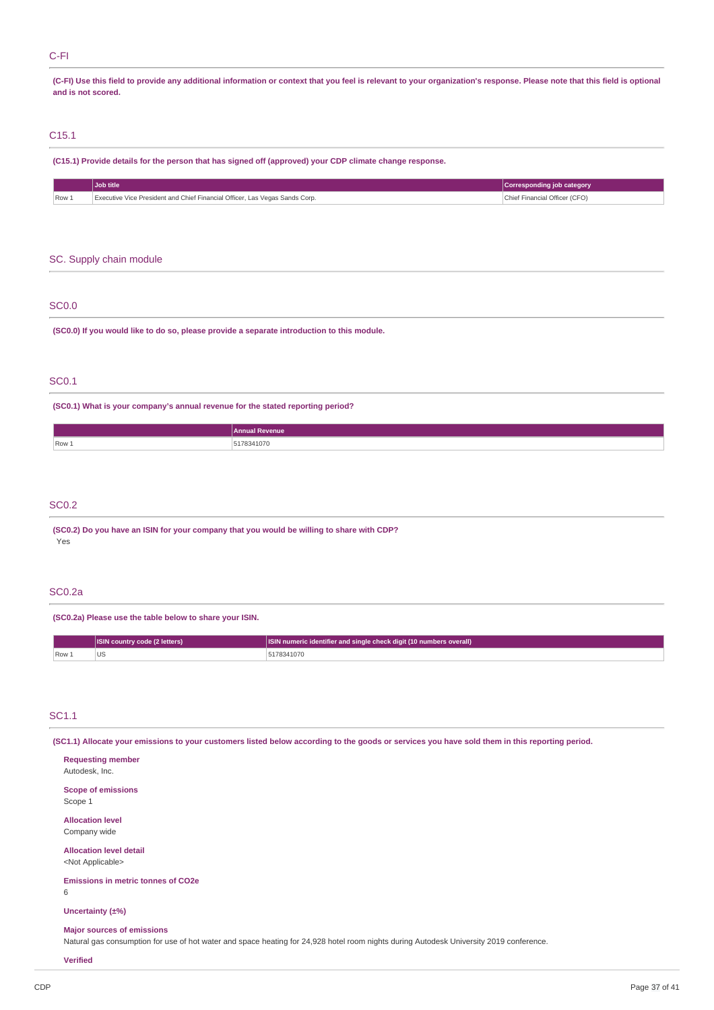## C-FI

(C-FI) Use this field to provide any additional information or context that you feel is relevant to your organization's response. Please note that this field is optional **and is not scored.**

## C15.1

| (C15.1) Provide details for the person that has signed off (approved) your CDP climate change response. |                                                                             |                               |
|---------------------------------------------------------------------------------------------------------|-----------------------------------------------------------------------------|-------------------------------|
|                                                                                                         | Job title                                                                   | Corresponding job category    |
| Row 1                                                                                                   | Executive Vice President and Chief Financial Officer, Las Vegas Sands Corp. | Chief Financial Officer (CFO) |

## SC. Supply chain module

### SC0.0

**(SC0.0) If you would like to do so, please provide a separate introduction to this module.**

## SC0.1

**(SC0.1) What is your company's annual revenue for the stated reporting period?**

|       | Annual<br><b>Revenue</b> |
|-------|--------------------------|
| Row 1 | 78341070<br>.            |
|       |                          |

## SC0.2

**(SC0.2) Do you have an ISIN for your company that you would be willing to share with CDP?** Yes

## SC0.2a

**(SC0.2a) Please use the table below to share your ISIN.**

|          | <b>ISIN</b> country code (2 letters) | <b>ISIN numeric identifier and single check digit (10 numbers overall)</b> |  |
|----------|--------------------------------------|----------------------------------------------------------------------------|--|
| $ Row_+$ | v                                    | 78341070                                                                   |  |

## SC1.1

(SC1.1) Allocate your emissions to your customers listed below according to the goods or services you have sold them in this reporting period.

| <b>Requesting member</b>                                                                                                                                                     |
|------------------------------------------------------------------------------------------------------------------------------------------------------------------------------|
| Autodesk, Inc.                                                                                                                                                               |
| <b>Scope of emissions</b><br>Scope 1                                                                                                                                         |
| <b>Allocation level</b><br>Company wide                                                                                                                                      |
| <b>Allocation level detail</b><br><not applicable=""></not>                                                                                                                  |
| <b>Emissions in metric tonnes of CO2e</b>                                                                                                                                    |
| Uncertainty (±%)                                                                                                                                                             |
| <b>Major sources of emissions</b><br>Natural gas consumption for use of hot water and space heating for 24,928 hotel room nights during Autodesk University 2019 conference. |
| <b>Verified</b>                                                                                                                                                              |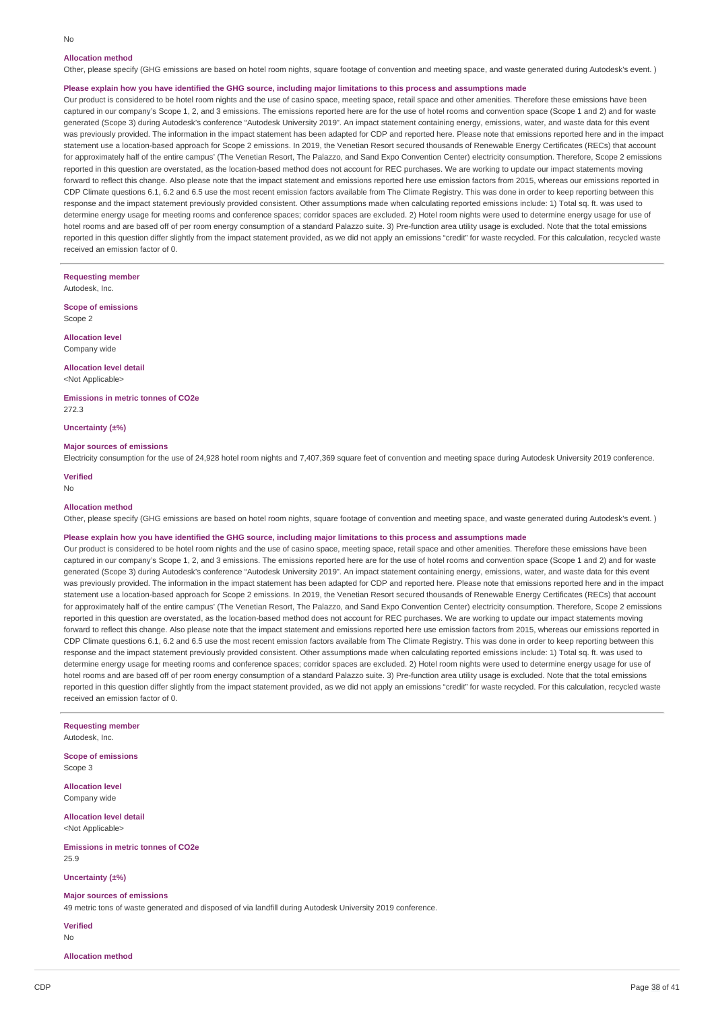### **Allocation method**

Other, please specify (GHG emissions are based on hotel room nights, square footage of convention and meeting space, and waste generated during Autodesk's event. )

### Please explain how you have identified the GHG source, including major limitations to this process and assumptions made

Our product is considered to be hotel room nights and the use of casino space, meeting space, retail space and other amenities. Therefore these emissions have been captured in our company's Scope 1, 2, and 3 emissions. The emissions reported here are for the use of hotel rooms and convention space (Scope 1 and 2) and for waste generated (Scope 3) during Autodesk's conference "Autodesk University 2019". An impact statement containing energy, emissions, water, and waste data for this event was previously provided. The information in the impact statement has been adapted for CDP and reported here. Please note that emissions reported here and in the impact statement use a location-based approach for Scope 2 emissions. In 2019, the Venetian Resort secured thousands of Renewable Energy Certificates (RECs) that account for approximately half of the entire campus' (The Venetian Resort, The Palazzo, and Sand Expo Convention Center) electricity consumption. Therefore, Scope 2 emissions reported in this question are overstated, as the location-based method does not account for REC purchases. We are working to update our impact statements moving forward to reflect this change. Also please note that the impact statement and emissions reported here use emission factors from 2015, whereas our emissions reported in CDP Climate questions 6.1, 6.2 and 6.5 use the most recent emission factors available from The Climate Registry. This was done in order to keep reporting between this response and the impact statement previously provided consistent. Other assumptions made when calculating reported emissions include: 1) Total sq. ft. was used to determine energy usage for meeting rooms and conference spaces; corridor spaces are excluded. 2) Hotel room nights were used to determine energy usage for use of hotel rooms and are based off of per room energy consumption of a standard Palazzo suite. 3) Pre-function area utility usage is excluded. Note that the total emissions reported in this question differ slightly from the impact statement provided, as we did not apply an emissions "credit" for waste recycled. For this calculation, recycled waste received an emission factor of 0.

**Requesting member**

Autodesk, Inc.

**Scope of emissions** Scope 2

**Allocation level** Company wide

**Allocation level detail**

<Not Applicable>

**Emissions in metric tonnes of CO2e** 272.3

**Uncertainty (±%)**

#### **Major sources of emissions**

Electricity consumption for the use of 24,928 hotel room nights and 7,407,369 square feet of convention and meeting space during Autodesk University 2019 conference. **Verified**

No

#### **Allocation method**

Other, please specify (GHG emissions are based on hotel room nights, square footage of convention and meeting space, and waste generated during Autodesk's event. )

#### Please explain how you have identified the GHG source, including major limitations to this process and assumptions made

Our product is considered to be hotel room nights and the use of casino space, meeting space, retail space and other amenities. Therefore these emissions have been captured in our company's Scope 1, 2, and 3 emissions. The emissions reported here are for the use of hotel rooms and convention space (Scope 1 and 2) and for waste generated (Scope 3) during Autodesk's conference "Autodesk University 2019". An impact statement containing energy, emissions, water, and waste data for this event was previously provided. The information in the impact statement has been adapted for CDP and reported here. Please note that emissions reported here and in the impact statement use a location-based approach for Scope 2 emissions. In 2019, the Venetian Resort secured thousands of Renewable Energy Certificates (RECs) that account for approximately half of the entire campus' (The Venetian Resort, The Palazzo, and Sand Expo Convention Center) electricity consumption. Therefore, Scope 2 emissions reported in this question are overstated, as the location-based method does not account for REC purchases. We are working to update our impact statements moving forward to reflect this change. Also please note that the impact statement and emissions reported here use emission factors from 2015, whereas our emissions reported in CDP Climate questions 6.1, 6.2 and 6.5 use the most recent emission factors available from The Climate Registry. This was done in order to keep reporting between this response and the impact statement previously provided consistent. Other assumptions made when calculating reported emissions include: 1) Total sq. ft. was used to determine energy usage for meeting rooms and conference spaces; corridor spaces are excluded. 2) Hotel room nights were used to determine energy usage for use of hotel rooms and are based off of per room energy consumption of a standard Palazzo suite. 3) Pre-function area utility usage is excluded. Note that the total emissions reported in this question differ slightly from the impact statement provided, as we did not apply an emissions "credit" for waste recycled. For this calculation, recycled waste received an emission factor of 0.

### **Requesting member**

Autodesk, Inc.

**Scope of emissions** Scope 3

**Allocation level** Company wide

**Allocation level detail** <Not Applicable>

**Emissions in metric tonnes of CO2e**

25.9

### **Uncertainty (±%)**

### **Major sources of emissions**

49 metric tons of waste generated and disposed of via landfill during Autodesk University 2019 conference.

**Verified** No

## **Allocation method**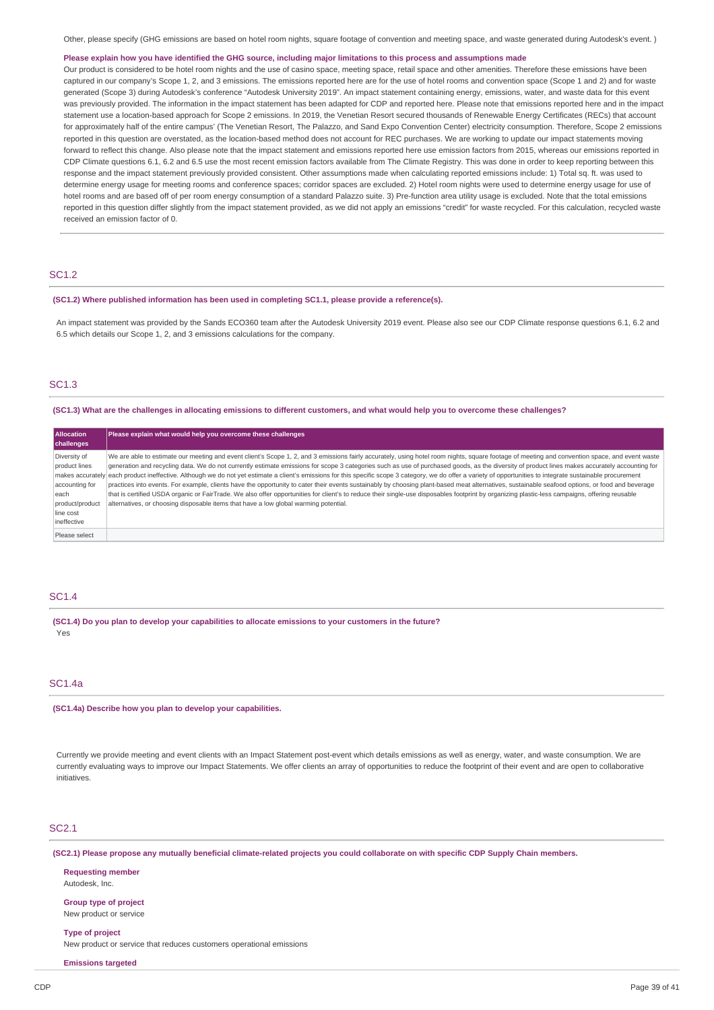Other, please specify (GHG emissions are based on hotel room nights, square footage of convention and meeting space, and waste generated during Autodesk's event. )

### Please explain how you have identified the GHG source, including major limitations to this process and assumptions made

Our product is considered to be hotel room nights and the use of casino space, meeting space, retail space and other amenities. Therefore these emissions have been captured in our company's Scope 1, 2, and 3 emissions. The emissions reported here are for the use of hotel rooms and convention space (Scope 1 and 2) and for waste generated (Scope 3) during Autodesk's conference "Autodesk University 2019". An impact statement containing energy, emissions, water, and waste data for this event was previously provided. The information in the impact statement has been adapted for CDP and reported here. Please note that emissions reported here and in the impact statement use a location-based approach for Scope 2 emissions. In 2019, the Venetian Resort secured thousands of Renewable Energy Certificates (RECs) that account for approximately half of the entire campus' (The Venetian Resort, The Palazzo, and Sand Expo Convention Center) electricity consumption. Therefore, Scope 2 emissions reported in this question are overstated, as the location-based method does not account for REC purchases. We are working to update our impact statements moving forward to reflect this change. Also please note that the impact statement and emissions reported here use emission factors from 2015, whereas our emissions reported in CDP Climate questions 6.1, 6.2 and 6.5 use the most recent emission factors available from The Climate Registry. This was done in order to keep reporting between this response and the impact statement previously provided consistent. Other assumptions made when calculating reported emissions include: 1) Total sq. ft. was used to determine energy usage for meeting rooms and conference spaces; corridor spaces are excluded. 2) Hotel room nights were used to determine energy usage for use of hotel rooms and are based off of per room energy consumption of a standard Palazzo suite. 3) Pre-function area utility usage is excluded. Note that the total emissions reported in this question differ slightly from the impact statement provided, as we did not apply an emissions "credit" for waste recycled. For this calculation, recycled waste received an emission factor of 0.

## SC1.2

### **(SC1.2) Where published information has been used in completing SC1.1, please provide a reference(s).**

An impact statement was provided by the Sands ECO360 team after the Autodesk University 2019 event. Please also see our CDP Climate response questions 6.1, 6.2 and 6.5 which details our Scope 1, 2, and 3 emissions calculations for the company.

## SC1.3

#### (SC1.3) What are the challenges in allocating emissions to different customers, and what would help you to overcome these challenges?

| <b>Allocation</b> | Please explain what would help you overcome these challenges                                                                                                                                                    |  |
|-------------------|-----------------------------------------------------------------------------------------------------------------------------------------------------------------------------------------------------------------|--|
| challenges        |                                                                                                                                                                                                                 |  |
| Diversity of      | We are able to estimate our meeting and event client's Scope 1, 2, and 3 emissions fairly accurately, using hotel room nights, square footage of meeting and convention space, and event waste                  |  |
| product lines     | generation and recycling data. We do not currently estimate emissions for scope 3 categories such as use of purchased goods, as the diversity of product lines makes accurately accounting for                  |  |
|                   | makes accurately each product ineffective. Although we do not yet estimate a client's emissions for this specific scope 3 category, we do offer a variety of opportunities to integrate sustainable procurement |  |
| accounting for    | practices into events. For example, clients have the opportunity to cater their events sustainably by choosing plant-based meat alternatives, sustainable seafood options, or food and beverage                 |  |
| leach             | that is certified USDA organic or FairTrade. We also offer opportunities for client's to reduce their single-use disposables footprint by organizing plastic-less campaigns, offering reusable                  |  |
| product/product   | alternatives, or choosing disposable items that have a low global warming potential.                                                                                                                            |  |
| line cost         |                                                                                                                                                                                                                 |  |
| ineffective       |                                                                                                                                                                                                                 |  |
| Please select     |                                                                                                                                                                                                                 |  |

### SC1.4

**(SC1.4) Do you plan to develop your capabilities to allocate emissions to your customers in the future?** Yes

### SC1.4a

#### **(SC1.4a) Describe how you plan to develop your capabilities.**

Currently we provide meeting and event clients with an Impact Statement post-event which details emissions as well as energy, water, and waste consumption. We are currently evaluating ways to improve our Impact Statements. We offer clients an array of opportunities to reduce the footprint of their event and are open to collaborative initiatives.

### SC2.1

(SC2.1) Please propose any mutually beneficial climate-related projects you could collaborate on with specific CDP Supply Chain members.

**Requesting member** Autodesk, Inc.

**Group type of project** New product or service

**Type of project** New product or service that reduces customers operational emissions

**Emissions targeted**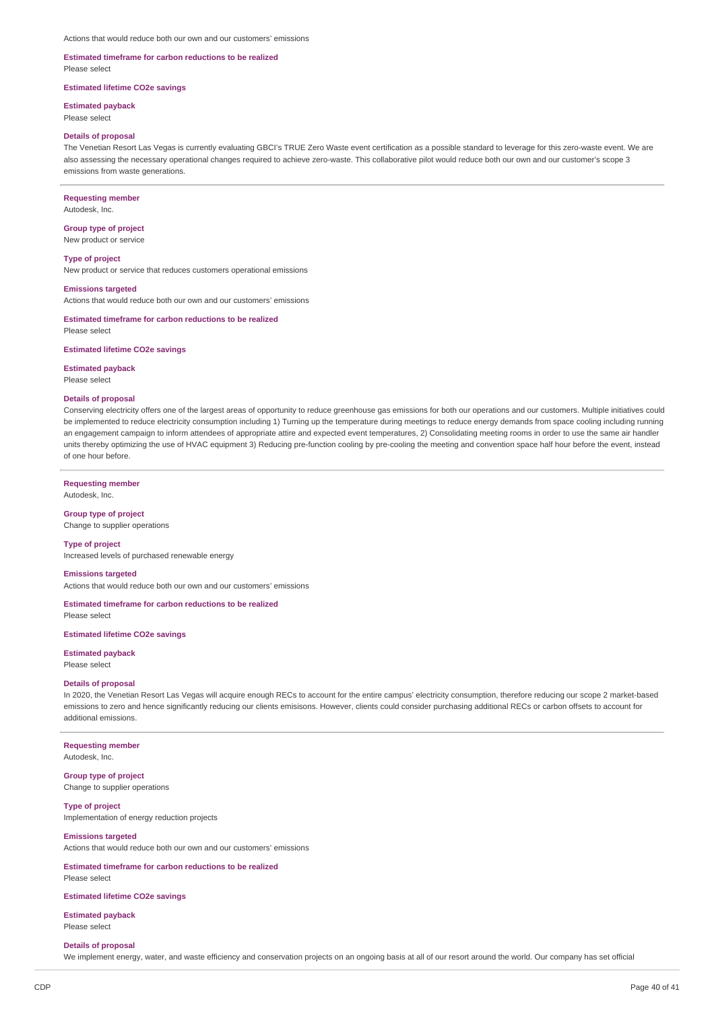## **Estimated timeframe for carbon reductions to be realized**

Please select

### **Estimated lifetime CO2e savings**

**Estimated payback**

Please select

#### **Details of proposal**

The Venetian Resort Las Vegas is currently evaluating GBCI's TRUE Zero Waste event certification as a possible standard to leverage for this zero-waste event. We are also assessing the necessary operational changes required to achieve zero-waste. This collaborative pilot would reduce both our own and our customer's scope 3 emissions from waste generations.

### **Requesting member**

Autodesk, Inc.

### **Group type of project** New product or service

**Type of project**

New product or service that reduces customers operational emissions

#### **Emissions targeted**

Actions that would reduce both our own and our customers' emissions

### **Estimated timeframe for carbon reductions to be realized** Please select

#### **Estimated lifetime CO2e savings**

**Estimated payback** Please select

### **Details of proposal**

Conserving electricity offers one of the largest areas of opportunity to reduce greenhouse gas emissions for both our operations and our customers. Multiple initiatives could be implemented to reduce electricity consumption including 1) Turning up the temperature during meetings to reduce energy demands from space cooling including running an engagement campaign to inform attendees of appropriate attire and expected event temperatures, 2) Consolidating meeting rooms in order to use the same air handler units thereby optimizing the use of HVAC equipment 3) Reducing pre-function cooling by pre-cooling the meeting and convention space half hour before the event, instead of one hour before.

### **Requesting member**

Autodesk, Inc.

#### **Group type of project**

Change to supplier operations

### **Type of project**

Increased levels of purchased renewable energy

### **Emissions targeted**

Actions that would reduce both our own and our customers' emissions

**Estimated timeframe for carbon reductions to be realized** Please select

### **Estimated lifetime CO2e savings**

**Estimated payback** Please select

### **Details of proposal**

In 2020, the Venetian Resort Las Vegas will acquire enough RECs to account for the entire campus' electricity consumption, therefore reducing our scope 2 market-based emissions to zero and hence significantly reducing our clients emisisons. However, clients could consider purchasing additional RECs or carbon offsets to account for additional emissions.

**Requesting member**

Autodesk, Inc.

**Group type of project** Change to supplier operations

**Type of project** Implementation of energy reduction projects

## **Emissions targeted**

Actions that would reduce both our own and our customers' emissions

#### **Estimated timeframe for carbon reductions to be realized** Please select

### **Estimated lifetime CO2e savings**

**Estimated payback** Please select

#### **Details of proposal**

We implement energy, water, and waste efficiency and conservation projects on an ongoing basis at all of our resort around the world. Our company has set official